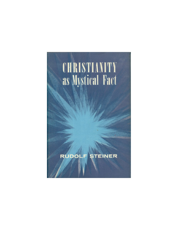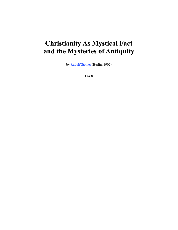# **Christianity As Mystical Fact and the Mysteries of Antiquity**

by [Rudolf Steiner](http://www.rsarchive.org/rsblurb.php) (Berlin, 1902)

**GA 8**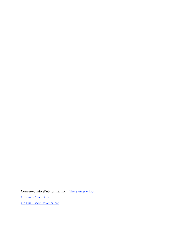Converted into ePub format from: [The Steiner e.Lib](http://www.rsarchive.org/eLib/index.php) [Original Cover Sheet](http://wn.rsarchive.org/Books/GA008/English/RPC1961/GA008_cover.html) [Original Back Cover Sheet](http://wn.rsarchive.org/Books/GA008/English/RPC1961/GA008_cover2.html)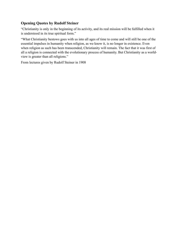### **Opening Quotes by Rudolf Steiner**

"Christianity is only in the beginning of its activity, and its real mission will be fulfilled when it is understood in its true spiritual form."

"What Christianity bestows goes with us into all ages of time to come and will still be one of the essential impulses in humanity when religion, as we know it, is no longer in existence. Even when religion as such has been transcended, Christianity will remain. The fact that it was first of all a religion is connected with the evolutionary process of humanity. But Christianity as a worldview is greater than all religions."

From lectures given by Rudolf Steiner in 1908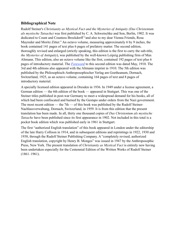### **Bibliographical Note**

Rudolf Steiner's *Christianity as Mystical Fact and the Mysteries of Antiquity (Das Christentum als mystische Tatsache)* was first published by C. A. Schwetschke and Son, Berlin, 1902. It was dedicated to Count and Countess Brockdorff "and also to my dear Vienna Friends, Rosa Mayreder and Moritz Zitter." An octavo volume, measuring approximately 6 by 9 inches, the book contained 141 pages of text plus 6 pages of prefatory matter. The second edition, thoroughly revised and enlarged (strictly speaking, this edition is the first to carry the sub-title, *the Mysteries of Antiquity*), was published by the well-known Leipzig publishing firm of Max Altmann. This edition, also an octavo volume like the first, contained 192 pages of text plus 6 pages of introductory material. The *[Foreword](#page-4-0)* to this second edition was dated May, 1910. The 3rd and 4th editions also appeared with the Altmann imprint in 1910. The 5th edition was published by the Philosophisch-Anthroposophischer Verlag am Goetheanum, Dornach, Switzerland, 1925, as an octavo volume, containing 164 pages of text and 8 pages of introductory material.

A specially licensed edition appeared in Dresden in 1936. In 1949 under a license agreement, a German edition — the 6th edition of the book — appeared in Stuttgart. This was one of the Steiner titles published in post-war Germany to meet a widespread demand for his books, all of which had been confiscated and burned by the Gestapo under orders from the Nazi government. The most recent edition — the 7th — of this book was published by the Rudolf Steiner-Nachlassverwaltung, Dornach, Switzerland, in 1959. It is from this edition that the present translation has been made. In all, thirty one thousand copies of *Das Christentum als mystische Tatsache* have been published since its first appearance in 1902. Not included in this total is a pocket book edition which was published early in 1961 in Stuttgart.

<span id="page-4-0"></span>The first "authorized English translation" of this book appeared in London under the editorship of the late Harry Collison in 1914, and in subsequent editions and reprintings in 1922, 1930 and 1938, through the Rudolf Steiner Publishing Company. A "completely revised, authorized English translation, copyright by Henry B. Monges" was issued in 1947 by the Anthroposophic Press, New York. The present translation of *Christianity as Mystical Fact* is entirely new having been undertaken especially for the Centennial Edition of the Written Works of Rudolf Steiner (1861–1961).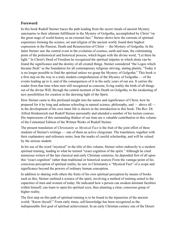### **Foreword**

In this book Rudolf Steiner traces the path leading from the secret rituals of ancient Mystery sanctuaries to their ultimate fulfillment in the Mystery of Golgotha, accomplished by Christ "on the great stage of world history as an external fact." Steiner shows how the currents of spiritual experience forming the science, art and religion of the ancient world, found their highest expression in the Passion, Death and Resurrection of Christ — the Mystery of Golgotha. In the latter Steiner saw the central event in the evolution of cosmos, earth and man, the culminating point of the prehistorical and historical process, which began with the divine word, "Let there be light." In Christ's Deed of Freedom he recognized the spiritual impulse in which alone can be found the significance and the destiny of all created things. Steiner considered "the Logos which became flesh" as the foundation for all contemporary religious striving, stating plainly, "Today it is no longer possible to find the spiritual unless we grasp the Mystery of Golgotha." This book is a first step on the way to a truly modern comprehension of the Mystery of Golgotha — of the events leading up to it, and of the consequences of it in the early years of our era. It carries the reader from that time when men still recognized as concrete, living reality the birth of all things out of the divine Will, through the central moment of the Death on Golgotha, to the awakening of new possibilities for creation in the dawning light of the Spirit.

How Steiner came to this profound insight into the nature and significance of Christ, how he prepared for it by long and arduous schooling in natural science, philosophy, and — above all in the development of his own inner life is shown in the introduction to this book. The Rev. Dr. Alfred Heidenreich met Rudolf Steiner personally and attended a number of his lecture courses. His impressions of this outstanding thinker of our time are a valuable contribution to this volume of the Centennial Edition of the Written Works of Rudolf Steiner.

The present translation of *Christianity as Mystical Fact* is the fruit of the joint effort of three students of Steiner's writings — one of them an active clergyman. The translation, together with their explanatory and reference notes, bear the marks of careful scholarship, and will be valued by the serious student.

In his use of the word "mystical" in the title of this volume, Steiner refers indirectly to a modern spiritual training, leading to what he termed "exact cognition of the spirit." Although he cited numerous writers of the late classical and early Christian centuries, he depended first of all upon this "exact cognition" rather than traditional or historical sources From the vantage-point of his conscious perception of spiritual reality, he saw in Christianity a "Mystical Fact" of a scope and significance beyond the powers of ordinary human conception.

In addition to sharing with others the fruits of his own spiritual perception by means of books such as this, Steiner outlined a science of the spirit, involving a method of training suited to the capacities of men and women of today. He indicated how a person can awaken dormant faculties within himself, can learn to open his spiritual eyes, thus attaining a clear, conscious grasp of higher reality.

The first step on this path of spiritual training is to be found in the injunction of the ancient world: "Know thyself." From early times, self-knowledge has been recognized as the indispensable first goal of spiritual achievement. In an early Christian century one of the Desert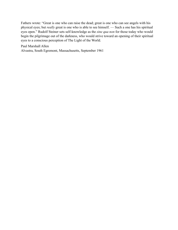Fathers wrote: "Great is one who can raise the dead; great is one who can see angels with his physical eyes; but *really* great is one who is able to see himself. — Such a one has his spiritual eyes open." Rudolf Steiner sets self-knowledge as the *sine qua non* for those today who would begin the pilgrimage out of the darkness, who would strive toward an opening of their spiritual eyes to a conscious perception of The Light of the World.

Paul Marshall Allen Alvastra, South Egremont, Massachusetts, September 1961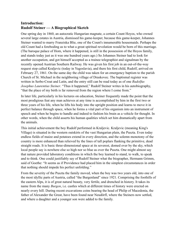## **Introduction: Rudolf Steiner — A Biographical Sketch**

One spring day in 1860, an autocratic Hungarian magnate, a certain Count Hoyos, who owned several large estates in Austria, dismissed his game-keeper, because this game-keeper, Johannes Steiner wanted to marry Franziska Blie, one of the Count's innumerable housemaids. Perhaps the old Count had a foreboding as to what a great spiritual revolution would be born of this marriage. (The baroque palace of Hom, where it happened, is still in the possession of the Hoyos family, and stands today just as it was one hundred years ago.) So Johannes Steiner had to look for another occupation, and got himself accepted as a trainee telegraphist and signalman by the recently opened Austrian Southern Railway. He was given his first job in an out-of-the-way request stop called Kraljevic (today in Yugoslavia), and there his first child, Rudolf, arrived on February 27, 1861. On the same day the child was taken for an emergency baptism to the parish Church of St. Michael in the neighboring village of Draskovec. The baptismal register was written in Serbo-Croat and Latin, and the entry still can be read today as of one *Rudolfus Josephus Laurentius Steiner*. "Thus it happened," Rudolf Steiner writes in his autobiography, "that the place of my birth is far removed from the region where I come from."

In later life, particularly in his lectures on education, Steiner frequently made the point that the most prodigious feat any man achieves at any time is accomplished by him in the first two or three years of his life, when he lifts his body into the upright position and learns to move it in perfect balance through space, when he forms a vital part of his organism into an instrument of speech and when he begins to handle and indeed to fashion his brain as a vehicle for thought. In other words, when the child asserts his human qualities which set him dramatically apart from the animals.

This initial achievement the boy Rudolf performed in Kraljevic. Kraljevic (meaning King's Village) is situated in the western outskirts of the vast Hungarian plain, the Puszta. Even today endless fields of maize and potatoes extend in every direction, and the solemn monotony of the country is more enhanced than relieved by the lines of tall poplars flanking the primitive, dead straight roads. It is basic three-dimensional space at its severest, domed over by the sky, which local people say is nowhere else so high nor so blue as over the Puszta. One might almost say that nature provided laboratory conditions in which the boy learned to stand, to walk, to speak and to think. One could justifiably say of Rudolf Steiner what the biographer, Hermann Grimm, said of Goethe: "It seems as if Providence had placed him in the simplest circumstances in order that nothing should impede his perfect unfolding."

From the severity of the Puszta the family moved, when the boy was two years old, into one of the most idyllic parts of Austria, called "the Burgenland" since 1921. Comprising the foothills of the eastern Alps, it is of great natural beauty, very fertile, and drenched in history. It takes its name from the many *Burgen*, i.e. castles which at different times of history were erected on nearly every hill. During recent excavations coins bearing the head of Philip of Macedonia, the father of Alexander the Great, have been found near Neudörfl, where the Steiners now settled, and where a daughter and a younger son were added to the family.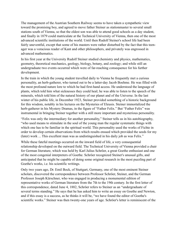The management of the Austrian Southern Railway seems to have taken a sympathetic view toward the promising boy, and agreed to move father Steiner as stationmaster to several small stations south of Vienna, so that the eldest son was able to attend good schools as a day student, and finally in 1879 could matriculate at the Technical University of Vienna, then one of the most advanced scientific institutions of the world. Until then Rudolf Steiner's school life had been fairly uneventful, except that some of his masters were rather disturbed by the fact that this teenager was a voracious reader of Kant and other philosophers, and privately was engrossed in advanced mathematics.

In his first year at the University Rudolf Steiner studied chemistry and physics, mathematics, geometry, theoretical mechanics, geology, biology, botany, and zoology; and while still an undergraduate two events occurred which were of far-reaching consequence for his further development.

In the train in which the young student travelled daily to Vienna he frequently met a curious personality, an herb-gatherer, who turned out to be a latter-day Jacob Boehme. He was filled with the most profound nature lore to which he had first-hand access. He understood the language of plants, which told him what sicknesses they could heal; he was able to listen to the speech of the minerals, which told him of the natural history of our planet and of the Universe. In the last winter of his public life, in December 1923, Steiner provided something of a historic background for this wisdom, notably in his lectures on the Mysteries of Eleusis. Steiner immortalized the herb-gatherer in his Mystery Dramas, in the figure of "Father Felix." But "Father Felix" was instrumental in bringing Steiner together with a still more important and mysterious personality.

"Felix was only the intermediary for another personality," Steiner tells us in his autobiography, "who used means to stimulate in the soul of the young man the regular systematic things with which one has to be familiar in the spiritual world. This personality used the works of Fichte in order to develop certain observations from which results ensued which provided the seeds for my (later) work ... This excellent man was as undistinguished in his daily job as was Felix."

While these fateful meetings occurred on the inward field of life, a very consequential relationship developed on the outward field. The Technical University of Vienna provided a chair for German literature, which was held by Karl Julius Schröer, a great Goethe enthusiast and one of the most congenial interpreters of Goethe. Schröer recognized Steiner's unusual gifts, and anticipated that he might be capable of doing some original research in the most puzzling part of Goethe's works, i.e. his scientific writings.

Only two years ago, Dr. Emil Bock, of Stuttgart, Germany, one of the most eminent Steiner scholars, discovered the correspondence between Professor Schröer, Steiner, and the German Professor Joseph Kürschner, who was engaged in producing a monumental edition of representative works of German literature from the 7th to the 19th century. In the first letter of this correspondence, dated June 4, 1882, Schröer refers to Steiner as an "undergraduate of several terms standing." He says that he has asked him to write an essay on Goethe and Newton, and if this essay is a success, as he thinks it will be, "we have found the editor of Goethe's scientific works." Steiner was then twenty-one years of age. Schröer's letter is reminiscent of the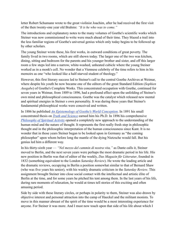letter Robert Schumann wrote to the great violinist Joachim, after he had received the first visit of the then twenty-one year old Brahms: *"It is he who was to come."*

The introductions and explanatory notes to the many volumes of Goethe's scientific works which Steiner was now commissioned to write were much ahead of their time. They blazed a trail into the less familiar regions of Goethe's universal genius which only today begins to be followed up by other scholars.

The young Steiner wrote these, his first works, in outward conditions of great poverty. The family lived in two rooms, which are still shown today. The larger one of the two was kitchen, dining, sitting and bedroom for the parents and his younger brother and sister, and off this larger room a few steps led into a narrow, white-washed, unheated cubicle where the young Steiner worked as in a monk's cell. No wonder that a Viennese celebrity of the time refers to him in his memoirs as one "who looked like a half-starved student of theology."

However, this first literary success led to Steiner's call to the central Goethe Archives at Weimar, where despite his youth he now became one of the editors of the great Standard Edition (*Sophien Ausgabe*) of Goethe's Complete Works. This concentrated occupation with Goethe, continued for seven years in Weimar, from 1889 to 1896, had a profound effect upon the unfolding of Steiner's own mind and philosophical consciousness. Goethe was the catalyst which released new mental and spiritual energies in Steiner s own personality. It was during these years that Steiner's fundamental philosophical works were conceived and written.

In 1886 he published *[An Epistemology of Goethe's World Conception](http://www.rsarchive.org/Books/GA002/index.php)*. In 1891 his small concentrated thesis on *[Truth and Science](http://wn.rsarchive.org/Books/GA003/English/RSPI1963/GA003_index.html)* earned him his Ph.D. In 1896 his comprehensive *[Philosophy of Spiritual Activity](http://wn.rsarchive.org/Books/GA004/English/RSPI1963/GA004_index.html)* opened a completely new approach to the understanding of the human mind and the nature of thought. It represents the first really fresh step in philosophic thought and in the philosophic interpretation of the human consciousness since Kant. It is no wonder that in those years Steiner began to be looked upon in Germany as "the coming philosopher" upon whom before long the mantle of the dying Nietzsche would fall. But his genius led him a different way.

In his thirty-sixth year — *"Nel mezzo del cammin di nostra vita,"* as Dante calls it, Steiner moved to Berlin, and the next seven years were perhaps the most dramatic period in his life. His new position in Berlin was that of editor of the weekly, *Das Magazin für Litteratur*, founded in 1832 (something equivalent to the London *Saturday Review*). He wrote the leading article and the dramatic reviews, occupying in Berlin a position somewhat similar to that of Bernard Shaw (who was five years his senior), with his weekly dramatic criticism in the *Saturday Review*. This assignment brought Steiner into close social contact with the intellectual and artistic élite of Berlin at the time, and for some years he pitched his tent among them. In the last years of his life, during rare moments of relaxation, he would at times tell stories of this exciting and often amusing period.

Side by side with these literary circles, or perhaps in polarity to them, Steiner was also drawn by objective interest and personal attraction into the camp of Haeckel and the militant monists. To move in this manner abreast of the spirit of the time would be a most interesting experience for anyone. For Steiner it was more. And I must now touch upon that side of his life about which I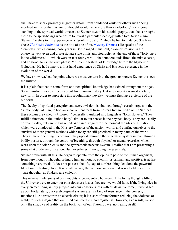shall have to speak presently in greater detail. From childhood while for others such "being involved in this or that fashion of thought would be no more than an ideology," for anyone standing in the spiritual world it means, as Steiner says in his autobiography, that "he is brought close to the spirit-beings who desire to invest a particular ideology with a totalitarian claim." Steiner Fixrefers to his experience as a "Soul's Probation" which he had to undergo. (He later chose *[The Soul's Probation](http://wn.rsarchive.org/Books/GA014/English/APC1925/GA014-2_contents.html)* as the title of one of his [Mystery Dramas](http://wn.rsarchive.org/Books/GA014/English/APC1925/GA014_index.html).) He speaks of the "tempests" which during those years in Berlin raged in his soul, a rare expression in the otherwise very even and dispassionate style of his autobiography. At the end of those "forty days in the wilderness" — which were in fact four years — the thunderclouds lifted, the mist cleared, and he stood, to use his own phrase. "in solemn festival of knowledge before the Mystery of Golgotha." He had come to a first-hand experience of Christ and His active presence in the evolution of the world.

We have now reached the point where we must venture into the great unknown: Steiner the seer, the Initiate.

It is a plain fact that in some form or other spiritual knowledge has existed throughout the ages. Secret wisdom has never been absent from human history. But in Steiner it assumed a totally new form. In order to appreciate this revolutionary novelty, we must first have a picture of the old form.

The faculty of spiritual perception and secret wisdom is obtained through certain organs in the "subtle body" of man, to borrow a convenient term from Eastern Indian medicine. In Sanscrit these organs are called *"chakrams,"* generally translated into English as "lotus flowers." They fulfill a function in the "subtle body" similar to our senses in the physical body. They are usually dormant today, but can be awakened. We can disregard for the moment the rites of Initiation which were employed in the Mystery Temples of the ancient world, and confine ourselves to the survival of more general methods which today are still practiced in many parts of the world. They all have one thing in common: they operate through the vegetative system in man, through bodily posture, through the control of breathing, through physical or mental exercises which work upon the solar plexus and the sympathetic nervous system. I realize that I am presenting a somewhat crude simplification. But nevertheless I am giving the essentials.

Steiner broke with all this. He began to operate from the opposite pole of the human organism, from pure thought. Thought, ordinary human thought, even if it is brilliant and positive, is at first something very weak. It does not possess the life, say, of our breathing, let alone the powerful life of our pulsating blood. It is, shall we say, flat, without substance; it is really lifeless. It is "pale thought," as Shakespeare called it.

This relative lifelessness of our thoughts is providential, however. If the living thoughts filling the Universe were to enter our consciousness just as they are, we would faint. If the living idea in every created thing simply jumped into our consciousness with all its native force, it would blot us out. Fortunately, our cerebro-spinal system exerts a kind of resistance in the process; it functions like a resistor in an electric circuit; it is a sort of transformer, reducing the violence of reality to such a degree that our mind can tolerate it and register it. However, as a result, we see only the shadows of reality on the back wall of our Platonic cave, not reality itself.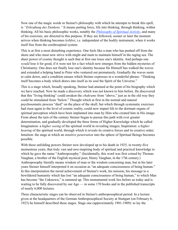Now one of the magic words in Steiner's philosophy with which he attempts to break this spell, is *"Erkraftung des Denkens."* It means putting force, life into thinking, through thinking, within thinking. All his basic philosophic works, notably the *[Philosophy of Spiritual Activity](http://wn.rsarchive.org/Books/GA004/English/RSPI1963/GA004_index.html)*, and many of his exercises, are directed to this purpose. If they are followed, sooner or later the moment arrives when thinking becomes *leibfrei*, i.e. independent of the bodily instrument, when it works itself free from the cerebrospinal system.

This is at first a most disturbing experience. One feels like a man who has pushed off from the shore and who must now strive with might and main to maintain himself in the raging sea. The sheer power of cosmic thought is such that at first one loses one's identity. And perhaps one *would* lose it for good, if it were not for a fact which now emerges from the hidden mysteries of Christianity. One does not finally lose one's identity because He Himself has walked the waves and extended a helping hand to Peter who ventured out prematurely. Gradually the waves seem to calm down, and a condition ensues which Steiner expresses in a wonderful phrase: "Thinking itself becomes a body which draws into itself as its soul the Spirit of the Universe."

This is a stage which, broadly speaking, Steiner had attained at the point of his biography which we have reached. Now he made a discovery which was not known to him before. He discovered that this "living thinking" could awaken the *chakrams* from "above," just as in the old way they could be stimulated from "below." Thought which at first in the normal and natural psychosomatic process "died" on the place of the skull, but which through systematic exercises had risen again to the level of cosmic reality, could now impart life to the dormant organs of spiritual perception which have been implanted into man by Him who created him in His image. From about the turn of the century Steiner began to pursue this path with ever greater determination, and gradually developed the three forms of Higher Knowledge which he called Imagination: a *higher seeing* of the spiritual world in revealing images; Inspiration: a *higher hearing* of the spiritual world, through which it reveals its creative forces and its creative order; Intuition: the stage at which an *intuitive penetration* into the sphere of Spiritual Beings becomes possible.

With these unfolding powers Steiner now developed up to his death in 1925, in twenty-five momentous years, that truly vast and awe-inspiring body of spiritual and practical knowledge to which he gave the name "Anthroposophy." (Incidentally, this word was first coined by Thomas Vaughan, a brother of the English mystical poet, Henry Vaughan, in the 17th century.) Anthroposophy literally means wisdom of man or the wisdom concerning man, but in his later years Steiner himself interpreted it on occasion as "an adequate consciousness of being human." In this interpretation the moral achievement of Steiner's work, his mission, his message to a bewildered humanity which has lost "an adequate consciousness of being human," to which Man has become "the Unknown," is summed up. This monumental work lies before us today and is waiting to be fully discovered by our Age — in some 170 books and in the published transcripts of nearly 6,000 lectures.

Three characteristic stages can be observed in Steiner's anthroposophical period. In a lecture given at the headquarters of the German Anthroposophical Society at Stuttgart (on February 6, 1923) he himself described these stages. Stage one (approximately 1901-1909): to lay the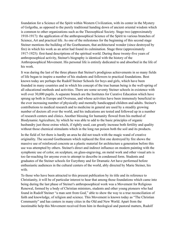foundation for a Science of the Spirit within Western Civilization, with its center in the Mystery of Golgotha, as opposed to the purely traditional handing down of ancient oriental wisdom which is common to other organizations such as the Theosophical Society. Stage two (approximately 1910-1917): the application of the anthroposophical Science of the Spirit to various branches of Science, Art and practical life. As one of the milestones for the beginning of this second stage Steiner mentions the building of the Goetheanum, that architectural wonder (since destroyed by fire) in which his work as an artist had found its culmination. Stage three (approximately 1917-1925): first-hand descriptions of the spiritual world. During these twenty-five years of anthroposophical activity, Steiner's biography is identical with the history of the Anthroposophical Movement. His personal life is entirely dedicated to and absorbed in the life of his work.

It was during the last of the three phases that Steiner's prodigious achievements in so many fields of life began to inspire a number of his students and followers to practical foundations. Best known today are perhaps the Rudolf Steiner Schools for boys and girls, which have been founded in many countries and in which his concept of the true human being is the well-spring of all educational methods and activities. There are some seventy Steiner schools in existence with well over 30,000 pupils. A separate branch are the Institutes for Curative Education which have sprung up both in Europe and Overseas, and whose activities have been immensely beneficial to the ever increasing number of physically and mentally handicapped children and adults. Steiner's contributions to medical research and to medicine in general are used by a steadily growing number of doctors all over the world, and his indications are tested and followed up in a number of research centers and clinics. Another blessing for humanity flowed from his method of Biodynamic Agriculture, by which he was able to add to the basic principles of organic husbandry just those extras which, if rightly used, can greatly increase both fertility and quality without those chemical stimulants which in the long run poison both the soil and its products.

In the field of Art there is hardly an area he did not touch with the magic wand of creative originality. The second Goetheanum which replaced the first one destroyed by fire shows the massive use of reinforced concrete as a plastic material for architecture a generation before this use was attempted by others. Steiner's direct and indirect influence on modern painting with the symphonic use of color, on sculpture, on glass-engraving, on metal work and other visual arts is too far-reaching for anyone even to attempt to describe in condensed form. Students and graduates of the Steiner schools for Eurythmy and for Dramatic Art have performed before enthusiastic audiences in the cultural centers of the world, ably directed by Marie Steiner, his wife.

To those who have been attracted to this present publication by its title and its reference to Christianity, it will be of particular interest to hear that among those foundations which came into being during the last phase of Steiner's anthroposophical work was a Movement for Religious Renewal, formed by a body of Christian ministers, students and other young pioneers who had found in Rudolf Steiner "a man sent from God," able to show the way to a true reconciliation of faith and knowledge, of religion and science. This Movement is known today as "The Christian Community" and has centers in many cities in the Old and New World. Apart from the inestimable help this Movement received from him in theological and pastoral matters, Rudolf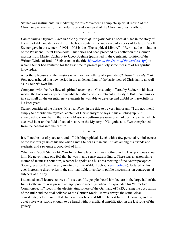Steiner was instrumental in mediating for this Movement a complete spiritual rebirth of the Christian Sacraments for the modern age and a renewal of the Christian priestly office.

\* \* \*

*Christianity as Mystical Fact and the Mysteries of Antiquity* holds a special place in the story of his remarkable and dedicated life. The book contains the substance of a series of lectures Rudolf Steiner gave in the winter of 1901–1902 in the "Theosophical Library" of Berlin at the invitation of the President, Count Brockdorff. This series had been preceded by another on the German mystics from Master Eckhardt to Jacob Boehme (published in the Centennial Edition of the Written Works of Rudolf Steiner under the title *[Mysticism at the Dawn of the Modern Age](http://www.rsarchive.org/Books/GA007/index.php)*) in which Steiner had ventured for the first time to present publicly some measure of his spiritual knowledge.

After these lectures on the mystics which was something of a prelude, *Christianity as Mystical Fact* now ushered in a new period in the understanding of the basic facts of Christianity as well as in Steiner's own life.

Compared with the free flow of spiritual teaching on Christianity offered by Steiner in his later works, the book may appear somewhat tentative and even reticent in its style. But it contains as in a nutshell all the essential new elements he was able to develop and unfold so masterfully in his later years.

Steiner considered the phrase "Mystical *Fact*" in the title to be very important. "I did not intend simply to describe the mystical content of Christianity," he says in his autobiography. "I attempted to show that in the ancient Mysteries cult-images were given of cosmic events, which occurred later on the field of actual history in the Mystery of Golgotha as a *Fact* transplanted from the cosmos into the earth."

\* \* \*

It will not be out of place to round off this biographical sketch with a few personal reminiscences of the last four years of his life when I met Steiner as man and Initiate among his friends and students, and saw quite a good deal of him.

What was Rudolf Steiner like? — In the first place there was nothing in the least pompous about him. He never made one feel that he was in any sense extraordinary. There was an astonishing matter-of-factness about him, whether he spoke at a business meeting of the Anthroposophical Society, presided over faculty meetings of the Waldorf School ([See footnote\)](#page-113-0), lectured on his ever increasing discoveries in the spiritual field, or spoke in public discussions on controversial subjects of the day.

I attended small lecture courses of less than fifty people, heard him lecture in the large hall of the first Goetheanum, was present at large public meetings when he expounded his "Threefold Commonwealth" ideas in the electric atmosphere of the Germany of 1923, during the occupation of the Ruhr and the total collapse of the German Mark. He was always the same: clear, considerate, helpful, unruffled. In those days he could fill the largest halls in Germany, and his quiet voice was strong enough to be heard without artificial amplification in the last rows of the gallery.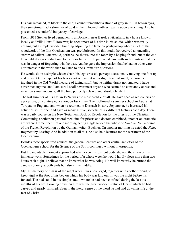His hair remained jet black to the end; I cannot remember a strand of grey in it. His brown eyes, they sometimes had a shimmer of gold in them, looked with sympathy upon everything. And he possessed a wonderful buoyancy of carriage.

From 1913 Steiner lived permanently at Dornach, near Basel, Switzerland, in a house known locally as "Villa Hansi." However, he spent most of his time in his studio, which was really nothing but a simple wooden building adjoining the large carpentry-shop where much of the woodwork of the first Goetheanum was prefabricated. In this studio he received an unending stream of callers. One would, perhaps, be shown into the room by a helping friend, but at the end he would always conduct one to the door himself. He put one at ease with such courtesy that one was in danger of forgetting who he was. And he gave the impression that he had no other care nor interest in the world than to listen to one's immature questions.

He would sit on a simple wicker chair, his legs crossed, perhaps occasionally moving one foot up and down. On the lapel of his black coat one might see a slight trace of snuff, because he indulged in the Old-World pleasure of taking snuff, but he neither drank nor smoked. I have never met anyone, and I am sure I shall never meet anyone who seemed so constantly at rest and in action simultaneously, all the time perfectly relaxed and absolutely alert.

The last summer of his life, in 1924, was the most prolific of all. He gave specialized courses on agriculture, on curative education, on Eurythmy. Then followed a summer school in August at Torquay in England; and when he returned to Dornach in early September, he increased his activities still further and gave as many as five, sometimes six different lectures each day. There was a daily course on the New Testament Book of Revelation for the priests of the Christian Community, another on pastoral medicine for priests and doctors combined, another on dramatic art, where I remember him one morning acting singlehanded the whole of *Dantons Tod*, a drama of the French Revolution by the German writer, Buchner. On another morning he acted the *Faust* fragment by Lessing. And in addition to all this, he also held lectures for the workmen of the Goetheanum.

Besides these specialized courses, the general lectures and other central activities of the Goetheanum School for the Science of the Spirit continued without interruption.

But the inevitable moment approached when even his resilient body showed the strain of his immense work. Sometimes for the period of a whole week he would hardly sleep more than two hours each night. I believe that he knew what he was doing. He well knew why he burned the candle not only at both ends but also in the middle.

My last memory of him is of the night when I was privileged, together with another friend, to keep vigil at the foot of his bed on which his body was laid out. It was the night before his funeral. The bed stood in his simple studio where he had been confined during the last six months of his life. Looking down on him was the great wooden statue of Christ which he had carved and nearly finished. Even in the literal sense of the word he had laid down his life at the feet of Christ.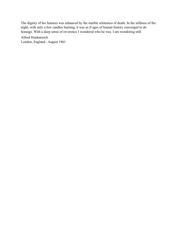The dignity of his features was enhanced by the marble whiteness of death. In the stillness of the night, with only a few candles burning, it was as if ages of human history converged to do homage. With a deep sense of reverence I wondered who he was. I am wondering still.

Alfred Heidenreich London, England - August 1961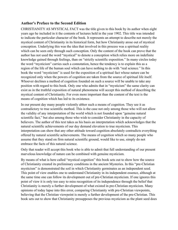#### **Author's Preface to the Second Edition**

CHRISTIANITY AS MYSTICAL FACT was the title given to this book by its author when eight years ago he included in it the contents of lectures held in the year 1902. This title was intended to indicate the particular character of the book. It represents an attempt to describe not merely the mystical content of Christianity in its historical form, but how Christianity arose out of mystical conception. Underlying this was the idea that involved in this process was a spiritual reality which can be seen only through such conception. Only the content of the book can prove that the author has not used the word "mystical" to denote a conception which relies more on indefinite knowledge gained through feelings, than on "strictly scientific exposition." In many circles today the word "mysticism" carries such a connotation, hence the tendency is to explain this as a region of the life of the human soul which can have nothing to do with "real science." In this book the word "mysticism" is used for the exposition of a spiritual fact whose nature can be recognized only when the powers of cognition are taken from the source of spiritual life itself. Whoever declines a method of cognition founded on such a source will be unable to take any position with regard to this book. Only one who admits that in "mysticism" the same clarity can exist as in the truthful exposition of natural phenomena will accept this method of describing the mystical content of Christianity. For even more important than the content of the text is the means of cognition which has led to its existence.

In our present day many people violently abhor such a means of cognition. They see it as contradictory to true scientific method. This is the case not only among those who will not allow the validity of any interpretation of the world which is not founded upon "genuine natural scientific fact," but also among those who wish to consider Christianity in the capacity of believers. The author of this text takes as his basis an interpretation which acknowledges that the natural scientific achievements of our day demand elevation to true mysticism. This interpretation can show that any other attitude toward cognition absolutely contradicts everything offered by natural scientific achievements. The means of cognition which so many people who assume that they stand on firm natural scientific ground, would like to use, simply do not embrace the facts of this natural science.

Only that reader will accept this book who is able to admit that full understanding of our present marvelous knowledge of nature can be combined with genuine mysticism.

By means of what is here called "mystical cognition" this book sets out to show how the source of Christianity created its preliminary conditions in the ancient Mysteries. In this "pre-Christian mysticism" is demonstrated the soil in which Christianity germinates as an independent seed. This point of view enables one to understand Christianity in its independent essence, although at the same time one can follow its development out of pre-Christian mysticism. If one ignores this point of view it is only too easy to miss recognition of its independence through the belief that Christianity is merely a further development of what existed in pre-Christian mysticism. Many opinions of today lapse into this error, comparing Christianity with pre-Christian viewpoints, believing that the Christian viewpoint is merely a further development of the pre-Christian. This book sets out to show that Christianity presupposes the previous mysticism as the plant seed does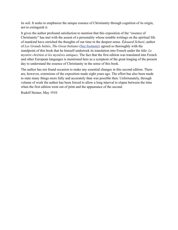its soil. It seeks to emphasize the unique essence of Christianity through cognition of its origin, not to extinguish it.

It gives the author profound satisfaction to mention that this exposition of the "essence of Christianity" has met with the assent of a personality whose notable writings on the spiritual life of mankind have enriched the thoughts of our time in the deepest sense. *Édouard Schuré*, author of *Les Grands Initiés*, *The Great Initiates* ([See footnote\)](#page-113-1), agreed so thoroughly with the standpoint of this book that he himself undertook its translation into French under the title: *Le mystère chrétien et les mystères antiques*. The fact that the first edition was translated into French and other European languages is mentioned here as a symptom of the great longing of the present day to understand the essence of Christianity in the sense of this book.

The author has not found occasion to make any essential changes in this second edition. There are, however, extensions of the exposition made eight years ago. The effort has also been made to state many things more fully and accurately than was possible then. Unfortunately, through volume of work the author has been forced to allow a long interval to elapse between the time when the first edition went out of print and the appearance of the second.

Rudolf Steiner, May 1910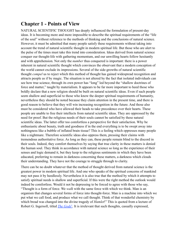# **Chapter 1 - Points of View**

NATURAL SCIENTIFIC THOUGHT has deeply influenced the formulation of present-day ideas. It is becoming more and more impossible to describe the spiritual requirements of the "life of the soul" without reference to the methods of thinking and the conclusions of natural science. However, it must be admitted that many people satisfy these requirements without taking into account the trend of natural scientific thought in modern spiritual life. But those who are alert to the pulse of the times must take this trend into consideration. Ideas derived from natural science conquer our thought-life with gathering momentum, and our unwilling hearts follow hesitantly and with apprehension. Not only the *number* thus conquered is important: there is a power inherent in natural scientific thought which convinces the observant that a modern conception of the world cannot exclude its impressions. Several of the side-growths of natural scientific thought *compel* us to reject which this method of thought has gained widespread recognition and attracts people as if by magic. The situation is not altered by the fact that isolated individuals can see how true science, through its own power has "long" led beyond the "shallow doctrines of force and matter," taught by materialism. It appears to be far more important to heed those who boldly declare that a new religion should be built on natural scientific ideas. Even if such people seem shallow and superficial to those who know the deeper spiritual requirements of humanity, nevertheless they should be noted because they claim attention in the present time, and there is good reason to believe that they will win increasing recognition in the future. And those also must be considered who have allowed their heads to take precedence over their hearts. These people are unable to free their intellects from natural scientific ideas. They are oppressed by the need for proof. But the religious needs of their souls cannot be satisfied by these natural scientific ideas. The latter offer too comfortless a perspective for their satisfaction. Why be enthusiastic about beauty, truth and goodness if in the end everything is to be swept away into nothingness like a bubble of inflated brain tissue? This is a feeling which oppresses many people like a nightmare. Therefore scientific ideas also oppress them, pressing their claims with tremendous authoritative force. As long as they can, these people remain blind to the discord in their souls. Indeed, they comfort themselves by saying that true clarity in these matters is denied the human soul. They think in accordance with natural science so long as the experience of their senses and logic demand it, but they keep to the religious sentiments in which they have been educated, preferring to remain in darkness concerning these matters, a darkness which clouds their understanding. They have not the courage to struggle through to clarity.

There can be no doubt whatever that the method of thought derived from natural science is the greatest power in modern spiritual life. And one who speaks of the spiritual concerns of mankind may not pass it by heedlessly. Nevertheless it is also true that the method by which it attempts to satisfy spiritual needs is shallow and superficial. If this were the right method the outlook would indeed be comfortless. Would it not be depressing to be forced to agree with those who say, "Thought is a form of force. We *walk* with the same force with which we think. Man is an organism that changes several forms of force into thought-force. Man is a machine into which we put what we call food, and produce what we call thought. Think of that wonderful chemistry by which bread was changed into the divine tragedy of *Hamlet*!" This is quoted from a lecture of Robert G. Ingersoll, titled *The Gods*<sup>1</sup>. It is irrelevant that such thoughts, casually expressed,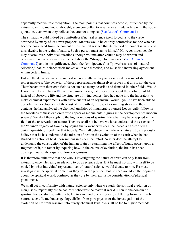apparently receive little recognition. The main point is that countless people, influenced by the natural scientific method of thought, seem compelled to assume an attitude in line with the above quotation, even when they believe they are not doing so. ([See Author's Comment 1\)](#page-91-0)

The situation would indeed be comfortless if natural science itself forced us to the credo advanced by many of its newer prophets. Matters would be entirely comfortless for one who has become convinced from the content of this natural science that its method of thought is valid and unshakeable in the realm of nature. Such a person must say to himself, However much people may quarrel over individual questions, though volume after volume may be written and observation upon observation collected about the "struggle for existence" ([See Author's](#page-91-1)  [Comment 2](#page-91-1)) and its insignificance, about the "omnipotence" or "powerlessness" of "natural selection," natural science itself moves on in one direction, and must find increasing agreement within certain limits.

But are the demands made by natural science really as they are described by some of its representatives? The behavior of these representatives themselves proves that this is not the case. Their behavior in their own field is not such as many describe and demand in other fields. Would Darwin and Ernst Haeckel<sup>1a</sup> ever have made their great discoveries about the evolution of life if, instead of observing life and the structure of living beings, they had gone into the laboratory to make chemical experiments with tissue cut out of an organism? Would Lyell<sup>1b</sup> have been able to describe the development of the crust of the earth if, instead of examining strata and their contents, he had analyzed the chemical qualities of innumerable stones? Let us really follow in the footsteps of these explorers who appear as monumental figures in the development of modern science! We shall then apply to the higher regions of spiritual life what they have applied in the field of the observation of nature. Then we shall not believe we have understood the essence of the "divine" tragedy of *Hamlet* by saying that a wonderful chemical process transformed a certain quantity of food into that tragedy. We shall believe it as little as a naturalist can seriously believe that he has understood the mission of heat in the evolution of the earth when he has studied the action of heat upon sulphur in a chemical retort. Neither does he attempt to understand the construction of the human brain by examining the effect of liquid potash upon a fragment of it, but rather by inquiring how, in the course of evolution, the brain has been developed out of the organs of lower organisms.

It is therefore quite true that one who is investigating the nature of spirit can only learn from natural science. He really needs only to do as science does. But he must not allow himself to be misled by what individual representatives of natural science would dictate to him. He must investigate in the spiritual domain as they do in the physical, but he need not adopt their opinions about the spiritual world, confused as they are by their exclusive consideration of physical phenomena.

We shall act in conformity with natural science only when we study the spiritual evolution of man just as impartially as the naturalist observes the material world. Then in the domain of spiritual life we shall admittedly be led to a method of consideration differing from the purely natural scientific method as geology differs from pure physics or the investigation of the evolution of life from research into purely chemical laws. We shall be led to higher methods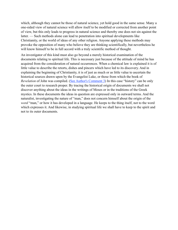which, although they cannot be those of natural science, yet hold good in the same sense. Many a one-sided view of natural science will allow itself to be modified or corrected from another point of view, but this only leads to progress in natural science and thereby one does not sin against the latter. — Such methods alone can lead to penetration into spiritual developments like Christianity, or the world of ideas of any other religion. Anyone applying these methods may provoke the opposition of many who believe they are thinking scientifically, but nevertheless he will know himself to be in full accord with a truly scientific method of thought.

An investigator of this kind must also go beyond a merely historical examination of the documents relating to spiritual life. This is necessary just because of the attitude of mind he has acquired from the consideration of natural occurrences. When a chemical law is explained it is of little value to describe the retorts, dishes and pincers which have led to its discovery. And in explaining the beginning of Christianity, it is of just as much or as little value to ascertain the historical sources drawn upon by the Evangelist Luke, or those from which the book of *Revelation* of John was compiled. [\(See Author's Comment 3](#page-91-2)) In this case "history" can be only the outer court to research proper. By tracing the historical origin of documents we shall not discover anything about the ideas in the writings of Moses or in the traditions of the Greek mystics. In these documents the ideas in question are expressed only in outward terms. And the naturalist, investigating the nature of "man," does not concern himself about the origin of the *word* "man," or how it has developed in a language. He keeps to the thing itself, not to the word which expresses it. And likewise, in studying spiritual life we shall have to keep to the spirit and not to its outer documents.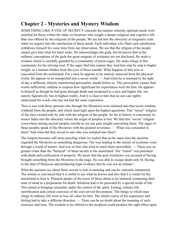# **Chapter 2 - Mysteries and Mystery Wisdom**

SOMETHING LIKE A VEIL OF SECRECY conceals the manner whereby spiritual needs were satisfied for those within the older civilizations who sought a deeper religious and cognitive life than was offered by the religions of the people. We are led into the obscurity of enigmatic cults when we inquire into the satisfaction of these needs. Each individual who finds such satisfaction withdraws himself for some time from our observation. We see that the religion of the people cannot give him what his heart seeks. He acknowledges the gods, but he knows that in the ordinary conceptions of the gods the great enigmas of existence are not disclosed. He seeks a wisdom which is carefully guarded by a community of priest-sages. He seeks refuge in this community for his striving soul. If the sages find him mature they lead him step by step to higher insight, in a manner hidden from the eyes of those outside. What happens to him now is concealed from the uninitiated. For a time he appears to be entirely removed from the physical world. He appears to be transported into a secret world. — And when he is returned to the light of day a different, entirely transformed personality stands before us. This personality cannot find words sufficiently sublime to express how significant his experiences were for him. He appears to himself as though he had gone through death and awakened to a new and higher life, not merely figuratively, but in highest reality. And it is clear to him that no one can rightly understand his words who has not had the same experience.

Thus it was with those persons who through the Mysteries were initiated into that secret wisdom, withheld from the people, and which shed light upon the highest questions. This "secret" religion of the elect existed side by side with the religion of the people. So far as history is concerned, its source fades into the obscurity where the origin of peoples is lost. We find this "secret" religion everywhere among ancient peoples insofar as we can gain insight concerning them. The sages of these peoples speak of the Mysteries with the greatest reverence. — What was concealed in them? And what did they reveal to one who was initiated into them?

The enigma becomes still more puzzling when we realize that at the same time the ancients regarded the Mysteries as something dangerous. The way leading to the secrets of existence went through a world of terrors. And woe to him who tried to reach them unworthily. — There was no greater crime than the "betrayal" of these secrets to the uninitiated. The "traitor" was punished with death and confiscation of property. We know that the poet Aeschylus was accused of having brought something from the Mysteries to the stage. He was able to escape death only by fleeing to the altar of Dionysus and producing legal evidence that he was not an initiate. $\frac{2}{3}$ 

What the ancients say about these secrets is rich in meaning and can be variously interpreted. The initiate is convinced that it is sinful to say what he knows and also that it is sinful for the uninitiated to hear it. Plutarch speaks of the terror of those about to be initiated, comparing their state of mind to a preparation for death. Initiation had to be preceded by a special mode of life. This aimed at bringing sensuality under the control of the spirit. Fasting, solitary life, mortification and certain exercises of the soul served this purpose. The things to which man clings in ordinary life were to lose all value for him. The whole course of his experience and feeling had to take a different direction. — There can be no doubt about the meaning of such exercises and tests. The wisdom to be offered to the neophyte could produce the right effect upon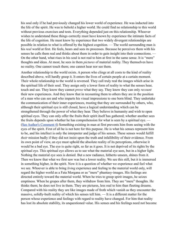his soul only if he had previously changed his lower world of experience. He was inducted into the life of the spirit. He was to behold a higher world. He could find no relationship to this world without previous exercises and tests. Everything depended just on this relationship. Whoever wishes to understand these things correctly must have known by experience the intimate facts of the life of cognition. He must know by experience that two widely divergent relationships are possible in relation to what is offered by the highest cognition. — The world surrounding man is his *real* world at first. He feels, hears and sees its processes. Because he perceives them with his senses he calls them real and thinks about them in order to gain insight into their connections. — On the other hand, what rises in his soul is not real to him at first in the same sense. It is "mere" thoughts and ideas. At most, he sees in them *pictures* of material reality. They themselves have no reality. One cannot touch them; one cannot hear nor see them.

Another relationship to the world exists. A person who clings at all costs to the kind of reality described above, will hardly grasp it. It enters the lives of certain people at a certain moment. Their whole relationship to the world is reversed. They call truly real the images which arise in the spiritual life of their soul. They assign only a lower form of reality to what the senses hear, touch and see. They know they cannot *prove* what they say. They know they can only *recount* their new experiences. And they know that in recounting them to others they are in the position of a man who can see and who imparts his visual impressions to one born blind. They undertake the communication of their inner experiences, trusting that they are surrounded by others, who, although their spiritual eye is still closed, have a logical understanding which can be strengthened through the power of what they hear. They believe in humanity and wish to open spiritual eyes. They can only offer the fruits their spirit itself has gathered; whether another sees the fruits depends upon whether he has comprehension for what is seen by a spiritual eye. — ([See Author's Comment 4\)](#page-91-3) Something existing in man at first prevents him from seeing with the eyes of the spirit. First of all he is not here for this purpose. He is what his senses represent him to be, and his intellect is only the interpreter and judge of his senses. These senses would fulfill *their* mission badly if they did not insist upon the truth and infallibility of their evidence. From its own point of view, an eye must uphold the absolute reality of its perceptions, otherwise it would be a bad eye. The eye is quite right, so far as it goes. It is not deprived of its rights by the spiritual eye. This spiritual eye allows us to see what the material eye sees, but in a higher light. Nothing the material eye sees is denied. But a new radiance, hitherto unseen, shines from it. Then we know that what we first saw was but a lower reality. We see this still, but it is immersed in something higher, in the spirit. Now it is a question of whether we experience and feel what we see. Whoever is able to bring *living* experience and feeling to the material world only, will regard the higher world as a Fata Morgana or as "mere" phantasy-images. His feelings are directed entirely toward the material world. When he tries to grasp spirit images, he seizes emptiness. When he gropes after them, they withdraw from him. They are "mere" thoughts. He thinks them; he does not live in them. They are pictures, less real to him than fleeting dreams. Compared with his reality they are like images made of froth which vanish as they encounter the massive, solidly-built reality of which his senses tell him. — It is a different matter for the person whose experience and feelings with regard to reality have changed. For him that reality has lost its absolute stability, its unquestioned value. His senses and his feelings need not become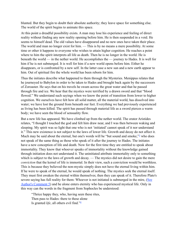blunted. But they begin to doubt their absolute authority; they leave space for something else. The world of the spirit begins to animate this space.

At this point a dreadful possibility exists. A man may lose his experience and feeling of direct reality without finding any new reality opening before him. He is then suspended in a void. He seems to himself dead. The old values have disappeared and no new ones have taken their place. The world and man no longer exist for him. — This is by no means a mere possibility. At some time or other it happens to everyone who wishes to attain higher cognition. He reaches a point where to him the spirit interprets all life as death. Then he is no longer in the world. He is beneath the world — in the nether world. He accomplishes the — journey to Hades. It is well for him if he is not submerged. It is well for him if a new world opens before him. Either he disappears, or is confronted by a new self. In the latter case a new sun and a new earth appear to him. Out of spiritual fire the whole world has been reborn for him.

Thus the initiates describe what happened to them through the Mysteries. Menippus relates that he journeyed to Babylon in order to be taken to Hades and brought back again by the successors of Zoroaster. He says that on his travels he swam across the great water and that he passed through fire and ice. We hear that the mystics were terrified by a drawn sword and that "blood flowed." We understand such sayings when we know the point of transition from lower to higher cognition. We ourselves have felt how all solid matter, all the material world, has dissolved into water; we have lost the ground from beneath our feet. Everything we had previously experienced as living has been killed. The spirit has passed through material life as a sword pierces a warm body; we have seen the blood of sensuality flow.

But a new life has appeared. We have climbed up from the nether world. The orator Aristides relates, "I thought I touched the god and felt him draw near, and I was then between waking and sleeping. My spirit was so light that one who is not 'initiated' cannot speak of it nor understand it." This new existence is not subject to the laws of lower life. Growth and decay do not affect it. Much may be said about the eternal, but one's words will be "but sound and smoke,"<sup>3</sup> who does not speak of the same thing as those who speak of it after the journey to Hades. The initiates have a new conception of life and death. Now for the first time they are entitled to speak about immortality. They know that whoever speaks of immortality without the knowledge gained through initiation does not understand it. The uninitiated attribute immortality only to something which is subject to the laws of growth and decay. — The mystics did not desire to gain the mere *conviction* that the kernel of life is immortal. In their view, such a conviction would be worthless. This is because they believed the non-mystic simply does not have the eternal living within him. If he were to speak of the eternal, he would speak of nothing. The mystics seek the eternal itself. They must first awaken the eternal within themselves; then they can speak of it. Therefore Plato's severe saying has full reality for them: Whoever is not initiated is submerged in the mire, (See [Author's Comment 5](#page-91-4)) and he alone enters eternity who has experienced mystical life. Only in this way can the words in the fragment from Sophocles be understood:

"Thrice happy they, who, having seen these rites, Then pass to Hades: there to these alone Is granted *life*, all others evil find." $\frac{4}{3}$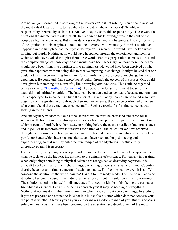Are not *dangers* described in speaking of the Mysteries? Is it not robbing men of happiness, of the most valuable part of life, to lead them to the gate of the nether world? Terrible is the responsibility incurred by such an act. And yet, may we shirk this responsibility? These were the questions the initiate had to ask himself. In his opinion his knowledge was to the soul of the people as light is to darkness. But in this darkness dwells innocent happiness. The mystics were of the opinion that this happiness should not be interfered with wantonly. For what would have happened in the first place had the mystic "betrayed" his secret? He would have spoken words, nothing but words. Nothing at all would have happened through the experiences and feelings, which should have evoked the spirit from these words. For this, preparation, exercises, tests and the complete change of sense-experience would have been necessary. Without these, the hearer would have been flung into emptiness, into nothingness. He would have been deprived of what gave him happiness without being able to receive anything in exchange. It might be said that one could not have taken anything from him. For certainly mere words could not change his life of experience. He could only have *experienced* reality through the objects of his senses. One could have given him nothing but a dreadful, life-destroying *apprehension*. This could be regarded only as a crime. ([See Author's Comment 6\)](#page-91-5) The above is no longer fully valid today for the acquisition of spiritual cognition. The latter can be understood conceptually because modern man has a capacity to form concepts which the ancients lacked. Today people can be found who have cognition of the spiritual world through their own experience; they can be confronted by others who comprehend these experiences conceptually. Such a capacity for forming concepts was lacking in the ancients.

Ancient Mystery wisdom is like a hothouse plant which must be cherished and cared for in seclusion. To bring it into the atmosphere of everyday conceptions is to put it in an element in which it cannot flourish. It withers away to nothing before the caustic verdict of modern science and logic. Let us therefore divest ourselves for a time of all the education we have received through the microscope, telescope and the ways of thought derived from natural science; let us purify our hands which have become clumsy and have been too busy dissecting and experimenting, so that we may enter the pure temple of the Mysteries. For this a truly unprejudiced mind is necessary.

For the mystic, everything depends primarily upon the frame of mind in which he approaches what he feels to be the highest, the answers to the enigmas of existence. Particularly in our time, when only things pertaining to physical science are recognized as deserving cognition, it is difficult to believe that for the highest things, everything depends on a frame of mind. Cognition thereby becomes an intimate concern of each personality. For the mystic, however, it is so. Tell someone the solution of the world-enigma! Hand it to him ready-made! The mystic will consider it nothing but empty sound if the individual does not confront this solution in the right manner. The solution is nothing in itself; it disintegrates if it does not kindle in his feeling the particular fire which is essential. Let a divine being approach you! It may be nothing or everything. Nothing, if you meet it in the frame of mind in which you confront everyday things. Everything, if you are prepared and attuned to it. What it is in itself is a matter which does not concern you; the point is whether it leaves you as you were or makes a different man of you. But this depends solely on you. You must have been prepared by the education and development of the most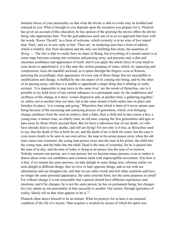intimate forces of your personality so that what the divine is able to evoke may be kindled and released in you. What is brought to you depends upon the reception you prepare for it. Plutarch has given an account of this education; he has spoken of the greeting the mystic offers the divine being who approaches him: "For the god addresses each one of us as we approach him here with the words 'Know Thyself,' as a form of welcome, which certainly is in no wise of less import than 'Hail;' and we in turn reply to him 'Thou art,' as rendering unto him a form of address which is truthful, free from deception and the only one befitting him alone, the assertion of *Being*. — The fact is that we really have no share in Being, but everything of a mortal nature is at some stage between coming into existence and passing away, and presents only a dim and uncertain semblance and appearance of itself; and if you apply the whole force of your mind in your desire to apprehend it, it is like unto the violent grasping of water, which, by squeezing and compression, loses the handful enclosed, as it spurts through the fingers; even so Reason, pursuing the exceedingly clear appearance of every one of those things that are susceptible to modification and change, is baffled by the one aspect of its coming into being, and by the other of its passing away; and thus it is unable to apprehend a single thing that is abiding or really existent. 'It is impossible to step twice in the same river' are the words of Heraclitus, nor is it possible to lay hold twice of any mortal substance in a permanent state; by the suddenness and swiftness of the change in it there 'comes dispersion and, at another time, a gathering together;' or, rather, not at another time nor later, but at the same instant it both settles into its place and forsakes its place; 'it is coming and going.' Wherefore that which is born of it never attains unto being because of the unceasing and unstaying process of generation, which, ever bringing change, produces from the seed an embryo, then a babe, then a child and in due course a boy, a young man, a mature man, an elderly man, an old man, causing the first generations and ages to pass away by those which succeed them. But we have a ridiculous fear of one death, we who have already died so many deaths, and still are dying! For not only is it true, as Heraclitus used to say, that the death of fire is birth for air, and the death of air is birth for water, but the case is even more clearly to be seen in our own selves: the man in his prime passes away when the old man comes into existence, the young man passes away into the man in his prime, the child into the young man, and the babe into the child. Dead is the man of yesterday, for he is passed into the man of to-day; and the man of today is dying as he passes into the man of to-morrow. Nobody remains one person, nor is one person; but we become many persons, even as matter is drawn about some one semblance and common mold with imperceptible movement. Else how is it that, if we remain the same persons, we take delight in some things now, whereas earlier we took delight in different things; that we love or hate opposite things, and so too with our admirations and our disapprovals, and that we use other words and feel other emotions and have no longer the same personal appearance, the same external form, nor the same purposes in mind? For without change it is not reasonable that a person should have different experiences and emotions; and if he changes, he is not the same person, he has no permanent being, but changes his very nature as one personality in him succeeds to another. Our senses, through ignorance of reality, falsely tell us that what appears to be is." $\frac{5}{5}$ 

Plutarch often shows himself to be an initiate. What he portrays for us here is an essential condition of the life of a mystic. Man acquires a wisdom by means of which his spirit sees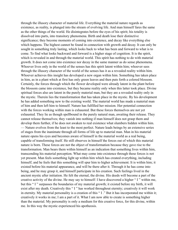through the illusory character of material life. Everything the material nature regards as existence, as reality, is plunged into the stream of evolving life. And man himself fares the same as the other things of the world. He disintegrates before the eyes of his spirit; his totality is dissolved into parts, into transitory phenomena. Birth and death lose their distinctive significance; they become moments of coming into existence, and decay like everything else which happens. The highest cannot be found in connection with growth and decay. It can only be sought in something truly lasting, which looks back to what has been and forward to what is to come. To find what looks backward and forward is a higher stage of cognition. It is the spirit, which is revealed in and through the material world. This spirit has nothing to do with material growth. It does not come into existence nor decay in the same manner as do sense phenomena. Whoever lives only in the world of the senses has this spirit latent within him; whoever sees through the illusory character of the world of the senses has it as a revealed reality within him. Whoever achieves this insight has developed a new organ within him. Something has taken place in him, as in a plant which at first has only green leaves and then puts forth a colored blossom. Certainly, the forces through which the flower developed were already latent in the plant before the blossom came into existence, but they became reality only when this latter took place. Divine spiritual forces also are latent in the purely material man, but they are a revealed reality only in the mystic. Therein lies the transformation that has taken place in the mystic. By his development he has added something new to the existing world. The material world has made a material man of him and then left him to himself. Nature has fulfilled her mission. Her potential connection with the forces working within man is exhausted. But these forces themselves are not yet exhausted. They lie as though spellbound in the purely natural man, awaiting their release. They cannot release themselves; they vanish into nothing if man himself does not grasp them and develop them further, if he does not awaken to real existence what slumbers hidden within him. — Nature evolves from the least to the most perfect. Nature leads beings by an extensive series of stages from the inanimate through all forms of life up to material man. Man in his material nature opens his eyes and becomes aware of himself in the material world as a real being, capable of transforming itself. He still observes in himself the forces out of which this material nature is born. These forces are not the object of transformation because they gave rise to the transformation. Man bears them within himself as an indication that something lives within him, transcending his material perception. What may come into existence through these forces is not yet present. Man feels something light up within him which has created everything, including himself; and he feels that this something will spur him to higher achievement. It is within him; it existed before his material appearance, and will be there after it. Through it he has come into being, and he may grasp it, and himself participate in his creation. Such feelings lived in the ancient mystic after initiation. He felt the eternal, the divine. His deeds will become a part of the creative activity of the divine. He may say to himself: I have discovered a higher " I " within me, but this "I" surpasses the boundaries of my material growth; it existed before my birth, it will exist after my death. Creatively this " I " has worked throughout eternity; creatively it will work in eternity. My material personality is a creation of this " I ." But it has incorporated me within it; creatively it works in me; I am a part of it. What I am now able to create is something higher than the material. My personality is only a medium for this creative force, for this divine, within me. In this way the mystic experienced his apotheosis.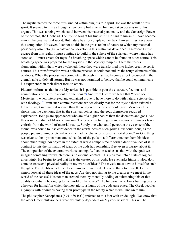The mystic named the force thus kindled within him, his true spirit. He was the result of this spirit. It seemed to him as though a new being had entered him and taken possession of his organs. This was a being which stood between his material personality and the Sovereign Power of the cosmos, the Godhead. The mystic sought his true spirit. He said to himself, I have become man in the great natural world. But nature has not completed her task. I myself must take over this completion. However, I cannot do this in the gross realm of nature to which my material personality also belongs. Whatever can develop in this realm has developed. Therefore I must escape from this realm. I must continue to build in the sphere of the spiritual, where nature has stood still. I must create for myself a breathing space which cannot be found in outer nature. This breathing space was prepared for the mystics in the Mystery temples. There the forces slumbering within them were awakened; there they were transformed into higher creative spiritnatures. This transformation was a delicate process. It could not endure the rough elements of the outdoors. When the process was completed, through it man had become a rock grounded in the eternal, able to defy all storms. But he was not permitted to believe that he could communicate his experiences in their direct form to others.

Plutarch informs us that in the Mysteries "it is possible to gain the clearest reflections and adumbrations of the truth about the daemons."<sup>6</sup> And from Cicero we learn that "those occult Mysteries ... when interpreted and explained prove to have more to do with natural science than with theology."<sup>7</sup> From such communications we see clearly that for the mystic there existed a higher insight into natural science than the religion of the people could give. Moreover this shows that the daemons, that is, the spiritual beings, and the gods themselves required explanation. Beings are approached who are of a higher nature than the daemons and gods. And this is in the nature of Mystery wisdom. The people pictured gods and daemons in images taken entirely from the world of material reality. Surely one who could penetrate the essence of the eternal was bound to lose confidence in the eternalness of such gods! How could Zeus, as the people pictured him, be eternal when he had the characteristics of a mortal being? — One thing was clear to the mystic: man attains his idea of the gods in a different manner from his ideas about other things. An object in the external world compels me to form a definitive idea of it. In contrast to this the formation of ideas of the gods has something free, even arbitrary, about it. The compulsion of the external world is lacking. Reflection teaches us that with the gods we imagine something for which there is no external control. This puts man into a state of logical uncertainty. He begins to feel that he is the creator of his gods. He even asks himself: How do I come to transcend physical reality in my world of ideas? The mystic must devote himself to such thoughts. The doubts which then beset him were justified. He could think to himself: Let us simply look at all these ideas of the gods. Are they not similar to the creatures we meet in the world of the senses? Has not man created them by mentally adding or subtracting this or that quality essentially belonging to the world of the senses? The barbarian who loves hunting creates a heaven for himself in which the most glorious hunts of the gods take place. The Greek peoples Olympus with divinities having their prototype in the reality which is well known to him.

The philosopher Xenophanes (575–480 B.C.) referred to this fact with crude logic. We know that the older Greek philosophers were absolutely dependent on Mystery wisdom. This will be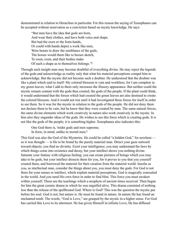demonstrated in relation to Heraclitus in particular. For this reason the saying of Xenophanes can be accepted without reservation as a conviction based on mystic knowledge. He says:

"But men have the idea that gods are born, And wear their clothes, and have both voice and shape. But had the oxen or the lions hands, Or could with hands depict a work like men, Were beasts to draw the semblance of the gods, The horses would them like to horses sketch, To oxen, oxen, and their bodies make Of such a shape as to themselves belongs."<sup>8</sup>

Through such insight man may become doubtful of everything divine. He may reject the legends of the gods and acknowledge as reality only that what his material perceptions compel him to acknowledge. But the mystic did not become such a doubter. He understood that the doubter was like a plant which said to itself: My colored blossom is vain and worthless, for I am complete in my green leaves; what I add to them only increases the illusory appearance. But neither could the mystic remain content with the gods thus created, the gods of the people. If the plant could think, it would understand that the forces which had created the green leaves are also destined to create the colored blossom. And it would not rest until it had investigated these forces for itself in order to see them. So it was for the mystic in relation to the gods of the people. He did not deny them nor declare them to be vain, but he knew that they were created by man. The same natural forces, the same divine elements which work creatively in nature also work creatively in the mystic. In him also they engender ideas of the gods. He wishes to see this force which is creating gods. It is not like the gods of the people; it is something higher. Xenophanes also indicates this:

One God there is, 'midst gods and men supreme; In form, in mind, unlike to mortal men. $9$ 

This God was also the God of the Mysteries. He could be called "a hidden God," for nowhere so it was thought — is He to be found by the purely material man. Direct your gaze outward toward objects; you find no divinity. Exert your intelligence; you may understand the laws by which things come into existence and decay, but your intellect shows you nothing divine. Saturate your fantasy with religious feeling; you can create pictures of beings which you may take to be gods, but your intellect dissects them for you, for it proves to you that you yourself created them, and borrowed the material for their creation from the material world. Insofar as you, as intellectual man, consider the things about you, you must deny the gods. For God is not there for your senses or intellect, which explain material perceptions. God is magically concealed in the world. And you need His own force in order to find Him. This force you must awaken within yourself. These are the teachings which a neophyte of ancient times received. Then began for him the great cosmic drama in which he was engulfed alive. This drama consisted of nothing less than the release of the spellbound God. Where is God? This was the question the mystic put before his soul. God is not, but nature is. He must be found in nature. In nature He has found an enchanted tomb. The words, "God is Love," are grasped by the mystic in a higher sense. For God has carried this Love to its uttermost. He has given Himself in infinite Love; He has diffused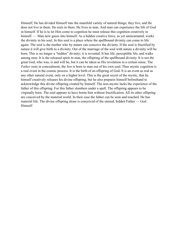Himself; He has divided Himself into the manifold variety of natural things; they live, and He does not live in them. He rests in them. He lives in man. And man can experience the life of God in himself. If he is to let Him come to cognition he must release this cognition creatively in himself. — Man now gazes into himself. As a hidden creative force, as yet unincarnated, works the divinity in his soul. In this soul is a place where the spellbound divinity can come to life again. The soul is the mother who by nature can conceive the divinity. If the soul is fructified by nature it will give birth to a divinity. Out of the marriage of the soul with nature a divinity will be born. This is no longer a "hidden" divinity; it is revealed. It has life, perceptible life, and walks among men. It is the released spirit in man, the offspring of the spellbound divinity. It is not the great God, who was, is and will be, but it can be taken as His revelation in a certain sense. The *Father* rests in concealment, the *Son* is born to man out of his own soul. Thus mystic cognition is a real event in the cosmic process. It is the birth of an offspring of God. It is an event as real as any other natural event, only on a higher level. This is the great secret of the mystic, that he himself creatively releases his divine offspring, but he also prepares himself beforehand to acknowledge this divine offspring created by himself. The non-mystic lacks the experience of the father of this offspring. For this father slumbers under a spell. The offspring appears to be virginally born. The soul appears to have borne him without fructification. All its other offspring are conceived by the material world. In their case the father can be seen and touched. He has material life. The divine offspring alone is conceived of the eternal, hidden Father — God Himself.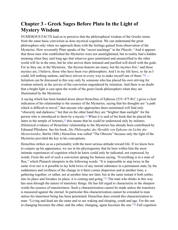# **Chapter 3 - Greek Sages Before Plato In the Light of Mystery Wisdom**

NUMEROUS FACTS lead us to perceive that the philosophical wisdom of the Greeks stems from the same basic conviction as does mystical cognition. We can understand the great philosophers only when we approach them with the feelings gained from observation of the Mysteries. How reverently Plato speaks of the "secret teachings" in the *Phaedo*: "And it appears that those men who established the Mysteries were not unenlightened, but in reality had a hidden meaning when they said long ago that whoever goes uninitiated and unsanctified to the other world will lie in the mire, but he who arrives there initiated and purified will dwell with the gods. For as they say in the Mysteries, 'the thyrsus-bearers are many, but the mystics few;' and these mystics are, I believe, those who have been *true* philosophers. And I in my life have, so far as I could, left nothing undone, and have striven in every way to make myself one of them." $\frac{10}{10}$  — Initiation can be discussed in this way only by someone who has placed his own striving for wisdom entirely at the service of the conviction engendered by initiation. And there is no doubt that a bright light is cast upon the words of the great Greek philosophers when they are illuminated by the Mysteries.

A saying which has been handed down about Heraclitus of Ephesus (535–475 B.C.) gives a clear indication of his relationship to the essence of the Mysteries, saying that his thoughts are "a path which is difficult to travel," that anyone who approaches them uninitiated will find only "obscurity and darkness," but that on the other hand they are "brighter than sunlight" for the person who is introduced to them by a mystic.<sup>11</sup> When it is said of his book that he placed the latter in the temple of Artemis, $\frac{12}{2}$  this means that he could be understood only by initiates. (Historical evidence of Heraclitus' relationship to the Mysteries has already been contributed by Edmund Pfleiderer. See his book, *Die Philosophie des Heraklit von Ephesus im Lichte der Mysterienidee*, Berlin 1886.) Heraclitus was called "The Obscure" because only the light of the Mysteries provided the key to his conceptions.

Heraclitus strikes us as a personality with the most serious attitude toward life. If we know how to conjure up his appearance, we see in his physiognomy that he bore within him the most intimate experiences of cognition which he knew could only be indicated, not expressed, by words. From the soil of such a conviction sprang his famous saying, "Everything is in a state of flux," which Plutarch interprets in the following words: "It is impossible to step twice in the same river nor is it possible to lay hold twice of any mortal substance in a permanent state, by the suddenness and swiftness of the change in it there comes dispersion and at another time, a gathering together; or rather, not at another time nor later, but at the same instant it both settles into its place and forsakes its place; it is coming and going." $\frac{13}{13}$  The man who thinks in this way has seen through the nature of transitory things. He has felt urged to characterize in the sharpest words the essence of transitoriness. Such a characterization cannot be made unless the transitory is measured against the eternal. In particular this characterization cannot be extended to man unless his innermost being has been penetrated. Heraclitus does extend this characterization to man: "Living and dead are the same and so are waking and sleeping, youth and age. For the one in changing becomes the other, and the other, changing, again becomes the one." $\frac{14}{4}$  Full cognition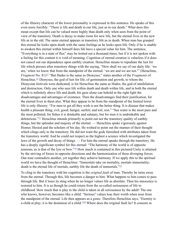of the illusory character of the lower personality is expressed in this sentence. He speaks of this even more forcibly: "There is life and death in our life, just as in our death." What does this mean except that life can be valued more highly than death only when seen from the point of view of the transitory. Death is decay to make room for new life, but the eternal lives in the new life as in the old. The same eternal appears in transitory life as in death. When man has grasped this eternal he looks upon death with the same feelings as he looks upon life. Only if he is unable to awaken this eternal within himself does life have a special value for him. The sentence, "Everything is in a state of flux" may be trotted out a thousand times, but if it is not spoken with a feeling for this content it is void of meaning. Cognition of eternal creation is valueless if it does not cancel out our dependence upon earthly creation. Heraclitus means to repudiate the lust for life which presses after transitory things with the saying, "How shall we say of our daily life: 'we are,' when we know that from the standpoint of the eternal: 'we are and we are not.'" (Heraclitus, *Fragment* No. 81)<sup>15</sup> "But Hades is the same as Dionysus," states another of the *Fragments* of Heraclitus.<sup>16</sup> Dionysus, the god of lust for life, of germination and growth, to whom the Dionysian festivals were dedicated, is for Heraclitus the same as Hades, the god of annihilation and destruction. Only one who sees life within death and death within life, and in both the eternal which is infinitely above life and death, his gaze alone can behold in the right light the disadvantages and advantages of existence. Then the disadvantages find their justification, for the eternal lives in them also. What they appear to be from the standpoint of the limited lower life is only illusory: "For men to get all they wish is not the better thing. It is disease that makes health a pleasant thing; evil, good; hunger, surfeit; and toil, rest." "Sea water is the most pure and the most polluted; for fishes it is drinkable and salutary, but for men it is undrinkable and deleterious."17 Heraclitus intends primarily to point out not the transitory quality of earthly things, but the splendor and majesty of the eternal. — Heraclitus spoke vigorously against Homer, Hesiod and the scholars of his day. He wished to point out the manner of their thought which clings only to the transitory. He did not want the gods furnished with attributes taken from the transitory world. And he could not respect as the highest a science which investigated the laws of the growth and decay of things. — For him the eternal speaks through the transitory. He has a deeply significant symbol for this eternal: "The harmony of the world is of opposite tensions, as is that of the lyre or bow." $^{18}$  How much is contained in this pictured Unity is attained by the striving of forces in opposite directions and the harmonization of these diverging forces. One tone contradicts another, yet together they achieve harmony. If we apply this to the spiritual world we have the thought of Heraclitus: "Immortals take on mortality, mortals immortality; death is the eternal life of mortals, earthly life the death of immortals."<sup>19</sup>

To cling to the transitory with his cognition is the *original fault* of man. Thereby he turns away from the eternal. Through this, life becomes a danger to him. What happens to him comes to pass through life. But it loses its sting when he no longer values life as absolute. Then his innocence is restored to him. It is as though he could return from the so-called seriousness of life to childhood. How much that is play to the child is taken in all seriousness by the adult! The one who knows, however, becomes like a child. "Serious" values lose their worth when seen from the standpoint of the eternal. Life then appears as a *game*. Therefore Heraclitus says, "Eternity is a child at play; it is the dominion of a child." $\frac{20}{20}$  Where does the original fault lie? It consists in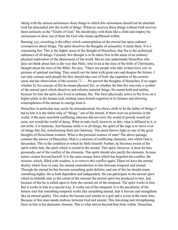taking with the utmost seriousness those things to which this seriousness should not be attached. God has descended into the world of things. Whoever receives these things without God receives them seriously as the "Tombs of God." He should play with them like a child and employ his seriousness to draw out of them the God who sleeps spellbound within.

Burning, yes, scorching is the effect which contemplation of the eternal has upon ordinary *assumptions* about things. The spirit dissolves the thoughts of sensuality; it melts them. It is a consuming fire. This is the higher sense of the thought of Heraclitus, that fire is the archetypal substance of all things. Certainly this thought is to be taken first in the sense of an ordinary physical exploration of the phenomena of the world. But no one understands Heraclitus who does not think about him in the way that Philo, who lived at the time of the birth of Christianity, thought about the laws of the Bible. He says, "There are people who take written laws *only* as pictures of spiritual teaching. They search out the latter with great care and despise the former. I can only censure such people for they should take care of *both*: the cognition of the esoteric sense and the observation of the exoteric." $\frac{21}{2}$  — We pervert the thoughts of Heraclitus if we argue whether by his concept of fire he meant physical fire, or whether for him fire was only a symbol of the eternal spirit which dissolves and reforms material things. He meant both and neither, because for him the spirit also lived in ordinary fire. The force physically active in fire lives on a higher plane in the human soul, melting sense-bound cognition in its furnace and allowing contemplation of the eternal to emerge from it.

Heraclitus in particular may easily be misunderstood. He allows strife to be the father of things,  $22$ but to him it is the father only of "things," not of the eternal. If there were no polarities in the world, if the most manifold conflicting interests did not exist, the world of growth would not exist, nor would the world of decay. What reveals itself, however, in this, what is diffused in it, is not strife; it is harmony. Just because strife is in all things, the spirit of the sage is to move over all things like fire, transforming them into harmony. This point throws light on one of the great thoughts of Heraclitean wisdom. What is the personal essence of man? The above passage contains the answer of Heraclitus. Man is a mixture of conflicting elements, into which God is descended. This is the condition in which he finds himself. Further, he becomes aware of the spirit within him, the spirit which is rooted in the eternal. This spirit, however, is born for him personally out of the conflict of the elements. This spirit should also pacify the elements. In man, nature creates beyond herself. It is the same unique force which has begotten the conflict, the mixture, which, filled with wisdom, is to remove this conflict again. There we have the eternal duality which lives in man, the eternal contradiction in him between temporal and eternal. Through the eternal he has become something quite definite, and out of this he should create something higher. He is both dependent and independent. He can participate in the eternal spirit which he beholds only to the extent of the mixture the eternal spirit has produced in him. Just because of this he is called upon to form the eternal out of the temporal. The spirit works in him. But it works in him in a special way. It works out of the temporal. It is the peculiarity of the human soul that something temporal works like something eternal, that it leavens and strengthens like an eternal quality. This makes the human soul similar to a god and a worm at the same time. Because of this man stands midway between God and animal. This leavening and strengthening force in him is his daemonic element. This is what strives beyond him from within. Heraclitus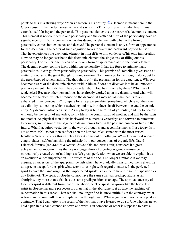points to this in a striking way: "Man's daemon is his destiny."23 (Daemon is meant here in the Greek sense. In the modern sense we would say spirit.) Thus for Heraclitus what lives in man extends itself far beyond the personal. This personal element is the bearer of a daemonic element. This element is not confined to one personality and the death and birth of the personality have no significance for it. What connection has this daemonic element with what in the form of personality comes into existence and decays? The personal element is only a form of appearance for the daemonic. The bearer of such cognition looks forward and backward beyond himself. That he experiences the daemonic element in himself is to him evidence of his own immortality. Now he may no longer ascribe to this daemonic element the single task of filling out his personality. For the personality can be only *one* form of appearance of the daemonic element. The daemon *cannot* confine itself within *one* personality. It has the force to animate many personalities. It can go from personality to personality. This premise of Heraclitus gives rise as a matter of course to the great thought of reincarnation. Not, however, to the thought alone, but to the *experience* of reincarnation. The thought is only the preparation for the experience. Whoever becomes aware of the daemonic element within himself does not discover it to be an innocent primary element. He finds that it has characteristics. How has it come by these? Why have I tendencies? Because other personalities have already worked upon my daemon. And what will become of the effect which I produce on the daemon, if I may not assume that its task is exhausted in my personality? I prepare for a later personality. Something which is not the same as a divinity, something which reaches beyond me, introduces itself between me and the cosmic unity. My daemon introduces itself. As my today is but the result of yesterday, and my tomorrow will only be the result of my today, so my life is the continuation of another, and will be the basis for another. As physical man looks backward on numerous yesterdays and forward to numerous tomorrows, so the soul of the sage beholds numerous lives in the past and numerous lives in the future. What I acquired yesterday in the way of thoughts and accomplishments, I use today. Is it not so with life? Do not men set foot upon the horizon of existence with the most varied faculties? Whence comes this variety? Does it come out of nothingness? — Our natural science congratulates itself on banishing the miracle from our conceptions of organic life. David Friedrich Strauss (see *Alter und Neuer Glaube*, Old and New Faith) considers it a great achievement of modern times that we no longer think of a perfect organic creature being miraculously created out of nothingness. We grasp perfection when we are able to explain it as an evolution out of imperfection. The structure of the ape is no longer a miracle if we may assume, as ancestors of the ape, primitive fish which have gradually transformed themselves. Let us agree to accept for the spirit what seems to us right with regard to nature. Is the perfected spirit to have the same origin as the imperfected spirit? Is Goethe to have the same disposition as any Hottentot? The spirit of Goethe cannot have the same spiritual predispositions as an aborigine, any more than a fish has the same predisposition as an ape. The spiritual ancestry of Goethe's spirit is different from that of the aborigine. The spirit has *grown* like the body. The spirit in Goethe has more predecessors than that in the aborigine. Let us take the teaching of reincarnation in this sense. Then we shall no longer find it "unscientific." On the contrary, what is found in the soul will then be explained in the right way. What is given will not be accepted as a miracle. That I can write is the result of the fact that I have learned to do so. One who has never held a pen in his hand cannot sit down and write. But someone or other is supposed to have a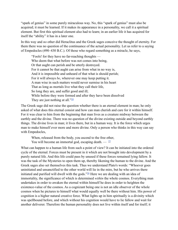"spark of genius" in some purely miraculous way. No, this "spark of genius" must also be acquired; it must be learned. If it makes its appearance in a personality, we call it a spiritual element. But first this spiritual element also had to learn; in an earlier life it has acquired for itself the "ability" it has in a later one.

In this way and *no* other did Heraclitus and the Greek sages conceive the thought of eternity. For them there was no question of the continuance of the actual personality. Let us refer to a saying of Empedocles (490–430 B.C.). Of those who regard something as a miracle, he says,

"Fools! for they have no far-reaching thoughts — Who deem that what before was not comes into being, Or that aught can perish and be utterly destroyed. For it cannot be that aught can arise from what in no way is, And it is impossible and unheard of that what is should perish; For it will always *be*, wherever one may keep putting it. A man wise in such matters would never surmise in his heart That as long as mortals live what they call their life, So long they are, and suffer good and ill; While before they were formed and after they have been dissolved They are just nothing at all." $\frac{24}{4}$ 

The Greek sage did not raise the question whether there is an eternal element in man; he only asked of what does this eternal consist and how can man cherish and care for it within himself. For it was clear to him from the beginning that man lives as a creature midway between the earthly and the divine. There was no question of the divine existing outside and beyond earthly things. The divine lives in man; it lives there, but in a human way. It is the force which urges man to make himself ever more and more divine. Only a person who thinks in this way can say with Empedocles,

When, released from the body, you ascend to the free ether, You will become an immortal god, escaping death.  $\frac{25}{3}$ 

What can happen to a human life from such a point of view? It can be initiated into the ordered cycle of the eternal. Forces must be present in it which are not brought into development by a purely natural life. And this life could pass by unused if these forces remained lying fallow. It was the task of the Mysteries to open them up, thereby likening the human to the divine. And the Greek sages also set themselves this task. Thus we understand Plato's words: "Whoever goes uninitiated and unsanctified to the other world will lie in the mire, but he who arrives there initiated and purified will dwell with the gods." $26$  Here we are dealing with an idea of immortality, the significance of which is determined *within* the whole cosmos. Everything man undertakes in order to awaken the eternal within himself he does in order to heighten the existence-value of the cosmos. As a cognizant being one is not an idle observer of the whole cosmos when he pictures to himself what would equally well be there without him. His power of cognition is a higher natural creative force. What lights up in him spiritually is a divinity which was spellbound before, and which without his cognition would have to lie fallow and wait for another deliverer. Therefore the human personality does not live within itself and for itself; it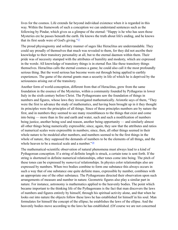lives for the cosmos. Life extends far beyond individual existence when it is regarded in this way. Within the framework of such a conception we can understand sentences such as the following by Pindar, which gives us a glimpse of the eternal: "Happy is he who has seen those Mysteries ere he passes beneath the earth. He knows the truth about life's ending, and he knows that its first seeds were of God's giving." $27$ 

The proud physiognomy and solitary manner of sages like Heraclitus are understandable. They could say proudly of themselves that much was revealed to them, for they did not ascribe their knowledge to their transitory personality at all, but to the eternal daemon within them. Their pride was of necessity stamped with the attributes of humility and modesty, which are expressed in the words: All knowledge of transitory things is in eternal flux like these transitory things themselves. Heraclitus calls the eternal cosmos a game; he could also call it the most profoundly serious thing. But the word serious has become worn out through being applied to earthly experiences. The game of the eternal grants man a security in life of which he is deprived by the seriousness arising out of the transitory.

Another form of world-conception, different from that of Heraclitus, grew from the same foundation in the essence of the Mysteries, within a community founded by Pythagoras in lower Italy in the sixth century before Christ. The Pythagoreans saw the foundation of things in numbers and figures, whose laws they investigated mathematically. Aristotle says of them, "They were the first to advance the study of mathematics, and having been brought up in it they thought its principles were the principles of all things. Since of these principles numbers are by nature the first, and in numbers they seemed to see many resemblances to the things that exist and come into being — more than in fire and earth and water, such and such a modification of numbers being justice, another being soul and reason, another being opportunity — and similarly almost all other things being numerically expressible; since, again, they saw that the attributes and ratios of numerical scales were expressible in numbers; since, then, all other things seemed in their whole nature to be modeled after numbers, and numbers seemed to be the first things in the whole of nature, they supposed the demands of numbers to be the elements of all things, and the whole heaven to be a musical scale and a number."<sup>28</sup>

The mathematical-scientific observation of natural phenomena must always lead to a kind of Pythagorean conception. If a string of definite length is struck, a certain tone is sent forth. If the string is shortened in definite numerical relationships, other tones come into being. The pitch of these tones can be expressed by *numerical* relationships. In physics color relationships also are expressed by numbers. When two bodies combine to form one substance this always occurs in such a way that of one substance one quite definite mass, expressible by number, combines with an appropriate one of the other substance. The Pythagoreans directed their observation upon such arrangements of measure and number in nature. Geometric figures also play a similar part in nature. For instance, astronomy is mathematics applied to the heavenly bodies. The point which became important to the thinking life of the Pythagoreans is the fact that man discovers the laws of numbers and figures entirely by himself, through his spiritual activity alone, and that when he looks out into nature the objects follow these laws he has established for himself in his soul. Man formulates for himself the concept of the ellipse; he establishes the laws of the ellipse. And the heavenly bodies move according to the laws he has established. (Of course we are not concerned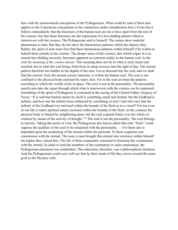here with the astronomical conceptions of the Pythagoreans. What could be said of them also applies to the Copernican conceptions in the connection under consideration here.) From this it follows immediately that the functions of the human soul are not a force apart from the rest of the cosmos, but that these functions are the expression of a law-abiding pattern which is interwoven with the cosmos. The Pythagorean said to himself: The senses show material phenomena to man. But they do not show the harmonious patterns which the objects obey. Rather, the spirit of man must first find these harmonious patterns within himself if he wishes to behold them outside in the cosmos. The deeper sense of the cosmos, that which reigns in it as eternal law-abiding necessity, becomes apparent as a present reality in the human soul. In the soul *the meaning of the cosmos dawns*. This meaning does not lie in what is seen, heard and touched, but in what the soul brings forth from its deep recesses into the light of day. The eternal pattern therefore lies hidden in the depths of the soul. Let us descend into the soul, and we shall find the eternal. God, the eternal cosmic harmony, is within the human soul. The soul is not confined to the physical body enclosed by man's skin. For in the soul are born the patterns according to which the worlds circle in space. The soul is not in the personality. The personality merely provides the organ through which what is interwoven with the cosmos can be expressed. Something of the spirit of Pythagoras is contained in the saying of the Church Father, Gregory of Nyssa: "It is said that human nature by itself is something small and limited, but the Godhead is infinite, and how has the infinite been embraced by something so tiny? And who says that the infinity of the Godhead was enclosed within the bounds of the flesh as in a vessel? For not even in our life is man's spiritual nature enclosed within the bounds of the flesh; on the contrary the physical body is limited by neighboring parts, but the soul expands freely over the whole of creation by means of the activity of thought." $29$  The soul is not the personality. The soul belongs to eternity. Taking this point of view, the Pythagorean also had to admit that only "fools" could suppose the qualities of the soul to be exhausted with the personality. — For them also it depended upon the awakening of the eternal within the personal. To them cognition was communion with the eternal. The more a man brought this eternal into existence within himself the higher they valued him. The life of their community consisted in fostering this communion with the eternal. In order to lead the members of the community to such communion, the Pythagorean education was established. This education, therefore, was a philosophical initiation. And the Pythagoreans could very well say that by their mode of life they strove toward the same goal as the Mystery cults.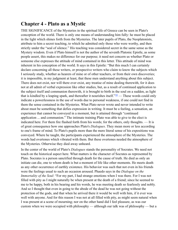# **Chapter 4 - Plato as a Mystic**

THE SIGNIFICANCE of the Mysteries in the spiritual life of Greece can be seen in Plato's conception of the world. There is only one means of understanding him fully: he must be placed in the light which shines forth from the Mysteries. The later pupils of Plato, the Neoplatonists, attribute to him a secret teaching, to which he admitted only those who were worthy, and then strictly under the "seal of silence." His teaching was considered secret in the same sense as the Mystery wisdom. Even if Plato himself is not the author of the seventh Platonic Epistle, as some people assert, this makes no difference for our purpose; it need not concern us whether Plato or someone else expresses the attitude of mind contained in this letter. This attitude of mind was inherent in his conception of the world. It says in this Epistle: "But this much I can certainly declare concerning all these writers, or prospective writers who claim to know the subjects which I seriously study, whether as hearers of mine or of other teachers, or from their own discoveries; it is impossible, in my judgment at least, that these men understand anything about this subject. There does not exist, nor will there ever exist, any treatise of mine dealing therewith, for it does not at all admit of verbal expression like other studies, but, as a result of continued application to the subject itself and communion therewith, it is brought to birth in the soul on a sudden, as light that is kindled by a leaping spark, and thereafter it nourishes itself.<sup>30</sup> — These words could only indicate a powerlessness in the use of words due to personal weakness, if one could not find in them the sense contained in the Mysteries. What Plato never wrote and never intended to write about must be something that defies expression in writing. It must be a feeling, a sensation, an experience that cannot be conveyed in a moment, but is attained through "continued application ... and communion." The intimate training Plato was able to give to the elect is indicated here. For them fire flashed forth from his words; for the others, only thoughts. — It is of great consequence how one approaches Plato's *Dialogues*. They mean more or less according to one's frame of mind. To Plato's pupils more than the mere literal sense of his expositions was conveyed. Where he taught, the participants experienced the atmosphere of the Mysteries. The words had overtones which vibrated with them. But these overtones needed the atmosphere of the Mysteries. Otherwise they died away unheard.

In the center of the world of Plato's *Dialogues* stands the personality of Socrates. We need not touch on the historical aspect here. What matters is the character of Socrates as represented by Plato. Socrates is a person sanctified through death for the cause of truth. He died as only an initiate can die, one to whom death is but a moment of life like other moments. He meets death as any other occurrence of earthly existence. His behavior was such that not even in his friends were the feelings usual to such an occasion aroused. Phaedo says in the *Dialogue on the Immortality of the Soul*: "For my part, I had strange emotions when I was there. For I was not filled with pity as I might naturally be when present at the death of a friend; since he seemed to me to be happy, both in his bearing and his words, he was meeting death so fearlessly and nobly. And so I thought that even in going to the abode of the dead he was not going without the protection of the gods, and that when he arrived there it would be well with him, if it ever was well with anyone. And for this reason I was not at all filled with pity, as might seem natural when I was present at a scene of mourning; nor on the other hand did I feel pleasure, as was our custom when we were occupied with philosophy — although our talk was of philosophy — but a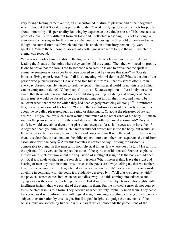very strange feeling came over me, an unaccustomed mixture of pleasure and of pain together, when I thought that Socrates was presently to die."<sup>31</sup> And the dying Socrates instructs his pupils about immortality. His personality, knowing by experience the valuelessness of life, here acts as proof of a quality very different from all logic and intellectual reasoning. It is not as though a man were conversing — for this man is at the point of crossing the threshold of death — but as though the eternal truth itself which had made its abode in a transitory personality, were speaking. Where the temporal dissolves into nothingness we seem to find the air in which the eternal can resound.

We hear no proofs of immortality in the logical sense. The whole dialogue is directed toward leading the friends to the point where they can behold the eternal. Then they will need no proofs. Is one to prove that the rose is red to someone who sees it? Is one to prove that the spirit is eternal to someone whose eyes have been opened so that he can see this spirit? — Socrates indicates living experiences. First of all it is a meeting with wisdom itself. What is the aim of the person who pursues wisdom? He wishes to free himself from all that his senses offer him in everyday observation. He wishes to seek the spirit in the material world. Is not this a fact which can be compared to dying? "Other people" — this is Socrates' opinion — "are likely not to be aware that those who pursue philosophy aright study nothing but dying and being dead. Now if this is true, it would be absurd to be eager for nothing but this all their lives, and then to be reluctant when that came for which they had been eagerly practicing all along." $\frac{32}{2}$  To reinforce this, Socrates asks one of his friends, "Do you think a philosopher would be likely to care much about the so-called pleasures, such as eating or drinking? ... Or about the pleasures of sexual desire? ... Do you believe such a man would think much of the other cares of the body — I mean such as the possession of fine clothes and shoes and the other personal adornments? Do you think he would care about them or despise them, except so far as it is necessary to have them? ... Altogether, then, you think that such a man would not devote himself to the body, but would, so far as he was able, turn away from the body and concern himself with the soul? ... To begin with, then, it is clear that in such matters the philosopher, more than other men, separates the soul from association with the body" $\frac{33}{2}$  After this Socrates is entitled to say: Striving for wisdom is comparable to dying, in that man turns from physical things. But where does he turn? He turns to the spiritual. However, can he expect the same of the spirit as of his senses? Socrates explains himself on this: "Now, how about the acquisition of intelligent insight? Is the body a hindrance or not, if it is made to share in the search for wisdom? What I mean is this: Have the sight and hearing of men any truth in them, or is it true, as the poets are always telling us, that we neither hear nor see accurately? ... Then, when does the soul attain to truth? For when it tries to consider anything in company with the body, it is evidently deceived by it." All that we perceive with  $\frac{34}{3}$ the physical senses comes into existence and dies away. And this coming into existence and dying away is the cause of our being deceived. But if we examine objects more thoroughly with intelligent insight, then we partake of the eternal in them. But the physical senses do not convey to us the eternal in its true form. They deceive us when we rely implicitly upon them. They cease to deceive us if we confront them with logical insight, making everything conveyed by the senses subject to examination by this insight. But if logical insight is to judge the statements of the senses, must not something live within this insight which transcends the perceptions of the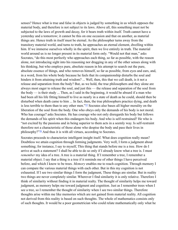senses? Hence what is true and false in objects is judged by something in us which opposes the material body, and therefore is not subject to its laws. Above all, this something must not be subjected to the laws of growth and decay, for it bears truth within itself. Truth cannot have a yesterday and a tomorrow; it cannot be this on one occasion and that on another, as material things are. Hence truth in itself must be eternal. As the philosopher turns away from the transitory material world, and turns to truth, he approaches an eternal element, dwelling within him. If we immerse ourselves wholly in the spirit, then we live entirely in truth. The material world around us is no longer present in its material form only. "Would not that man," asks Socrates, "do this most perfectly who approaches each thing, so far as possible, with the reason alone, not introducing sight into his reasoning nor dragging in any of the other senses along with his thinking, but who employs pure, absolute reason in his attempt to search out the pure, absolute essence of things, and who removes himself, so far as possible, from eyes and ears, and, in a word, from his whole body because he feels that its companionship disturbs the soul and hinders it from attaining truth and wisdom? ... Well, then, this that we call death, is it not a release and separation from the body? But, as we hold, the true philosophers and they alone are always most eager to release the soul, and just this — the release and separation of the soul from the body — is their study ... Then, as I said in the beginning, it would be absurd if a man who had been all his life fitting himself to live as nearly in a state of death as he could, should then be disturbed when death came to him ... In fact, then, the true philosophers practice dying, and death is less terrible to them than to any other men."35 Socrates also bases all higher morality on the liberation of the soul from the body. One who obeys only the demands of his body is not moral. Who has courage? asks Socrates. He has courage who not only disregards his body but follows the demands of his spirit when this endangers his body. And who is self-restrained? He who is "not excited by the passions and in being superior to them acts in a seemly way. Is self-restraint therefore not a characteristic of those alone who despise the body and pass their lives in philosophy?"36 And thus it is with all virtues, according to Socrates.

Socrates proceeds to characterize intelligent insight itself. What does cognition really mean? Doubtless we attain cognition through forming judgments. Very well, I form a judgment about something; for instance, I say to myself, This thing that stands before me is a tree. How do I arrive at such a statement? I shall be able to do so only if I already know what a tree is. I must *remember* my idea of a tree. A tree is a material thing. If I remember a tree, I remember a material object. I say that a thing is a tree if it reminds me of other things I have perceived before, and which I know to be trees. *Memory* enables me to reach cognition. Through memory I can compare the various material things with each other. But in this my cognition is not exhausted. If I see two similar things I form the judgment, These things are similar. But in reality two things are never completely similar. Wherever I find similarity it is only relative. Therefore I think of similarity without finding it in material realty. The thought of similarity helps me toward judgment, as memory helps me toward judgment and cognition. Just as I remember trees when I see a tree, so I remember the thought of similarity when I see two similar things. Therefore thoughts arise within me like memories which are not gained from material reality. All cognition not derived from this reality is based on such thoughts. The whole of mathematics consists only of such thoughts. It would be a poor geometrician who could relate mathematically only what he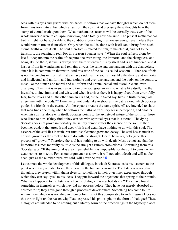sees with his eyes and grasps with his hands. It follows that we have thoughts which do not stem from transitory nature, but which arise from the spirit. And precisely these thoughts bear the stamp of eternal truth upon them. What mathematics teaches will be eternally true, even if the whole universe were to collapse tomorrow, and a totally new one arise. The present mathematical truths might not be applicable to the conditions prevailing in a new universe, nevertheless they would remain true in themselves. Only when the soul is alone with itself can it bring forth such eternal truths out of itself. The soul therefore is related to truth, to the eternal, and not to the transitory, the seemingly real. For this reason Socrates says, "When the soul reflects alone by itself, it departs into the realm of the pure, the everlasting, the immortal and the changeless, and being akin to these, it dwells always with them whenever it is by itself and is not hindered, and it has rest from its wanderings and remains always the same and unchanging with the changeless, since it is in communion therewith. And this state of the soul is called wisdom ... Then see, if this is not the conclusion from all that we have said, that the soul is most like the divine and immortal and intellectual and uniform and indissoluble and ever unchanging, and the body, on the contrary, most like the human and mortal and multiform and unintellectual and dissoluble and everchanging ...Then if it is in such a condition, the soul goes away into what is like itself, into the invisible, divine, immortal and wise, and when it arrives there it is happy, freed from error, folly, fear, fierce loves and all the other human ills and, as the initiated say, lives in truth through all after-time with the gods."37 Here we cannot undertake to show all the paths along which Socrates guides his friends to the eternal. All these paths breathe the same spirit. All are intended to show that man finds one thing when he follows the paths of transitory sense perception, and another when his spirit is alone with itself. Socrates points to the archetypal nature of the spirit for those who listen to him. If they find it they can see with spiritual eyes that it is eternal. The dying Socrates does not prove immortality: he simply demonstrates the essence of the soul. It then becomes evident that growth and decay, birth and death have nothing to do with this soul. The essence of the soul lies in truth, but truth itself cannot grow and decay. The soul has as much to do with growth as the crooked has to do with the straight. Death, however, belongs to this process of "growth." Therefore the soul has nothing to do with death. Must we not say that the immortal assumes mortality as little as the straight assumes crookedness. Continuing from this, Socrates says, "If the immortal is also imperishable, it is impossible for the soul to perish when death comes to meet it. For, as our argument has shown, it will not admit death and will not be dead, just as the number three, we said, will never be even."<sup>38</sup>

Let us trace the whole development of this dialogue, in which Socrates leads his listeners to the point where they are able to see the eternal in the human personality. The listeners absorb his thoughts; they search within themselves for something in their own inner experiences through which they can say "yes" to his ideas. They put forward the objections that spring to their minds. What has happened to the listeners when the dialogue has reached its end? They have found something in themselves which they did not possess before. They have not merely absorbed an abstract truth; they have gone through a process of development. Something has come to life within them which was not alive in them before. Is not this comparable to an *initiation*? Does not this throw light on the reason why Plato expressed his philosophy in the form of dialogue? These dialogues are intended to be nothing but a literary form of the proceedings in the Mystery places.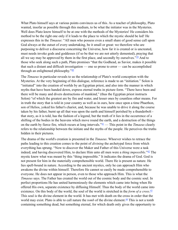What Plato himself says at various points convinces us of this. As a teacher of philosophy, Plato wanted, insofar as possible through this medium, to be what the initiator was in the Mysteries. Well does Plato know himself to be at one with the methods of the Mysteries! He considers his method to be the right one only if it leads to the place to which the mystic should be led! He expresses this in the *Timaeus*: "All men who possess even a small share of good sense call upon God always at the outset of every undertaking, be it small or great: we therefore who are purposing to deliver a discourse concerning the Universe, how far it is created or is uncreated, must needs invoke gods and goddesses (if so be that we are not utterly demented), praying that all we say may be approved by them in the first place, and secondly by ourselves." $\frac{39}{2}$  And to those who seek along such a path, Plato promises "that the Godhead, as Savior, makes it possible that such a distant and difficult investigation — one so prone to error — can be accomplished through an enlightened philosophy."<sup>40</sup>

<span id="page-41-0"></span>The *Timaeus* in particular reveals to us the relationship of Plato's world conception with the Mysteries. At the very beginning of this dialogue, reference is made to an "initiation." Solon is "initiated" into the creation of worlds by an Egyptian priest, and also into the manner in which myths that have been handed down, express eternal truths in picture form. "There have been and there will be many and divers destructions of mankind," (thus the Egyptian priest instructs Solon) "of which the greatest are by fire and water, and lesser ones by countless other means. For in truth the story that is told in your country as well as in ours, how once upon a time Phaethon, son of Helios, yoked his father's chariot, and, because he was unable to drive it along the course taken by his father, burnt up all that was upon the earth and himself perished by a thunderbolt that story, as it is told, has the fashion of a legend, but the truth of it lies in the occurrence of a shifting of the bodies in the heavens which move round the earth, and a destruction of the things on the earth by fierce fire, which recurs at long intervals."41 — This point in the *Timaeus* clearly refers to the relationship between the initiate and the myths of the people. He perceives the truths hidden in their pictures.

The drama of the world's creation is presented in the *Timaeus*. Whoever wishes to retrace the paths leading to this creation comes to the point of *divining* the archetypal force from which everything has sprung. "Now to discover the Maker and Father of this Universe were a task indeed; and having discovered Him, to declare Him unto all men were a *thing impossible*."<sup>42</sup> The mystic knew what was meant by this "thing impossible." It indicates the drama of God. God is not present for him in the materially comprehensible world. There He is present as nature. He lies spell-bound in nature. According to the ancient mystics, only he can approach Him who awakens the divine within himself. Therefore He cannot so easily be made comprehensible to everyone. He does not appear in person, even to those who approach Him. This is what the *Timaeus* says. The Father has created the world out of the cosmic body and the cosmic soul. In perfect proportions He has united harmoniously the elements which came into being when He offered His own, separate existence by diffusing Himself. Thus the body of the world came into existence. On this body of the world, the soul of the world is stretched in the *form of a cross*. 43 This soul is the divine element in the world. It has met with death on the cross in order that the world may exist. Plato is able to call nature the *tomb* of the divine element.<sup>44</sup> This is not a tomb containing something dead, but something eternal, for which death only gives the opportunity to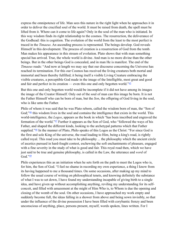express the omnipotence of life. Man sees this nature in the right light when he approaches it in order to deliver the crucified soul of the world. It must be raised from death, the spell must be lifted from it. Where can it come to life again? Only in the soul of the man who is initiated. In this way wisdom finds its right relationship to the cosmos. The resurrection, the deliverance of the Godhead: this is cognition. The evolution of the world from the least to the most perfect is traced in the *Timaeus*. An ascending process is represented. The beings develop. God reveals Himself in this development. The process of creation is a resurrection of God from the tomb. Man makes his appearance in this stream of evolution. Plato shows that with man something special has arrived. True, the whole world is divine. And man is no more divine than the other beings. But in the other beings God is concealed, and in man He is manifest. The end of the *Timaeus* reads: "And now at length we may say that our discourse concerning the Universe has reached its termination. For this our Cosmos has received the living creatures both mortal and immortal and been thereby fulfilled; it being itself a visible Living Creature embracing the visible creatures, a perceptible God made in the image of the Intelligible, most great and good and fair and perfect in its creation — even this one and only begotten world."<sup>45</sup>

But this one and only begotten world would be incomplete if it did not have among its images the image of the Creator Himself. Only out of the soul of man can this image be born. It is not the Father Himself who can be born of man, but the *Son*, the offspring of God living in the soul, who is like unto the Father.

Philo of whom it was said that he was Plato reborn, called the wisdom born of man, the "Son of God;<sup>"46</sup> this wisdom lives in the soul and contains the intelligence that exists in the world. This world-intelligence, the *Logos*, appears as the book in which "has been inscribed and engraved the formation of the world."47 Further it appears as the Son of God, who "followed the ways of his Father, and shaped the different kinds, looking to the archetypal patterns which that Father supplied."<sup>48</sup> In the manner of Plato, Philo speaks of this Logos as the Christ: "For since God is the first and sole King of the universe, the road leading to Him, being a king's road, is rightly called royal. This road you must take to be philosophy ... the philosophy which the ancient circle of ascetics pursued in hard-fought contest, eschewing the soft enchantments of pleasure, engaged with a fine severity in the study of what is good and fair. This royal road then, which we have just said to be true and genuine philosophy, is called in the Law, the utterance and *word* of God." $49$ 

<span id="page-42-0"></span>Philo experiences this as an initiation when he sets forth on the path to meet the Logos who is, for him, the Son of God. "I feel no shame in recording my own experience, a thing I know from its having happened to me a thousand times. On some occasions, after making up my mind to follow the usual course of writing on philosophical tenets, and knowing definitely the substance of what I was to set down, I have found my understanding incapable of giving birth to a single idea, and have given up without accomplishing anything, reviling my understanding for its selfconceit, and filled with amazement at the might of Him Who is, to Whom is due the opening and closing of the womb of the soul. On other occasions, I have approached my work empty and suddenly become full, the ideas falling in a shower from above and being sown invisibly, so that under the influence of the divine possession I have been filled with corybantic frenzy and been unconscious of anything, place, persons present, myself, words spoken, lines written. For I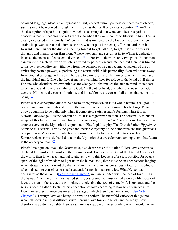obtained language, ideas, an enjoyment of light, keenest vision, pellucid distinctness of objects, such as might be received through the inner eye as the result of clearest cognition." $50$  — This is the description of a path to cognition which is so arranged that whoever takes this path is conscious that he becomes one with the divine when the *Logos* comes to life within him. This is clearly expressed in the words: "When the mind is mastered by the love of the divine, when it strains its powers to reach the inmost shrine, when it puts forth every effort and ardor on its forward march, under the divine impelling force it forgets all else, forgets itself and fixes its thoughts and memories on Him alone Whose attendant and servant it is, to Whom it dedicates incense, the incense of consecrated virtues." $\frac{51}{2}$  – For Philo there are only two paths. Either man can pursue the material world which is offered by perception and intellect, but then he is limited to his own personality, he withdraws from the cosmos; or he can become conscious of the allembracing cosmic powers, experiencing the eternal within his personality. "One who runs away from God takes refuge in himself. There are two minds, that of the universe, which is God, and the individual mind. One who flees from his own mind flees for refuge to the Mind of all things. For one who abandons his own mind acknowledges all that makes the human mind its standard to be naught, and he refers all things to God. On the other hand, one who runs away from God declares Him to be the cause of nothing, and himself to be the cause of all things that come into being." $\frac{52}{2}$ 

Plato's world-conception aims to be a form of cognition which in its whole nature is religion. It brings cognition into relationship with the highest man can reach through his feelings. Plato allows cognition to be valid only when it completely satisfies man's feelings. Then it is not pictorial knowledge; it is the content of life. It is a higher man in man. The personality is but an image of this higher man. In man himself the superior, the *archetypal man* is born. And with this another secret of the Mysteries is expressed in Plato's philosophy. The Church Father *Hippolytus* points to this secret: "This is the great and ineffable mystery of the Samothracians (the guardians of a particular Mystery-cult) which it is permissible only for the initiated to know. For the Samothracians expressly hand down, in the Mysteries that are celebrated among them, that Adam is the archetypal man." $\frac{53}{3}$ 

Plato's "dialogue on love," the *Symposium*, also describes an "initiation." Here love appears as the herald of wisdom. If wisdom, the Eternal Word (Logos), is the Son of the Eternal Creator of the world, then love has a maternal relationship with this Logos. Before it is possible for even a spark of the light of wisdom to light up in the human soul, there must be an unconscious longing, which draws the soul toward the divine. Man must be drawn unconsciously toward that which, when raised into consciousness, subsequently brings him supreme joy. What Heraclitus designates as the *daemon* ([See Note in Chapter 3\)](#page-30-0) in man is united with the idea of love. — In the *Symposium* men of the most varied status, possessing the most varied views on life, speak of love; the man in the street, the politician, the scientist, the poet of comedy, Aristophanes and the serious poet, Agathon. Each has his conception of love according to how he experiences life. How they express themselves reveals the stage at which their "daemon" stands (See Note in [Chapter 3\)](#page-32-0). Through love one being is drawn to another. The manifold variety of things into which the divine unity is diffused strives through love toward oneness and harmony. Love therefore has a divine quality. Hence each man is capable of understanding it only insofar as he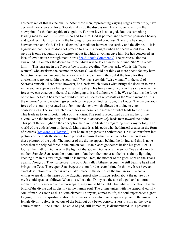<span id="page-44-1"></span><span id="page-44-0"></span>has partaken of this divine quality. After these men, representing varying stages of maturity, have declared their views on love, Socrates takes up the discussion. He considers love from the viewpoint of a thinker capable of cognition. For him love is not a god. But it is something leading man to God. *Eros*, love, is no god for him. God is perfect, and therefore possesses beauty and goodness. But Eros is only the longing for beauty and goodness. Therefore he stands between man and God. He is a "daemon," a mediator between the earthly and the divine. — It is significant that Socrates does not pretend to give his thoughts when he speaks about love. He says he is only recounting a *revelation* about it, which a woman gave him. He has conceived an idea of love's nature through mantic art. [\(See Author's Comment 7\)](#page-92-0) The priestess Diotima awakened in Socrates the daemonic force which was to lead him to the divine. She "initiated" him. — This passage in the *Symposium* is most revealing. We must ask, Who is this "wise woman" who awakens the daemon in Socrates? We should not think of mere poetic fantasy here. No actual wise woman could have awakened the daemon in the soul if the force for this awakening were not within the soul itself. We must seek this "wise woman" in the soul of Socrates himself. There must, however, be a basis which allows what brings the daemon to birth in the soul to appear as a being in external reality. This force cannot work in the same way as the forces we can observe in the soul as belonging to it and at home with it. We see that it is the force of the soul before it has received wisdom, which Socrates represents as the "wise woman." It is the *maternal* principle which gives birth to the Son of God, Wisdom, the Logos. The unconscious force of the soul is presented as a feminine element, which allows the divine to enter consciousness. The soul which as yet lacks wisdom is the mother of what leads to the divine. This leads us to an important idea of mysticism. The soul is recognized as the mother of the divine. With the inevitability of a natural force it *unconsciously* leads man toward the divine. — This point throws light on the conception held in the Mysteries regarding Greek mythology. The world of the gods is born in the soul. Man regards as his gods what he himself creates in the form of pictures (*[see Note in Chapter 2](#page-28-0)*). But he must progress to another idea. He must transform into pictures of the gods the divine force present in himself which is active before the creation of these pictures of the gods. The mother of the divine appears behind the divine, and this is none other than the original force in the human soul. Man places goddesses beside his gods. Let us look at the myth of Dionysus in the light of the above. Dionysus is the son of Zeus and a mortal mother, Semele. Zeus tears the premature infant from the mother as she lies slain by lightning, keeping him in his own thigh until he is mature. Hera, the mother of the gods, stirs up the Titans against Dionysus. They *dismember* the boy. But Pallas Athene rescues the still beating heart and brings it to Zeus. Thereupon Zeus begets the son for the second time. In this myth we have an exact description of a process which takes place in the depths of the human soul. Whoever wishes to speak in the sense of the Egyptian priest who instructs Solon about the nature of a myth could speak as follows: What you tell us, that Dionysus, the son of a god and a mortal mother, is dismembered and is born again, may sound like a fable, but what is true about it is the birth of the divine and its destiny in the human soul. The divine unites with the temporal-earthly soul of man. As soon as this divine element, Dionysus, comes to life, the soul experiences a great longing for its true spiritual status. The consciousness which once again appears in the image of a female divinity, Hera, is jealous of the birth out of a better consciousness. It stirs up the lower nature of man — the Titans. The child of god, still immature, is dismembered. It is present in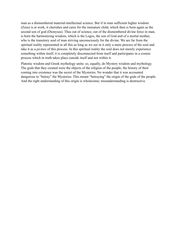man as a dismembered material-intellectual science. But if in man sufficient higher wisdom (Zeus) is at work, it cherishes and cares for the immature child, which then is born again as the second son of god (Dionysus). Thus out of science, out of the dismembered divine force in man, is born the harmonizing wisdom, which is the Logos, the son of God and of a mortal mother, who is the transitory soul of man striving unconsciously for the divine. We are far from the spiritual reality represented in all this as long as we see in it only a mere process of the soul and take it as a *picture* of this process. In this spiritual reality the soul does not merely experience something within itself; it is completely disconnected from itself and participates in a cosmic process which in truth takes place outside itself and not within it.

Platonic wisdom and Greek mythology unite; so, equally, do Mystery wisdom and mythology. The gods that they created were the objects of the religion of the people; the history of their coming into existence was the secret of the Mysteries. No wonder that it was accounted dangerous to "betray" the Mysteries. This meant "betraying" the origin of the gods of the people. And the right understanding of this origin is wholesome; misunderstanding is destructive.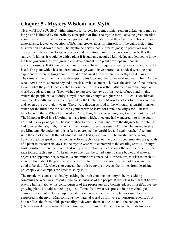# **Chapter 5 - Mystery Wisdom and Myth**

THE MYSTIC SOUGHT within himself for forces, for beings which remain unknown to man so long as he is limited by the ordinary conception of life. The mystic formulates the great question about his own spiritual forces, which go beyond lower nature, and their laws. With his ordinary materialistic, logical conception of life, man creates gods for himself, or if he gains insight into this creation he disowns them. The mystic perceives that *he* creates gods; he perceives *why* he creates them; he can, so to speak, see beyond the natural laws of the creation of gods. It is the same with him as it would be with a plant if it suddenly acquired knowledge and learned to know the laws governing its own growth and development. The plant develops in innocent unconsciousness. If it knew its own laws it would have to acquire an entirely new relationship to itself. The plant which has acquired knowledge would have before it as an ideal what the poet experiences when he sings about it, what the botanist thinks when he investigates its laws. — The same is true of the mystic with respect to *his* laws and the forces working within him. As one who knows, he must create beyond himself a divine element. This was the attitude of the initiates toward what the people had created beyond nature. This was their attitude toward the popular world of gods and myths. They wished to perceive the laws of this world of gods and myths. Where the people had a divinity, a myth, there they sought a higher truth. — Let us consider an example: The Athenians were compelled by the Cretan King Minos to deliver to him seven boys and seven girls every eight years. These were thrown as food to the Minotaur, a fearful monster. When for the third time the sad consignment was to leave for Crete, the king's son, Theseus, traveled with them. When he arrived in Crete, King Minos' own daughter, Ariadne, took his part. The Minotaur lived in a labyrinth, a maze from which, once one had wandered into it, he could not find his way out again. Theseus wished to free his homeland from the disgraceful tribute. He had to enter the labyrinth, into which the monster's prey was usually thrown. He wished to slay the Minotaur. He undertook this task; he overcame the fearful foe and again reached freedom with the aid of a ball Of thread which Ariadne had given him. — The mystic had to recognize how the creative spirit of man comes to form such a tale. As the botanist contemplates the growth of a plant to discover its laws, so the mystic wished to contemplate the creating spirit. He sought *truth*, wisdom, where the people had set up a myth. Sallustius discloses the attitude of a mysticsage toward such a myth: "The universe itself can be called a myth, since bodies and material objects are apparent in it, while souls and minds are concealed. Furthermore, to wish to teach all men the truth about the gods causes the foolish to despise, because they cannot learn, and the good to be slothful, whereas to conceal the truth by myths prevents the former from despising philosophy and compels the latter to study it." $\frac{54}{4}$ 

The mystic was conscious that by seeking the truth contained in a myth, he was adding something to what was present in the consciousness of the people. It was clear to him that he was placing himself above this consciousness of the people just as a botanist places himself above the growing plant. He said something quite different from what was present in the mythological consciousness, but he looked upon what he said as a deeper truth which was symbolically expressed in the myth. Man confronts the material world as if it were a monstrous enemy. To it he sacrifices the fruits of his personality. It devours them. It does so until the conqueror (Theseus) awakens in man. His cognition spins for him the thread by which he finds his way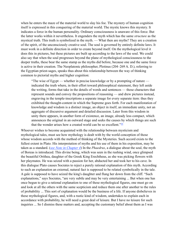when he enters the maze of the material world to slay his foe. The mystery of human cognition itself is expressed in this conquering of the material world. The mystic knows this mystery. It indicates a force in the human personality. Ordinary consciousness is unaware of this force. But the latter works within it nevertheless. It engenders the myth which has the same *structure* as the mystical truth. This truth is symbolized in the myth. — What then are myths? They are a creation of the spirit, of the unconsciously creative soul. The soul is governed by entirely definite laws. It must work in a definite direction in order to create beyond itself. On the mythological level it does this in pictures, but these pictures are built up according to the laws of the soul. We could also say that when the soul progresses beyond the plane of mythological consciousness to the deeper truths, these bear the same stamp as the myths did before, because one and the same force is active in their creation. The Neoplatonic philosopher, Plotinus (204–269 A. D.), referring to the Egyptian priest-sages, speaks thus about this relationship between the way of thinking common to pictorial myths and higher cognition:

"The wise of Egypt — whether in precise knowledge or by a prompting of nature indicated the truth where, in their effort toward philosophical statement, they left aside the writing, forms that take in the details of words and sentences — those characters that represent sounds and convey the propositions of reasoning — and drew pictures instead, engraving in the temple-inscriptions a separate image for every separate item: thus they exhibited the thought-content in which the Supreme goes forth. For each manifestation of knowledge and wisdom is a distinct image, an object in itself, an immediate unity, not an aggregate of discursive argument and detailed discussion. Later from this wisdom in unity there appears, in another form of existence, an image, already less compact, which announces the original in an outward stage and seeks the causes by which things are such that the wonder arises how a created world can be so excellent."<sup>55</sup>

Whoever wishes to become acquainted with the relationship between mysticism and mythological tales, must see how mythology is dealt with by the world conception of those whose wisdom accords with the method of thinking of the Mysteries. Such accord exists to the fullest extent in Plato. His interpretation of myths and his use of them in his exposition, may be taken as a standard. (*[see Note in Chapter 4](#page-41-0)*) In the *Phaedrus*, a dialogue about the soul, the myth of Boreas is introduced. This divine being, which was seen in the rushing wind, once glimpsed the beautiful Orithea, daughter of the Greek King Erechtheus, as she was picking flowers with her playmates. He was seized with a passion for her, abducted her and took her to his cave. In this dialogue Plato causes Socrates to reject a purely rational explanation of this myth. According to such an explanation an external, natural fact is supposed to be related symbolically in the tale. A gale is supposed to have seized the king's daughter and flung her down from the cliff. "Such explanations," says Socrates, "are very subtle and may be very entertaining ... But when one has once begun to give a rational explanation to one of these mythological figures, one must go on and look at all the others with the same scepticism and reduce them one after another to the rules of probability ... This sort of explanation would be the business of a life. If anyone disbelieves in these mythological figures, and, with a rustic kind of wisdom, undertakes to explain each in accordance with probability, he will need a great deal of leisure. But I have no leisure for such inquiries ... So I dismiss these matters and, accepting the customary belief about them as I was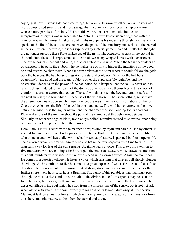saying just now, I investigate not these things, but *myself*, to know whether I am a monster of a more complicated structure and more savage than Typhon, or a gentler and simpler creature, whose nature partakes of divinity."<sup>56</sup> From this we see that a rationalistic, intellectual interpretation of myths was unacceptable to Plato. This must be considered together with the manner in which he himself makes use of myths to express his meaning through them. Where he speaks of the life of the soul, where he leaves the paths of the transitory and seeks out the eternal in the soul, where, therefore, the ideas supported by material perception and intellectual thought are no longer present, there Plato makes use of the myth. The *Phaedrus* speaks of the eternal in the soul. Here the soul is represented as a team of two many-winged horses with a charioteer. One of the horses is patient and wise, the other stubborn and wild. When the team encounters an obstruction in its path, the stubborn horse makes use of this to hinder the intentions of the good one and thwart the charioteer. When the team arrives at the point where it should follow the gods over the heavens, the bad horse brings it into a state of confusion. Whether the bad horse is overcome by the good and the team is able to enter the supersensible realm beyond the obstruction, depends on the power of the bad horse. So it happens that the soul is never able to raise itself unhindered to the realm of the divine. Some souls raise themselves to this vision of eternity in a greater degree than others. The soul which has seen the beyond remains safe until the next traverse; the soul which — because of the wild horse — has seen nothing, must make the attempt on a new traverse. By these traverses are meant the various incarnations of the soul. One traverse denotes the life of the soul in one personality. The wild horse represents the lower nature, the wise horse the higher nature, and the charioteer the soul longing for its apotheosis. Plato makes use of the myth to show the path of the eternal soul through various stages. Similarly, in other writings of Plato, myth or symbolical narrative is used to show the inner being of man, the part not perceptible to the senses.

Here Plato is in full accord with the manner of expression by myth and parable used by others. In ancient Indian literature we find a parable attributed to Buddha. A man much attached to life, who on no account wishes to die, who seeks for sensual pleasure, is pursued by four serpents. He hears a voice which commands him to feed and bathe the four serpents from time to time. The man runs away for fear of the evil serpents. Again he hears a voice. This draws his attention to five murderers who are coming after him. Again the man runs away. A voice draws his attention to a sixth murderer who wishes to strike off his head with a drawn sword. Again the man flees. He comes to a deserted village. He hears a voice which tells him that thieves will shortly plunder the village. As he continues to flee he comes to a great expanse of water. He does not feel safe on this shore; he makes a basket for himself out of straw, sticks and leaves; in this he reaches the further shore. Now he is safe; he is a Brahmin. The sense of this parable is that man must pass through the most varied conditions to attain to the divine. In the four serpents may be seen the four elements, fire, water, earth and air. In the five murderers may be seen the five senses. The deserted village is the soul which has fled from the impressions of the senses, but is not yet safe when alone with itself. If the soul inwardly takes hold of its lower nature only, it must perish. Man must fashion a boat for himself which will carry him over the waters of the transitory from one shore, material nature, to the other, the eternal and divine.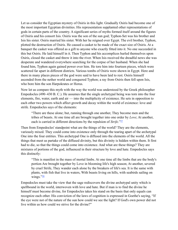Let us consider the Egyptian mystery of Osiris in this light. Gradually Osiris had become one of the most important Egyptian divinities. His representation supplanted other representations of gods in certain parts of the country. A significant series of myths formed itself around the figures of Osiris and his consort Isis. Osiris was the son of the sun god; Typhon-Set was his brother and Isis his sister. Osiris married his sister. With her he reigned over Egypt. The evil brother, Typhon, plotted the destruction of Osiris. He caused a casket to be made of the exact size of Osiris. At a banquet the casket was offered as a gift to anyone who exactly fitted into it. No one succeeded in this but Osiris. He laid himself in it. Then Typhon and his accomplices hurled themselves upon Osiris, closed the casket and threw it into the river. When Isis received the dreadful news she was desperate and wandered everywhere searching for the corpse of her husband. When she had found him, Typhon again gained power over him. He tore him into fourteen pieces, which were scattered far apart in different districts. Various tombs of Osiris were shown in Egypt. Here and there in many places pieces of the god were said to have been laid to rest. Osiris himself ascended from the nether world and conquered Typhon; a ray from Osiris then fell upon Isis, who bore him the son Harpokrates or Horus.

Now let us compare this myth with the way the world was understood by the Greek philosopher Empedocles (490–430 B. C.). He assumes that the single archetypal being was torn into the four elements, fire, water, earth and air — into the multiplicity of existence. He sets in opposition to each other two powers which affect growth and decay within the world of existence: love and strife. Empedocles says of the elements:

"There are these alone; but, running through one another, They become men and the tribes of beasts. At one time all are brought together into one order by *Love*; At another, each is carried in different directions by the repulsion of *Strife*."<sup>57</sup>

Then from Empedocles' standpoint what are the things of the world? They are the elements, variously mixed. They could come into existence only through the tearing apart of the archetypal One into the four entities. This archetypal One is diffused into the elements of the world. All the things that meet us partake of the diffused divinity, but this divinity is hidden within them. It first had to die, so that the things could come into existence. And what are these things? They are mixtures of portions of the god, influenced in their structure by love and hate. Empedocles says this distinctly:

"This is manifest in the mass of mortal limbs. At one time all the limbs that are the body's portion Are brought together by Love in blooming life's high season; At another, severed by cruel Strife, They wander each alone by the breakers of life's sea. It is the same with plants, with fish that live in waters, With beasts living on hills, with seabirds sailing on wings. $\frac{58}{56}$ 

Empedocles must take the view that the sage rediscovers the divine archetypal unity which is spellbound in the world, interwoven with love and hate. But if man is to find the divine he himself must become divine, for Empedocles takes his stand on the basis that only equals can recognize each other. His conviction of the laws of cognition is expressed in Goethe's saying, "If the eye were not of the nature of the sun how could we see the light? If God's own power did not live within us how could we strive for the divine?"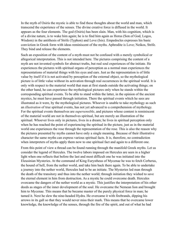In the myth of Osiris the mystic is able to find these thoughts about the world and man, which transcend the experience of the senses. The divine creative force is diffused in the world. It appears as the four elements. The god (Osiris) has been slain. Man, with his cognition, which is of a divine nature, is to wake him again; he is to find him again as Horus (Son of God, Logos, Wisdom) in the antithesis of Strife (Typhon) and Love (Isis). Empedocles expresses his basic conviction in Greek form with ideas reminiscent of the myths. Aphrodite is Love; Neikos, Strife. They bind and release the elements.

Such an exposition of the content of a myth must not be confused with a merely symbolical or allegorical interpretation. This is not intended here. The pictures comprising the content of a myth are not invented symbols for abstract truths, but real soul experiences of the initiate. He experiences the pictures with spiritual organs of perception as a normal man experiences the representations of material things with his eyes and ears. Just as the representation is of little value by itself if it is not activated by perception of the external object, so the mythological picture is of little value without its activation through real occurrences in the spiritual world. It is only with respect to the material world that man at first stands outside the activating things; on the other hand, he can experience the mythological pictures only when he stands within the corresponding spiritual events. To be able to stand within the latter, in the opinion of the ancient mystics, he must have passed through initiation. There the spiritual events which he sees are illustrated as it were, by the mythological pictures. Whoever is unable to take mythology as such an *illustration* of true spiritual events, has not yet advanced to a comprehension of mythology. For the spiritual events themselves are *supersensible*, and pictures whose content is reminiscent of the material world are not in themselves spiritual, but are merely an illustration of the spiritual. Whoever lives only in pictures, lives in a dream; he lives in spiritual perception only when he has reached the point of experiencing the spiritual in the picture, just as in the material world one experiences the rose through the representation of the rose. This is also the reason why the pictures presented by myths cannot have only a single meaning. Because of their illustrative character the same myths can express various spiritual facts. It is, therefore, no contradiction when interpreters of myths apply them now to one spiritual fact and again to a different one.

From this point of view a thread can be found running through the manifold Greek myths. Let us consider the legend of Hercules. The twelve labors imposed on Hercules are seen in a higher light when one reflects that before the last and most difficult one he was initiated into the Eleusinian Mysteries. At the command of King Eurystheus of Mycenae he was to fetch Cerberus, the hound of hell, from the nether world, and take him back there again. To be able to undertake a journey into the nether world, Hercules had to be an initiate. The Mysteries led man through the death of the transitory and thus into the nether world; through initiation they wished to save the eternal element in him from destruction. As a mystic he could overcome death. Hercules overcame the dangers of the nether world as a mystic. This justifies the interpretation of his other deeds as stages of the inner development of the soul. He overcame the Nemean lion and brought him to Mycenae. This means that he became master of the purely physical force in man; he tamed it. Next he slew the nine-headed Hydra. He overcame it with firebrands, dipping his arrows in its gall so that they would never miss their mark. This means that he overcame lower knowledge, the knowledge of the senses, through the fire of the spirit, and out of what he had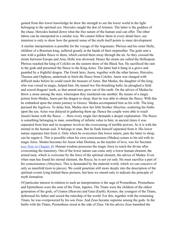gained from this lower knowledge he drew the strength to see the lower world in the light belonging to the spiritual eye. Hercules caught the doe of Artemis. The latter is the goddess of the chase. Hercules hunted down what the free nature of the human soul can offer. The other labors can be interpreted in a similar way. We cannot follow them in every detail here; our intention is only to show how the general sense of the myth itself points to inner development

A similar interpretation is possible for the voyage of the Argonauts. Phrixus and his sister Helle, children of a Boeotian king, suffered greatly at the hands of their stepmother. The gods sent a ram with a golden fleece to them, which carried them away through the air. As they crossed the straits between Europe and Asia, Helle was drowned. Hence the straits are called the Hellespont. Phrixus reached the king of Colchis on the eastern shore of the Black Sea. He sacrificed the ram to the gods and presented the fleece to the King Aetes. The latter had it hung in a grove and guarded by a frightful dragon. The Greek hero, Jason, together with the other heroes, Hercules, Theseus and Orpheus, undertook to fetch the fleece from Colchis. Jason was charged with difficult tasks before he could reach the treasure of Aetes. But Medea, the daughter of the king, who was versed in magic, helped him. He tamed two fire-breathing bulls; he ploughed a field and sowed dragons' teeth, so that armed men grew out of the earth. On the advice of Medea he threw a stone among the men, whereupon they murdered one another. By means of a magic potion from Medea, Jason put the dragon to sleep; then he was able to obtain the fleece. With this he embarked upon the return journey to Greece. Medea accompanied him as his wife. The king pursued the fugitives. To delay him, Medea slew her little brother Absyrtus, scattering his limbs upon the sea. Aetes was delayed in gathering them up. Hence the couple were able to reach Jason's home with the fleece. — Here every single fact demands a deeper explanation. The fleece is something belonging to man, something of infinite value to him; in ancient times it was separated from him and its recapture involves the overcoming of terrible powers. So it is with the eternal in the human soul. It belongs to man. But he finds himself separated from it. His lower nature separates him from it. Only when he overcomes this lower nature, puts the latter to sleep, can he regain it. This is possible when his own consciousness (Medea) comes to his aid with its magic force. Medea becomes for Jason what Diotima, as the teacher of love, was for Socrates (*[see Note in Chapter 4](#page-44-0)*). Human wisdom possesses the magic force to reach the divine after overcoming the transitory. Out of the lower nature can come only a lower human element, the armed men, which is overcome by the force of the spiritual element, the advice of Medea. Even when man has found his eternal element, the Recce, he is not yet safe. He must sacrifice a part of his consciousness (Absyrtus). This is demanded by the material world, which we can conceive of only as manifold (torn to pieces). We could penetrate still more deeply into the description of the spiritual events lying behind these pictures, but here we intend only to indicate the principle of myth formation.

Of particular interest in relation to such an interpretation is the saga of Prometheus. Prometheus and Epimetheus were the sons of the Titan, Japetos. The Titans were the children of the oldest generation of the gods, of Uranos (Heaven) and Gaia (Earth). Kronos, the youngest of the Titans, dethroned his father and seized the rulership of the world. For this, together with the remaining Titans, he was overpowered by his son Zeus. And Zeus became supreme among the gods. In the battle with the Titans, Prometheus stood at the side of Zeus. On his advice Zeus banished the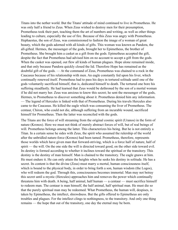Titans into the nether world. But the Titans' attitude of mind continued to live in Prometheus. He was only half a friend to Zeus. When Zeus wished to destroy men for their presumption, Prometheus took their part, teaching them the art of numbers and writing, as well as other things leading to culture, especially the use of fire. Because of this Zeus was angry with Prometheus. Hephaestus, the son of Zeus, was commissioned to fashion the image of a woman of great beauty, which the gods adorned with all kinds of gifts. This woman was known as Pandora, the all-gifted. Hermes, the messenger of the gods, brought her to Epimetheus, the brother of Prometheus. She brought him a casket as a gift from the gods. Epimetheus accepted the gift, despite the fact that Prometheus had advised him on no account to accept a gift from the gods. When the casket was opened, out flew all kinds of human plagues. Hope alone remained inside, and that only because Pandora quickly closed the lid. Therefore Hope has remained as the doubtful gift of the gods. — At the command of Zeus, Prometheus was chained to a rock in the Caucasus because of his relationship with men. An eagle constantly fed upon his liver, which continually renewed itself. Prometheus had to pass his days in tortured solitude until one of the gods voluntarily sacrificed himself, that is, dedicated himself to death. The tortured one bore his suffering steadfastly. He had learned that Zeus would be dethroned by the son of a mortal woman if he did not marry her. Zeus was anxious to know this secret; he sent the messenger of the gods, Hermes, to Prometheus to discover something about it. Prometheus denied him any information. — The legend of Hercules is linked with that of Prometheus. During his travels Hercules also came to the Caucasus. He killed the eagle which was consuming the liver of Prometheus. The centaur, Chiron, who could not die, although suffering from an incurable wound, sacrificed himself for Prometheus. Then the latter was reconciled with the gods.

The Titans are the force of will streaming from the original cosmic spirit (Uranos) in the form of nature (Kronos). Here we must not think of merely abstract forces of will, but of real beings of will. Prometheus belongs among the latter. This characterizes his being. But he is not entirely a Titan. In a certain sense he sides with Zeus, the spirit who assumed the rulership of the world after the unbridled nature-force (Kronos) had been tamed. Prometheus, therefore, represents those worlds which have given man that forward-striving, which is a force half of nature, half of spirit — the will. On the one side the will is directed toward good, on the other side toward evil. Its destiny is formed according to whether it inclines toward the spiritual or the transitory. This destiny is the destiny of man himself. Man is chained to the transitory. The eagle gnaws at him. He must endure it. He can only attain the heights when he seeks his destiny in solitude. He has a secret. Its content is that the divine (Zeus) must marry a mortal, human consciousness itself, which is bound to the physical body, in order to bring forth a son, human wisdom (the Logos), who will redeem the god. Through this, consciousness becomes immortal. Man may not betray this secret until a mystic (Hercules) approaches him and removes the power which continually threatens him with death. A being, half animal, half human — a centaur — must sacrifice himself to redeem man. The centaur is man himself, the half animal, half spiritual man. He must die so that the purely spiritual man may be redeemed. What Prometheus, the human will, despises, is taken by Epimetheus, the intellect, shrewdness. But the gifts offered to Epimetheus are only troubles and plagues. For the intellect clings to nothingness, to the transitory. And only one thing remains — the hope that out of the transitory, one day the eternal may be born.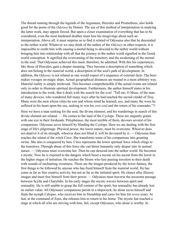The thread running through the legends of the Argonauts, Hercules and Prometheus, also holds good for the poem of the *Odyssey* by Homer. The use of this method of interpretation in studying the latter work, may appear forced. But upon a closer examination of everything that has to be considered, even the most hardened doubter must lose his misgivings about such an interpretation. Above all, it must surprise us to find it related of Odysseus also that he descended to the nether world. Whatever we may think of the author of the *Odyssey* in other respects, it is impossible to credit him with causing a mortal being to descend to the nether world without bringing him into relationship with all that the journey to the nether world signified in the Greek world conception. It signified the overcoming of the transitory and the awakening of the eternal in the soul. That Odysseus achieved this must, therefore, be admitted. With this his experiences, like those of Hercules, gain a deeper meaning. They become a description of something which does not belong to the material world, a description of the soul's path of development. In addition, the *Odyssey* is not related as one would expect of a sequence of external facts. The hero makes voyages on magic ships. Actual geographical distances are treated in a most arbitrary way. Material reality is simply irrelevant. This becomes comprehensible if the actual events are related only in order to illustrate spiritual development. Furthermore, the author himself states in his introduction to the work, that it deals with the search for the *soul*: "Tell me, O Muse, of the man of many devices, who wandered full many ways after he had reached the sacred citadel of Troy. Many were the men whose cities he saw and whose mind he learned, aye, and many the woes he suffered in his heart upon the sea, seeking to win his *own soul* and the return of his comrades."<sup>59</sup>

Here we have a man seeking for the soul, the divine element, and his wanderings in search of this divine element are related. — He comes to the land of the Cyclops. These are ungainly giants with one eye in their foreheads. Polyphemus, the most terrible of them, devours several of his companions. Odysseus saves himself by blinding the Cyclops. Here we are dealing with the first stage of life's pilgrimage. Physical power, the lower nature, must be overcome. Whoever does not deprive it of its strength, whoever does not blind it, will be devoured by it. — Odysseus then reaches the island of the witch Circe. She transforms some of his companions into grunting swine. She also is conquered by him. Circe represents the lower spiritual force which clings to the transitory. Through abuse of this force she can thrust humanity only deeper into its animal nature. — Odysseus must overcome her. Then he can descend into the nether world. He becomes a mystic. Now he is exposed to the dangers which beset a mystic on his ascent from the lower to the higher stages of initiation. He reaches the Sirens who lure passing travelers to their death with sounds of enchanting sweetness. These are the images produced by the lower fantasy, the first things to be followed by anyone who has freed himself from the material world. He has come as far as free creative activity, but not as far as the initiated spirit. He chases after illusory images and must free himself from their power. — Odysseus must traverse the awesome passage between Scylla and Charybdis. In his early stages the mystic wavers between spirit and sensuality. He is still unable to grasp the full content of the spirit, but sensuality has already lost its earlier value. All Odysseus' companions perish in a shipwreck; he alone saves himself and finds the nymph Calypso, who receives him in friendship and cares for him for *seven* years. At last, at the command of Zeus, she releases him to return to his home. The mystic has reached a stage at which all who are striving with him, fail, except Odysseus, who alone is worthy. In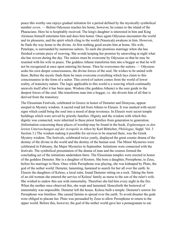peace this worthy one enjoys gradual initiation for a period defined by the mystically symbolical number *seven*. — Before Odysseus reaches his home, however, he comes to the island of the Phaeacians. Here he is hospitably received. The king's daughter is interested in him and King Alcinous himself entertains him and does him honor. Once again Odysseus encounters the world and its pleasures, and the spirit which cling to the world (Nausicaä) awakens in him. However, he finds the way home to the divine. At first nothing good awaits him at home. His wife, Penelope, is surrounded by numerous suitors. To each she promises marriage when she has finished a certain piece of weaving. She avoids keeping her promise by unraveling at night what she has woven during the day. The suitors must be overcome by Odysseus so that he may be reunited with his wife in peace. The goddess Athene transforms him into a beggar so that he will not be recognized at once upon entering his house. Then he overcomes the suitors. — Odysseus seeks his own deeper consciousness, the divine forces of the soul. He wishes to be united with them. Before the mystic finds them he must overcome everything which lays claim to this consciousness in the form of a suitor. This crowd of suitors comes from the world of lower reality, of transitory nature. The logic applicable to this world is a weaving which continually unravels itself after it has been spun. Wisdom (the goddess Athene) is the sure guide to the deepest forces of the soul. She transforms man into a beggar, i.e. she divests him of all that is derived from the transitory.

The Eleusinian Festivals, celebrated in Greece in honor of Demeter and Dionysus, appear steeped in Mystery wisdom. A sacred road led from Athens to Eleusis. It was marked with secret signs which could bring the soul into a mood of deep reverence. In Eleusis were secret temple buildings which were served by priestly families. Dignity and the wisdom with which this dignity was connected, were inherited in these priest families from generation to generation. (Information concerning these places of worship may be found in the book, *Ergänzungen zu den letzten Untersuchungen auf der Acropolis in Athen* by Karl Bötticher, *Philologus*, Suppl. Vol. 3 Section 3.) The wisdom making it possible for services to be enacted there, was the Greek Mystery wisdom. The festivals, celebrated twice yearly, displayed the great cosmic drama of the destiny of the divine in the world and the destiny of the human soul. The Minor Mysteries were celebrated in February, the Major Mysteries in September. Initiations were connected with the festivals. The symbolical presentation of the drama of man and the cosmos formed the concluding act of the initiations undertaken there. The Eleusinian temples were erected in honor of the goddess Demeter. She is a daughter of Kronos. She bore a daughter, Persephone, to Zeus, before his marriage to Hera. Once while Persephone was playing, she was kidnaped by Pluto, the god of the nether world. Demeter, lamenting, hastened to search for her all over the earth. In Eleusis the daughters of Keleus, a local ruler, found Demeter sitting on a rock. Taking the form of an old woman she entered the service of Keleus' family as nurse to the son of the ruler's wife. She wished to endow this son with immortality. Therefore she hid him every night in the fire. When the mother once observed this, she wept and lamented. Henceforth the bestowal of immortality was impossible. Demeter left the house. Keleus built a temple. Demeter's sorrow for Persephone was limitless. She caused famine to spread over the earth. To avoid disaster the gods were obliged to placate her. Pluto was persuaded by Zeus to allow Persephone to return to the upper world. Before this, however, the god of the nether world gave her a pomegranate to eat.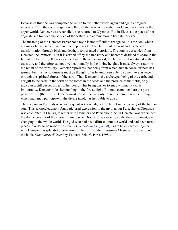Because of this she was compelled to return to the nether world again and again at regular intervals. From then on she spent one third of the year in the nether world and two thirds in the upper world. Demeter was reconciled; she returned to Olympus. But in Eleusis, the place of her anguish, she founded the service of the festivals to commemorate her fate for ever.

The meaning of the Demeter-Persephone myth is not difficult to recognize. It is the soul which alternates between the lower and the upper world. The eternity of the soul and its eternal transformation through birth and death, is represented pictorially. The soul is descended from Demeter, the immortal. But it is carried off by the transitory and becomes destined to share in the fate of the transitory. It has eaten the fruit in the nether world; the human soul is satiated with the transitory and therefore cannot dwell continually in the divine heights. It must always return to the realm of the transitory. Demeter represents that being from which human consciousness has sprung; but this consciousness must be thought of as having been able to come into existence through the spiritual forces of the earth. Thus Demeter is the archetypal being of the earth, and her gift to the earth in the form of the forces in the seeds and the produce of the fields, only indicates a still deeper aspect of her being. This being wishes to endow humanity with immortality. Demeter hides her nursling in the fire at night. But man cannot endure the pure power of fire (the spirit). Demeter must desist. She can only found the temple service through which man may participate in the divine insofar as he is able to do so.

The Eleusinian Festivals were an eloquent acknowledgment of belief in the eternity of the human soul. This acknowledgment found pictorial expression in the myth about Persephone. Dionysus was celebrated in Eleusis, together with Demeter and Persephone. As in Demeter was worshiped the divine creatrix of the eternal In man, so in Dionysus was worshiped the divine element, ever changing in the whole world. The god who had been diffused into the world and had been torn to pieces in order to be re-born spiritually (*[see Note in Chapter 4](#page-44-1)*), had to be celebrated together with Demeter. (A splendid presentation of the spirit of the Eleusinian Mysteries is to be found in the book, *Sanctuaires d'Orient* by Édouard Schuré. Paris, 1898.)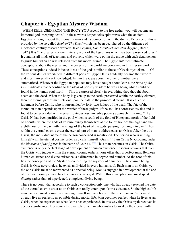# **Chapter 6 - Egyptian Mystery Wisdom**

"WHEN RELEASED FROM THE BODY YOU ascend to the free aether, you will become an immortal god, escaping death." In these words Empedocles epitomizes what the ancient Egyptians thought about the eternal in man and its connection with the divine. Evidence of this is provided by the so-called *Book of The Dead* which has been deciphered by the diligence of nineteenth century research workers. (See Lepsius, *Das Totenbuch der alen Ägypter*, Berlin, 1842.) It is "the greatest coherent literary work of the Egyptians which has been preserved to us." It contains all kinds of teachings and prayers, which were put in the grave with each dead person to guide him when he was released from his mortal frame. The Egyptians' most intimate conceptions about the eternal and the genesis of the world are contained in this literary work. These conceptions indeed indicate ideas of the gods similar to those of Greek mysticism. — Of the various deities worshiped in different parts of Egypt, Osiris gradually became the favorite and most universally acknowledged. In him the ideas about the other divinities were summarized. Whatever the Egyptian populace may have thought about Osiris, the *Book of the Dead* indicates that according to the ideas of priestly wisdom he was a being which could be found in the human soul itself. — This is expressed clearly in everything they thought about death and the dead. When the body is given up to the earth, preserved within the earthly element, then the eternal part of man sets out upon the path to the primordial eternal. It is called to judgment before Osiris, who is surrounded by forty-two judges of the dead. The fate of the eternal in man depends upon the verdict of these judges. If the soul has confessed its sins and is found to be reconciled with eternal righteousness, invisible powers approach it, saying, "The Osiris N. has been purified in the pool which is south of the field of Hotep and north of the field of Locusts, where the gods of verdure purify themselves at the fourth hour of the night and the eighth hour of the day with the image of the heart of the gods, passing from night to day." Thus within the eternal cosmic order the eternal part of man is addressed as an Osiris. After the title Osiris, the individual name of the person concerned is mentioned. The person who is uniting himself with the eternal cosmic order also calls himself "Osiris." "I am Osiris N. Growing under the *blossoms of the fig tree* is the name of Osiris N."60 Thus man becomes an Osiris. The Osirisexistence is only a perfect stage of development of human existence. It seems obvious that even the Osiris who judges within the eternal cosmic order is none other than a perfect man. Between human existence and divine existence is a difference in degree and number. At the root of this lies the conception of the Mysteries concerning the mystery of "number." The cosmic being Osiris is One; nevertheless he exists undivided in every human soul. Each man is an Osiris, yet the one Osiris must be represented as a special being. Man is engaged in development; at the end of his evolutionary course lies his existence as a god. Within this conception one must speak of *divinity* rather than of a perfected, completed divine being.

There is no doubt that according to such a conception only one who has already reached the gate of the eternal cosmic order as an Osiris can really enter upon Osiris-existence. So the highest life man can lead must consist in changing himself into an Osiris. In the true man an Osiris must already live as perfectly as possible during mortal life. Man becomes perfect when he lives as an Osiris, when he experiences what Osiris has experienced. In this way the Osiris myth receives its deeper significance. It becomes the example of a man who wishes to awaken the eternal within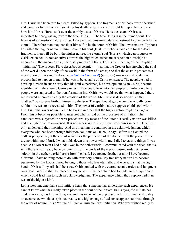him. Osiris had been torn to pieces, killed by Typhon. The fragments of his body were cherished and cared for by his consort Isis. After his death he let a ray of his light fall upon her, and she bore him Horus. Horus took over the earthly tasks of Osiris. He is the second Osiris, still imperfect but progressing toward the true Osiris. — The true Osiris is in the human soul. The latter is of a transitory nature at first. However, its transitory nature is destined to give birth to the eternal. Therefore man may consider himself to be the tomb of Osiris. The lower nature (Typhon) has killed the higher nature in him. Love in his soul (Isis) must cherish and care for the dead fragments; then will be born the higher nature, the eternal soul (Horus), which can progress to Osiris-existence. Whoever strives toward the highest existence must repeat in himself, as a microcosm, the macrocosmic, universal process of Osiris. This is the meaning of the Egyptian "initiation." The process Plato describes as cosmic, — i.e., that the Creator has stretched the soul of the world upon the body of the world in the form of a cross, and that the cosmic process is a redemption of this crucified soul (*[see Note in Chapter 4](#page-41-0)*) (see page) — on a small scale this process had to happen to man if he was to be capable of Osiris-existence. The neophyte had to develop himself in such a way that his soul-experience, his development as an Osiris, became identified with the cosmic Osiris process. If we could look into the temples of initiation where people were subjected to the transformation into Osiris, we would see that what happened there represented microcosmically the creation of the world. Man, who is descended from the "Father," was to give birth in himself to the Son. The spellbound god, whom he actually bore within him, was to be revealed in him. The power of earthly nature suppressed this god within him. First this lower nature had to be buried in order that the higher nature might rise again. From this it becomes possible to interpret what is told of the processes of initiation. The candidate was subjected to secret procedures. By means of the latter his earthly nature was killed and his higher nature awakened. It is not necessary to study these procedures in detail. One must only understand their meaning. And this meaning is contained in the acknowledgment which everyone who has been through initiation could make. He could say: Before me floated the endless perspective, at the end of which lies the perfection of the divine. I felt the power of the divine within me. I buried what holds down this power within me. I died to earthly things. I was dead. As a lower man I had died; I was in the netherworld. I communicated with the dead, that is, with those who already have become part of the circle of the eternal cosmic order. After my sojourn in the nether world I arose from the dead. I overcame death, but now I have become different. I have nothing more to do with transitory nature. My transitory nature has become permeated by the Logos. I now belong to those who live eternally, and who will sit at the right hand of Osiris. I myself shall be a true Osiris, united with the eternal cosmic order, and judgment over death and life shall be placed in my hand. — The neophyte had to undergo the experience which could lead him to such an acknowledgment. The experience which thus approached man was of the highest kind.

<span id="page-57-0"></span>Let us now imagine that a non-initiate hears that someone has undergone such experiences. He cannot know what has really taken place in the soul of the initiate. In his eyes, the initiate has died physically, has laid in the grave and has risen. When expressed in terms of material reality an occurrence which has spiritual reality at a higher stage of existence appears to break through the order of nature. It is a "miracle." Such a "miracle" was initiation. Whoever wished really to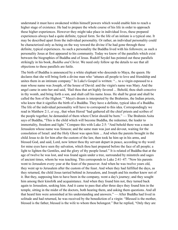understand it must have awakened within himself powers which would enable him to reach a higher stage of existence. He had to prepare the whole course of his life in order to approach these higher experiences. However they might take place in individual lives, these prepared experiences always had a quite definite, typical form. So the life of an initiate is a typical one. It may be described apart from the individual personality. Or rather, an individual personality could be characterized only as being on the way toward the divine if he had gone through these definite, typical experiences. As such a personality the Buddha lived with his followers; as such a personality Jesus at first appeared to his community. Today we know of the parallels which exist between the biographies of Buddha and of Jesus. Rudolf Seydel has pointed out these parallels strikingly in his book, *Buddha and Christ*. We need only follow up the details to see that all objections to these parallels are futile.

The birth of Buddha is announced by a white elephant who descends to Maya, the queen. He declares that she will bring forth a divine man who "attunes all people to love and friendship and unites them in an intimate company." In Luke's Gospel is written: "... to a virgin espoused to a man whose name was Joseph, of the house of David: and the virgin's name was Mary. And the angel came in unto her and said, 'Hail thou that art highly favored ... Behold, thou shalt conceive in thy womb, and bring forth a son, and shalt call his name Jesus. He shall be great and shall be called the Son of the Highest.'" Maya's dream is interpreted by the Brahmins, the Indian priests, who know that it signifies the birth of a Buddha. They have a definite, typical idea of a Buddha. The life of the individual personality will have to correspond to this idea. Correspondingly we read in Matthew 2:1, *et seq.*, that when Herod "had gathered all the chief priests and scribes of the people together, he demanded of them where Christ should be born." — The Brahmin Asita says of Buddha, "This is the child which will become Buddha, the redeemer, the leader to immortality, freedom and light." Compare this with Luke 2:5: "And behold there was a man in Jerusalem whose name was Simeon; and the same man was just and devout, waiting for the consolation of Israel: and the Holy Ghost was upon him ... And when the parents brought in the child Jesus to do for him after the custom of the law, then took he him up in his arms, and blessed God, and said, Lord, now lettest thou thy servant depart in peace, according to thy word: for mine eyes have seen thy salvation, which thou hast prepared before the face of all people; a light to lighten the Gentiles, and the glory of thy people Israel." It is related of Buddha that at the age of twelve he was lost, and was found again under a tree, surrounded by minstrels and sages of ancient times, whom he was teaching. This corresponds to Luke 2:41–47: "Now his parents went to Jerusalem every year at the feast of the passover. And when he was twelve years old, they went up to Jerusalem after the custom of the feast. And when they had fulfilled the days, as they returned, the child Jesus tarried behind in Jerusalem, and Joseph and his mother knew not of it. But they, supposing him to have been in the company, went a day's journey; and they sought him among their kinsfolk and acquaintance. And when they found him not, they turned back again to Jerusalem, seeking him. And it came to pass that after three days they found him in the temple, sitting in the midst of the doctors, both hearing them, and asking them questions. And all that heard him were astonished at his understanding and answers." — After Buddha had lived in solitude and had returned, he was received by the benediction of a virgin: "Blessed is the mother, blessed is the father, blessed is the wife to whom thou belongest." But he replied, "Only they are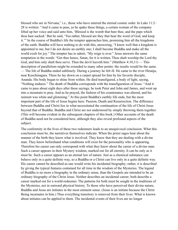blessed who are in Nirvana," i.e., those who have entered the eternal cosmic order. In Luke 11:2– 28 is written: "And it came to pass, as he spake these things, a certain woman of the company lifted up her voice and said unto him, 'Blessed is the womb that bare thee, and the paps which thou hast sucked.' But he said, 'Yea rather, blessed are they that hear the word of God, and keep it.'" In the course of Buddha's life the tempter approaches him, promising him all the kingdoms of the earth. Buddha will have nothing to do with this, answering, "I know well that a kingdom is appointed to me, but I do not desire an earthly one; I shall become Buddha and make all the world exult for joy." The tempter has to admit, "My reign is over." Jesus answers the same temptation in the words: "Get thee hence, Satan, for it is written, Thou shalt worship the Lord thy God, and him only shalt thou serve. Then the devil leaveth him." (Matthew  $4:10,11$ ) — This description of parallelism might be extended to many other points: the results would be the same. — The life of Buddha ended sublimely. During a journey he felt ill. He came to the river Hiranja, near Kuschinagara. There he lay down on a carpet spread for him by his favorite disciple, Ananda. His body began to shine from within. He died transfigured, a body of light, saying, "Nothing endures." The death of Buddha corresponds with the transfiguration of Jesus: "And it came to pass about eight days after these sayings, he took Peter and John and James, and went up into a mountain to pray. And as he prayed, the fashion of his countenance was altered, and his raiment was white and glistening." At this point Buddha's earthly life ends, but the most important part of the life of Jesus begins here: Passion, Death and Resurrection. The difference between Buddha and Christ lies in what necessitated the continuation of the life of Christ Jesus beyond that of Buddha. Buddha and Christ are not understood by simply throwing them together. (This will become evident in the subsequent chapters of this book.) Other accounts of the death of Buddha need not be considered here, although they also reveal profound aspects of the subject.

The conformity in the lives of these two redeemers leads to an unequivocal conclusion. What this conclusion must be, the narratives themselves indicate. When the priest sages hear about the manner of the birth they know what is involved. They know that they are dealing with a divine man. They know beforehand what conditions will exist for the personality who is appearing. Therefore his career can only correspond with what they know about the career of a divine man. Such a career appears in their Mystery wisdom, marked out for all eternity. It can be only as it must be. Such a career appears as an eternal law of nature. Just as a chemical substance can behave only in a quite definite way, so a Buddha or a Christ can live only in a quite definite way. His career cannot be described as one would write his incidental biography; rather, it is described by giving the typical features contained for all time in the wisdom of the Mysteries. The legend of Buddha is no more a biography in the ordinary sense, than the Gospels are intended to be an ordinary biography of the Christ Jesus. Neither describes an incidental career; both describe a career marked out for a world-redeemer. The patterns for both must be sought in the traditions of the Mysteries, not in outward physical history. To those who have perceived their divine nature, Buddha and Jesus are initiates in the most eminent sense. (Jesus is an initiate because the Christ Being incarnates in him.) Thus everything transitory is removed from their lives. What is known about initiates can be applied to them. The incidental events of their lives are no longer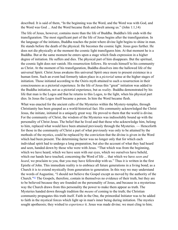described. It is said of them, "In the beginning was the Word, and the Word was with God, and the Word was God ... And the Word became flesh and dwelt among us." (John 1:1,14)

The life of Jesus, however, contains more than the life of Buddha. Buddha's life ends with the transfiguration. The most significant part of the life of Jesus begins after the transfiguration. In the language of the initiates, Buddha reaches the point where divine light begins to shine in man. He stands before the death of the physical. He becomes the cosmic light. Jesus goes further. He does not die physically at the moment the cosmic light transfigures him. At that moment he is a Buddha. But at the same moment he enters upon a stage which finds expression in a higher degree of initiation. He suffers and dies. The physical part of him disappears. But the spiritual, the cosmic light does not vanish. His resurrection follows. He reveals himself to his community as Christ. At the moment of his transfiguration, Buddha dissolves into the hallowed life of the universal Spirit. Christ Jesus awakens this universal Spirit once more to present existence in a human form. Such an event had formerly taken place in a *pictorial* sense at the higher stages of initiation. Those initiated according to the Osiris myth attained to such a resurrection in their consciousness as a pictorial experience. In the life of Jesus this "great" initiation was added to the Buddha initiation, not as a pictorial experience, but as *reality*. Buddha demonstrated by his life that man is the Logos and that he returns to this Logos, to the light, when his physical part dies. In Jesus the Logos itself became a person. In him the Word became flesh.

What was enacted for the ancient cults of the Mysteries within the Mystery-temples, through Christianity has been grasped as a world-historical fact. His community acknowledged the Christ Jesus, the initiate, initiated in a uniquely great way. He proved to them that the world is divine. For the community of Christ, the wisdom of the Mysteries was indissolubly bound up with the personality of Christ Jesus. The belief that he lived and that those who acknowledge him, belong to him, replaced what would have been attained previously through the Mysteries. — Henceforth for those in the community of Christ a part of what previously was only to be attained by the methods of the mystics, could be replaced by the conviction that the divine is given in the Word which had been present. The determining factor was no longer only that for which each individual spirit had to undergo a long preparation, but also the account of what they had heard and seen, handed down by those who were with Jesus. "That which was from the beginning, which we have heard, which we have seen with our eyes, which we ourselves have beheld, which our hands have touched, concerning the Word of life ... that which we have *seen and heard*, we proclaim to you, that you may have fellowship with us." Thus it is written in the first Epistle of John. This immediate reality is to embrace all future generations in a living bond; as a Church it is to extend mystically from generation to generation. In this way we may understand the words of Augustine, "I should not believe the Gospel except as moved by the authority of the Church."61 The Gospels, therefore, contain in themselves no evidence of their truth, but they are to be believed because they are founded on the personality of Jesus, and because in a mysterious way the Church draws from this personality the power to make them appear as truth. The Mysteries handed down through tradition the *means* of coming to the truth; the Christian community propagates this truth itself. Faith in the One, the primordial Initiator was to be added to faith in the mystical forces which light up in man's inner being during initiation. The mystics sought apotheosis; they wished to *experience* it. Jesus was made divine; we must cling to him;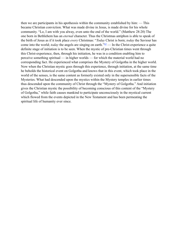then we are participants in his apotheosis within the community established by him: — This became Christian conviction. What was made divine in Jesus, is made divine for his whole community. "Lo, I am with you alway, even unto the end of the world." (Matthew 28:20) The one born in Bethlehem has an *eternal* character. Thus the Christmas antiphon is able to speak of the birth of Jesus as if it took place *every* Christmas: "*Today* Christ is born; *today* the Saviour has come into the world; *today* the angels are singing on earth.<sup>" $62$ </sup>— In the Christ-experience a quite definite stage of initiation is to be seen. When the mystic of pre-Christian times went through this Christ-experience, then, through his initiation, he was in a condition enabling him to perceive something spiritual — in higher worlds — for which the material world had no corresponding fact. He experienced what comprises the Mystery of Golgotha in the higher world. Now when the Christian mystic goes through this experience, through initiation, at the same time he beholds the historical event on Golgotha and knows that in this event, which took place in the world of the senses, is the same content as formerly existed only in the supersensible facts of the Mysteries. What had descended upon the mystics within the Mystery temples in earlier times thus descended upon the community of Christ through the "Mystery of Golgotha." And initiation gives the Christian mystic the possibility of becoming conscious of this content of the "Mystery of Golgotha," while faith causes mankind to participate unconsciously in the mystical current which flowed from the events depicted in the New Testament and has been permeating the spiritual life of humanity ever since.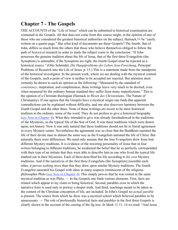# **Chapter 7 - The Gospels**

THE ACCOUNTS of the "Life of Jesus" which can be submitted to historical examination are contained in the Gospels. All that does not come from this source might, in the opinion of one of those who are considered the greatest historical authorities on the subject, Harnack,  $62a$  be "easily written on a quarto page." But what kind of documents are these Gospels? The fourth, that of John, differs so much from the others that those who believe themselves obliged to follow the path of *historical* research in order to study the subject come to the conclusion: "If John possesses the genuine tradition about the life of Jesus, that of the first three Evangelists (the Synoptists) is untenable; if the Synoptists are right, the fourth Gospel must be rejected as a historical source." (Otto Schmidel, *Die Hauptprobleme der Leben Jesu-Forschung*, Principal Problems of Research into the Life of Jesus, p. 15.) This is a statement made from the standpoint of the historical investigator. In the present work, where we are dealing with the mystical content of the Gospels, such a point of view is neither to be accepted nor rejected. But attention must certainly be drawn to such an opinion as the following: "Measured by the standard of *consistency*, inspiration, and completeness, these writings leave very much to be desired; even when measured by the ordinary human standard they suffer from many imperfections." This is the opinion of a Christian theologian (Harnack in *Wesen des Christentums*, The Nature of Christianity). If one agrees that the Gospels have a mystical origin one finds that apparent contradictions can be explained without difficulty, and one also discovers harmony between the fourth Gospel and the other three. None of these writings are *meant* to be mere historical tradition in the ordinary sense of the word. They do not profess to give a historical biography (*[see Note in Chapter 6](#page-57-0)*). What they intended to give was already foreshadowed in the traditions of the Mysteries, as the typical life of the Son of God. It was these traditions which were drawn upon, not history. Now it was only natural that these traditions should not be in literal agreement in every Mystery center. Nevertheless the agreement was so close that the Buddhists narrated the life of their divine man in almost the same way as the Evangelists narrated the life of Christ. But naturally there were differences. We need only assume that the four Evangelists drew from four different Mystery traditions. It is evidence of the towering personality of Jesus that in four writers belonging to different traditions, he awakened the belief that he so perfectly corresponded with their type of an initiate that they were able to describe him as one who lived the typical life marked out in their Mysteries. Each of them described his life according to *his own* Mystery traditions. And if the narratives of the first three Evangelists (the Synoptists) resemble each other, it proves *nothing more* than that they drew upon similar Mystery traditions. The fourth Evangelist saturated his Gospel with ideas in many respects reminiscent of the religious philosopher Philo (*[see Note in Chapter 4](#page-42-0)*). This simply proves that he was rooted in the same mystical tradition as was Philo. — In the Gospels one finds various elements. First, facts are related which appear to lay claim to being historical. Second, parables exist in which the narrative form is used only to portray a deeper truth. And third, teachings meant to be taken as the content of the Christian conception of life, are included. In John's Gospel no *actual parable* is present. The source from which he drew was a mystical school which believed parables to be unnecessary. — The role of professedly historical facts and parables in the first three Gospels is clearly shown in the account of the cursing of the fig tree. In Mark 11:11–14 we read: "And Jesus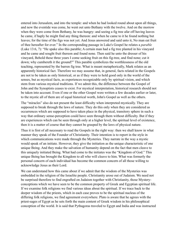entered into Jerusalem, and into the temple: and when he had looked round about upon all things, and now the eventide was come, he went out unto Bethany with the twelve. And on the morrow when they were come from Bethany, he was hungry: and seeing a fig tree afar off having leaves he came, if haply he might find any thing thereon: and when he came to it he found nothing but leaves; for the time of the figs was not yet. And Jesus answered and said unto it, No man eat fruit of thee hereafter for ever." In the corresponding passage in Luke's Gospel he relates a *parable* (Luke 13:6, 7): "He spake also this parable; A certain man had a fig tree planted in his vineyard and he came and sought fruit thereon and found none. Then said he unto the dresser of his vineyard, Behold these three years I come seeking fruit on this fig-tree, and find none; cut it down; why cumbereth it the ground?" This parable symbolizes the worthlessness of the old teaching, represented by the barren fig tree. What is meant metaphorically, Mark relates as an apparently historical fact. Therefore we may assume that, in general, facts related in the Gospels are not to be taken as only historical, or as if they were to hold good only in the world of the senses, but as mystical facts, as experiences recognizable only by spiritual vision, and which stem from various mystical traditions. If we admit this, the difference between the Gospel of John and the Synoptists ceases to exist. For mystical interpretation, historical research should not be taken into account. Even if one or the other Gospel were written a few decades earlier or later, to the mystic all of them are of equal historical worth, John's Gospel as well as the others.

The "miracles" also do not present the least difficulty when interpreted mystically. They are supposed to break through the laws of nature. They do this only when they are considered as occurrences which are supposed to have taken place in the physical, transitory sphere in such a way that ordinary sense-perception could have seen through them without difficulty. But if they are experiences which can be seen through only at a higher level, the spiritual level of existence, then it is a matter of course that they cannot be grasped by the laws of physical nature.

Thus it is first of all necessary to read the Gospels in the right way: then we shall know in what manner they speak of the Founder of Christianity. Their intention is to report in the style in which communications were made through the Mysteries. They narrate in the way a mystic would speak of an initiate. However, they give the initiation as the unique characteristic of one unique Being. And they make the salvation of humanity depend on the fact that men cleave to this uniquely initiated Being. What had come to the initiates was the "Kingdom of God." This unique Being has brought the Kingdom to all who will cleave to him. What was formerly the personal concern of each individual has become the common concern of all those willing to acknowledge Jesus as their Lord.

We can understand how this came about if we admit that the wisdom of the Mysteries was embedded in the religion of the Israelite people. Christianity arose out of Judaism. We need not be surprised therefore to find engrafted on Judaism together with Christianity, those Mysteryconceptions which we have seen to be the common property of Greek and Egyptian spiritual life. If we examine folk religions we find various ideas about the spiritual. If we trace back to the deeper wisdom of the priests, which in each case proves to be the spiritual nucleus of the differing folk religions, we find agreement everywhere. Plato is aware that he agrees with the priest-sages of Egypt as he sets forth the main content of Greek wisdom in his philosophical conception of the world. It is said that Pythagoras traveled to Egypt and India and was instructed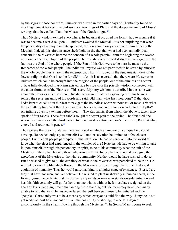by the sages in those countries. Thinkers who lived in the earlier days of Christianity found so much agreement between the philosophical teachings of Plato and the deeper meaning of Moses' writings that they called Plato the Moses of the Greek tongue. $63$ 

Thus Mystery wisdom existed everywhere. In Judaism it acquired the form it had to assume if it was to become a world religion. — Judaism awaited the Messiah. It is not surprising that when the personality of a unique initiate appeared, the Jews could only conceive of him as being the Messiah. Indeed, this circumstance sheds light on the fact that what had been an individual concern in the Mysteries became the concern of a whole people. From the beginning the Jewish religion had been a religion of the people. The Jewish people regarded itself as one organism. Its Jao was the God of the whole people. If the Son of this God were to be born he must be the Redeemer of the whole people. The individual mystic was not permitted to be saved by himself; the whole people must share in the redemption. Thus it is rooted in the fundamental ideas of the Jewish religion that One is to die for all. $\frac{64}{ }$  — And it is also certain that there were Mysteries in Judaism which could be brought into the religion of the people, out of the dimness of a secret cult. A fully developed mysticism existed side by side with the priestly wisdom connected with the outer formulas of the Pharisees. This secret Mystery wisdom is described in the same way among the Jews as it is elsewhere. One day when an initiate was speaking of it, his hearers sensed the secret meaning of his words and said, Old man, what hast thou done? O that thou hadst kept silence! Thou thinkest to navigate the boundless ocean without sail or mast. This what thou art attempting. Wilt thou fly upwards? Thou canst not. Wilt thou descend into the depths? An infinite abyss is yawning before thee. — The Kabbalists, from whom the above is taken, also speak of four rabbis. These four rabbis sought the secret path to the divine. The first died, the second lost his reason, the third caused tremendous desolation, and on!y the fourth, Rabbi Akiba, entered and returned in peace.<sup>65</sup>

Thus we see that also in Judaism there was a soil in which an initiate of a unique kind could develop. He needed only say to himself: I will not let salvation be limited to a few chosen people. I will let all people participate in this salvation. He had to carry out into the world at large what the elect had experienced in the temples of the Mysteries. He had to be willing to take it upon himself, through his personality, in spirit, to be to his community what the cult of the Mysteries hitherto had been to those who took part in it. Indeed he could not at once give the *experiences* of the Mysteries to the whole community. Neither would he have wished to do so. But he wished to give to all the certainty of what in the Mysteries was perceived to be truth. He wished to cause the life which flowed in the Mysteries to flow through the further historical evolution of humanity. Thus he would raise mankind to a higher stage of existence. "Blessed are they that have not seen, and yet believe." He wished to plant unshakably in human hearts, in the form of *faith*, the certainty that the divine really exists. A man who stands outside initiation and has this faith certainly will go further than one who is without it. It must have weighed on the heart of Jesus like a nightmare that among those standing outside there may have been many unable to find the way. He wished to lessen the gulf between those to be initiated and the "people." Christianity was to be a means by which everyone could find the way. If anyone is not yet ready, at least he is not cut off from the possibility of sharing, to a certain degree unconsciously, in the stream flowing through the Mysteries. "The Son of Man is come to seek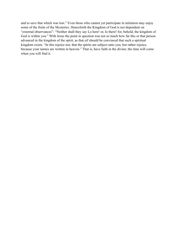and to save that which was lost." Even those who cannot yet participate in initiation may enjoy some of the fruits of the Mysteries. Henceforth the Kingdom of God is not dependent on "external observances": "Neither shall they say Lo here! or, lo there! for, behold, the kingdom of God is within you." With Jesus the point in question was not so much how far this or that person advanced in the kingdom of the spirit, as that *all* should be convinced that such a spiritual kingdom exists. "In this rejoice not, that the spirits are subject unto you; but rather rejoice, because your names are written in heaven." That is, have faith in the divine; the time will come when you will find it.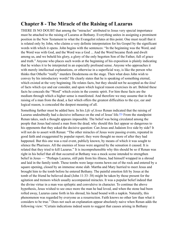# **Chapter 8 - The Miracle of the Raising of Lazarus**

THERE IS NO DOUBT that among the "miracles" attributed to Jesus very special importance must be attached to the raising of Lazarus at Bethany. Everything unites in assigning a prominent position in the New Testament to what the Evangelist relates at this point. One must recall that it is related only by John, who claims a very definite interpretation for his Gospel by the significant words with which it opens. John begins with the sentences: "In the beginning was the Word, and the Word was with God, and the Word was a God ... And the Word became flesh and dwelt among us, and we beheld his glory, a glory of the only begotten Son of the Father, full of grace and truth." Anyone who places such words at the beginning of his exposition is plainly indicating that he wishes it to be interpreted in an especially profound sense. Anyone who approaches it with merely intellectual explanations, or otherwise in a superficial way, is like the person who thinks that Othello "really" murders Desdemona on the stage. Then what does John wish to convey by his introductory words? He clearly states that he is speaking of something eternal, which existed at the very beginning. He relates facts, but they should not be accepted as the *kind* of facts which eye and ear consider, and upon which logical reason exercises its art. Behind these facts he conceals the "Word" which exists in the cosmic spirit. For him these facts are the medium through which a higher sense is manifested. And therefore we may assume that in the raising of a man from the dead, a fact which offers the greatest difficulties to the eye, ear and logical reason, is concealed the deepest meaning of all.

Something further must be added here. In his *Life of Jesus* Renan indicated that the raising of Lazarus undoubtedly had a decisive influence on the end of Jesus' life.<sup>65a</sup> From the standpoint Renan takes, such a thought appears impossible. The belief was being circulated among the people that Jesus had raised a man from the dead; why should this fact appear so dangerous to his opponents that they asked the decisive question: Can Jesus and Judaism live side by side? It will not do to assert with Renan: "The other miracles of Jesus were passing events, repeated in good faith and exaggerated by popular report; they were thought no more of after they had happened. But this one was a real event, publicly known, by means of which it was sought to silence the Pharisees. All the enemies of Jesus were angered by the sensation it caused. It is related that they tried to kill Lazarus." It is incomprehensible why this should be so if Renan was right in his belief that all that occurred at Bethany was a mock scene intended to strengthen belief in Jesus — "Perhaps Lazarus, still pale from his illness, had himself wrapped in a shroud and laid in the family tomb. These tombs were large rooms hewn out of the rock and entered by a square opening, closed by an immense stone slab. Martha and Mary hurried to meet Jesus and brought him to the tomb before he entered Bethany. The painful emotion felt by Jesus at the tomb of the friend he believed dead (John 11:33–38) might be taken by those present for the agitation and tremors which usually accompanied miracles. It was a popular belief indeed that the divine virtue in a man was epileptic and convulsive in character. To continue the above hypothesis, Jesus wished to see once more the man he had loved, and when the stone had been rolled away, Lazarus came forth in his shroud, his head bound with a napkin. Naturally, this phenomenon was regarded by everyone as a resurrection. Faith knows no other law than what it considers to be true." Does not such an explanation appear absolutely naive when Renan adds the following view: "Certain indications indeed seem to suggest that causes arising in Bethany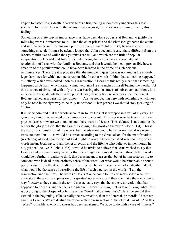helped to hasten Jesus' death"? Nevertheless a true feeling undoubtedly underlies this last statement by Renan. But with the means at *his* disposal, Renan cannot explain or justify this feeling.

Something of quite special importance must have been done by Jesus at Bethany to justify the following words in reference to it: "Then the chief priests and the Pharisees gathered the council, and said, What do we? for this man performs many signs." (John 11:47) Renan also surmises something special: "It must be acknowledged that John's account is essentially different from the reports of miracles of which the Synoptists are full, and which are the fruit of popular imagination. Let us add that John is the only Evangelist with accurate knowledge of the relationship of Jesus with the family at Bethany, and that it would be incomprehensible how a creation of the popular mind could have been inserted in the frame of such personal reminiscences. Therefore it is probable that the miracle in question was not among the entirely legendary ones for which no one is responsible. In other words, I think that something happened at Bethany which was looked upon as a resurrection." Does not this really mean that something happened at Bethany which Renan cannot explain? He entrenches himself behind the words: "At this distance of time, and with only one text bearing obvious traces of subsequent additions, it is impossible to decide whether, in the present case, all is fiction, or whether a real incident at Bethany served as a basis for the rumor." — Are we not dealing here with something which need only be read in the right way to be truly understood? Then perhaps we should stop speaking of "fiction."

It must be admitted that the whole account in John's Gospel is wrapped in a veil of mystery. To gain insight into this we need only demonstrate one point. If the report is to be taken in a literal, physical sense, how are we to understand these words of Jesus: "This sickness is not unto death, but for the glory of God, that the Son of God might be glorified thereby."? (John 11:4). This is the customary translation of the words, but the situation would be better realized if we were to translate them thus — as would be correct according to the Greek also: "for the manifestation (revelation) of God, that the Son of God might be revealed thereby." And what do these other words mean: Jesus says, "I am the resurrection and the life: he who believes in me, though he die, yet shall he live"? (John 11:25) It would be trivial to believe that Jesus wished to say that Lazarus had become ill only in order that Jesus might demonstrate his skill through him. And it would be a further triviality to think that Jesus meant to assert that belief in him restores life to someone who is dead in the ordinary sense of the word. For what would be remarkable about a person raised from the dead, if after his resurrection he was the same as before death? Indeed, what would be the sense of describing the life of such a person in the words: "I am the resurrection and the life"? The words of Jesus at once come to life and make sense when we understand them as the expression of a spiritual occurrence, and then even take them in a certain way *literally* as they stand in the text. Jesus actually says that he is the resurrection that has happened to Lazarus, and that he is the *life* that Lazarus is living. Let us take *literally* what Jesus is according to the Gospel of John. He is the "Word that became flesh." He is the eternal that existed in the beginning. If he is really the resurrection, then the "eternal, primordial" has risen again in Lazarus. We are dealing therefore with the resurrection of the eternal "Word." And this "Word" is the life to which Lazarus has been awakened. We have to do with a case of "illness."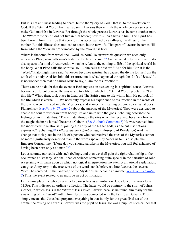But it is not an illness leading to death, but to the "glory of God," that is, to the revelation of God. If the "eternal Word" has risen again in Lazarus then in truth the whole process serves to make God manifest in Lazarus. For through the whole process Lazarus has become another man. The "Word," the Spirit, did not live in him before; now this Spirit lives in him. This Spirit has been born in him. It is true that every birth is accompanied by an illness, the illness of the mother. But this illness does not lead to death, but to new life. That part of Lazarus becomes "ill" from which the "new man," permeated by the "Word," is born.

Where is the tomb from which the "Word" is born? To answer this question we need only remember Plato, who calls man's body the tomb of the soul.<sup>66</sup> And we need only recall that Plato also speaks of a kind of resurrection when he refers to the coming to life of the spiritual world in the body. What Plato calls the spiritual soul, John calls the "Word." And for him Christ is the "Word." Plato might have said, Whoever becomes spiritual has caused the divine to rise from the tomb of his body. And for John this resurrection is what happened through the "Life of Jesus." It is no wonder then that he causes Jesus to say, "I am the resurrection."

There can be no doubt that the event at Bethany was an awakening in a spiritual sense. Lazarus became a different person. He was raised to a life of which the "eternal Word" proclaims: "I am this life." What, then, took place in Lazarus? The Spirit came to life within him. He partook of the life which is eternal. — We need only express his experience of resurrection in the words of those who were initiated into the Mysteries, and at once the meaning becomes clear What does Plutarch say (*[see Note in Chapter 2](#page-25-0)*) about the purpose of the Mysteries? They were designed to enable the soul to withdraw from bodily life and unite with the gods. Schelling describes the feelings of an initiate thus: "The initiate, through the rites which he received, became a link in the magic chain; he himself became a Cabeiri. ([See Author's Comment 8\)](#page-92-1) He was received into the indestructible relationship, joining the army of the higher gods, as ancient inscriptions express it." (Schelling, <sup>66a</sup> *Philosophie der Offenbarung*, Philosophy of Revelation) And the change that took place in the life of a person who had received the rites of the Mysteries cannot be more significantly described than in the words spoken by Aedesius to his disciple, the Emperor Constantine: "If one day you should partake in the Mysteries, you will feel ashamed of having been born only as a man."<sup>66b</sup>

Let us saturate our souls with such feelings, and then we shall gain the right relationship to the occurrence at Bethany. We shall then experience something quite special in the narrative of John. A certainty will dawn upon us which no logical interpretation, no attempt at rational explanation, can give. A mystery in the true sense of the word stands before us. Into Lazarus the "eternal Word" has entered. In the language of the Mysteries, he became an initiate (*[see Note in Chapter](#page-21-0)  [2](#page-21-0)*) Thus the event related to us must be an act of initiation.

Let us now place the whole event before ourselves as an initiation. Jesus loved Lazarus (John 11:36). This indicates no ordinary affection. The latter would be contrary to the spirit of John's Gospel, in which Jesus is the "Word." Jesus loved Lazarus because he found him ready for the awakening of the "Word" within him. Jesus was connected with the family at Bethany. This simply means that Jesus had prepared everything in that family for the great final act of the drama: the raising of Lazarus. Lazarus was the pupil of Jesus. He was a pupil of such caliber that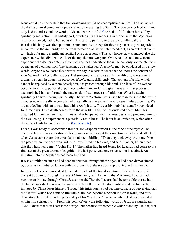Jesus could be quite certain that the awakening would be accomplished in him. The final act of the drama of awakening was a pictorial action revealing the Spirit. The person involved in it not only had to understand the words, "Die and come to life,"<sup>67</sup> he had to fulfill them himself by a spiritually real action. His earthly part, of which his higher being in the sense of the Mysteries must be ashamed, had to be laid aside. The earthly part had to die a pictorially real death. The fact that his body was then put into a somnambulistic sleep for three days can only be regarded, in contrast to the immensity of the transformation of life which preceded it, as an external event to which a far more significant spiritual one corresponds. This act, however, was indeed also the experience which divided the life of the mystic into two parts. One who does not know from experience the deeper content of such acts cannot understand them. He can only appreciate them by means of a comparison. The substance of Shakespeare's *Hamlet* may be condensed into a few words. Anyone who learns these words can say in a certain sense that he knows the content of *Hamlet*. And intellectually he does. But someone who allows all the wealth of Shakespeare's drama to stream in upon him perceives *Hamlet* quite differently. The content of a life, which cannot be replaced by a mere description, has passed through his soul. The idea of *Hamlet* has become an artistic, personal experience within him. — On a *higher level* a similar process is accomplished in man through the magic, significant process of initiation. What he attains spiritually he lives through pictorially. The word "pictorially" is used here in the sense that while an outer event is really accomplished materially, at the same time it is nevertheless a picture. We are not dealing with an unreal, but with a *real* picture. The earthly body has actually been dead for three days. From death comes forth the new life. This life has outlasted death. Man has acquired faith in the new life. — This is what happened with Lazarus. Jesus had prepared him for the awakening. He experienced a pictorially real illness. The latter is an initiation, which after three days leads to a really new life ([See footnote\)](#page-113-0).

Lazarus was ready to accomplish this act. He wrapped himself in the robe of the mystic. He enclosed himself in a condition of lifelessness which was at the same time a pictorial death. And when Jesus came there, the three days had been fulfilled. "Then they took away the stone from the place where the dead was laid. And Jesus lifted up his eyes, and said, 'Father, I thank thee that thou hast heard me.'" (John 11:41.) The Father had heard Jesus, for Lazarus had come to the final act of the great drama of cognition. He had perceived how resurrection is attained. An initiation into the Mysteries had been fulfilled.

It was an initiation such as had been understood throughout the ages. It had been demonstrated by Jesus as the initiator. Union with the divine had always been represented in this manner.

In Lazarus Jesus accomplished the great miracle of the transformation of life in the sense of ancient traditions. Through this event Christianity is linked with the Mysteries. Lazarus had become an initiate through Christ Jesus himself. Thereby Lazarus had become able to rise into the higher worlds. He was at the same time both the first Christian initiate and the first to be initiated by Christ Jesus himself. Through his initiation he had become capable of perceiving that the "Word" which had come to life within him had become a person in Christ Jesus, and thus there stood before him in the personality of his "awakener" the same which had been revealed within him spiritually. — From this point of view the following words of Jesus are significant: "And I knew that thou hearest me always: but because of the people which stand by I said it, that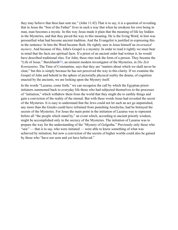they may believe that thou hast sent me." (John 11:42) That is to say, it is a question of revealing that in Jesus the "Son of the Father" lives in such a way that when he awakens his own being in man, man becomes a mystic. In this way Jesus made it plain that the meaning of life lay hidden in the Mysteries, and that they paved the way to this meaning. He is the living Word; in him was personified what had become ancient tradition. And the Evangelist is justified in expressing this in the sentence: In him the Word became flesh. He rightly sees in Jesus himself an *incarnated mystery*. And because of this, John's Gospel is a mystery. In order to read it rightly we must bear in mind that the facts are spiritual facts. If a priest of an ancient order had written it, he would have described traditional rites. For John, these rites took the form of a person. They became the "Life of Jesus." Burckhardt<sup>67a</sup>, an eminent modern investigator of the Mysteries, in *Die Zeit Konstantins*, The Time of Constantine, says that they are "matters about which we shall never be clear," but this is simply because he has not perceived the way to this clarity. If we examine the Gospel of John and behold in the sphere of pictorially physical reality the drama, of cognition enacted by the ancients, we are looking upon the Mystery itself.

In the words "Lazarus, come forth," we can recognize the call by which the Egyptian priestinitiators summoned back to everyday life those who had subjected themselves to the processes of "initiation," which withdrew them from the world that they might die to earthly things and gain a conviction of the reality of the eternal. But with these words Jesus had revealed the secret of the Mysteries. It is easy to understand that the Jews could not let such an act go unpunished, any more than the Greeks could have refrained from punishing Aeschylus, had he betrayed the secrets of the Mysteries. For Jesus the main point in the initiation of Lazarus was to represent before all "the people which stand by," an event which, according to ancient priestly wisdom, might be accomplished only in the secrecy of the Mysteries. The initiation of Lazarus was to prepare the way for the understanding of the "Mystery of Golgotha." Previously only those who "saw" — that is to say, who were initiated — were able to know something of what was achieved by initiation; but now a conviction of the secrets of higher worlds could also be gained by those who "have not seen and yet have believed."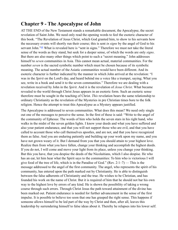# **Chapter 9 - The Apocalypse of John**

AT THE END of the New Testament stands a remarkable document, the Apocalypse, the secret revelation of Saint John. We need only read the opening words to feel the esoteric character of this book. "The Revelation of Jesus Christ, which God granted him, to show to his servants how the necessary events will shortly run their course; this is sent *in signs* by the angel of God to his servant John."<sup>68</sup> What is revealed here is "sent in signs." Therefore we must not take the literal sense of the words as they stand, but seek for a deeper sense, of which the words are only *signs*. But there are also many other things which point to such a "secret meaning." John addresses himself to *seven* communities in Asia. This cannot mean actual, material communities. For the number *seven* is the sacred symbolic number which must be chosen because of its symbolic meaning. The actual number of the Asiatic communities would have been different. And its esoteric character is further indicated by the manner in which John arrived at the revelation: "I was in the *Spirit* on the Lord's day, and heard behind me a voice like a trumpet, saying; What you see, write in a book and send it to the seven communities." Therefore we are dealing with a revelation received by John in the *Spirit*. And it is the revelation of *Jesus Christ*. What became revealed to the world through Christ Jesus appears in an esoteric form. Such an esoteric sense therefore must be sought in the teaching of Christ. *This* revelation bears the same relationship to ordinary Christianity as the revelation of the Mysteries in pre Christian times bore to the folk religion. Hence the attempt to treat this Apocalypse as a Mystery appears justified.

The Apocalypse is addressed to seven communities. What does this mean? We need only single out one of the messages to perceive the sense. In the first of these is said: "Write to the angel of the community of Ephesus: The words of him who holds the seven stars in his right hand, who walks in the midst of the seven golden lights. I know your deeds and what you have suffered and also your patient endurance, and that you will not support those who are evil, and that you have called to account those who call themselves apostles, and are not, and that you have recognized them as false. And you are enduring patiently and building up your work upon my name, and you have not grown weary of it. But I demand from you that you should attain to your highest love. Realize then from what you have fallen, change your thinking and accomplish the highest deeds. If you do not, I will come and move your light from its place, unless you change your thinking. But this you have, that you despise the deeds of the Nicolaitians, which I also despise. He who has an ear, let him hear what the Spirit says to the communities: To him who is victorious I will give food of the tree of life, which is in the Paradise of God." (Rev. 2:1–7) — This is the message addressed to the angel of the first community. The angel, who represents the spirit of his community, has entered upon the path marked out by Christianity. He is able to distinguish between the false adherents of Christianity and the true. He wishes to be Christian, and has founded his work on the name of Christ. But it is required of him that he should not bar his own way to the highest love by errors of any kind. He is shown the possibility of taking a wrong course through such errors. Through Christ Jesus the path toward attainment of the divine has been marked out. Patient endurance is needed for further advancement in the sense of the first impulse. It is possible to believe too soon that one has grasped the right sense. This happens if someone allows himself to be led part of the way by Christ and then, after all, leaves this leadership by surrendering himself to false ideas about it. Thereby he relapses into his lower self.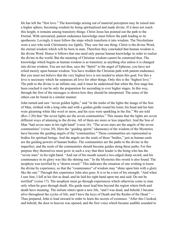He has left the "first love." The knowledge arising out of material perception may be raised into a higher sphere, becoming wisdom by being spiritualized and made divine. If it does not reach this height, it remains among transitory things. Christ Jesus has pointed out the path to the Eternal. With unwearied, patient endurance knowledge must follow the path leading to its apotheosis. Lovingly it must follow the steps which transform it into wisdom. The Nicolaitians were a sect who took Christianity too lightly. They saw but one thing: Christ is the divine Word, the eternal wisdom which will be born in man. Therefore they concluded that human wisdom is the divine Word. Hence it follows that one need only pursue human knowledge in order to realize the divine in the world. But the meaning of Christian wisdom cannot be construed thus. The knowledge which begins as human wisdom is as transitory as anything else unless it is changed into divine wisdom. You are not thus, says the "Spirit" to the angel of Ephesus; you have not relied merely upon human wisdom. You have trodden the Christian path with patient endurance. But you must not believe that the very highest love is not needed to attain this goal. For this a love is necessary which far surpasses all love for other things. Only this is the "highest love." The path to the divine is an infinite one, and it must be understood that when the first stage has been reached it can be only the preparation for ascending to ever higher stages. In this way, through the first of the messages is shown how they should be interpreted. The sense of the others can be found in a similar manner.

John turned and saw "seven golden lights," and "in the midst of the lights the image of the Son of Man, clothed with a long robe and with a golden girdle round his loins; his head and his hair were gleaming white like wool or snow, and his eyes were sparkling in the fire." We are told (Rev.1:20) that "the seven lights are the seven communities." This means that the lights are seven different ways of attaining to the divine. All of them are more or less imperfect. And the Son of Man "had seven stars in his right hand" (verse 16). "The seven stars are the angels of the seven communities" (verse 20). Here the "guiding spirits" (daemons) of the wisdom of the Mysteries have become the guiding angels of the "communities." These communities are represented as bodies for spiritual beings. And the angels are the souls of these "bodies," just as human souls are the guiding powers of human bodies. The communities are the paths to the divine in the imperfect, and the souls of the communities should become guides along these paths. For this purpose they themselves must grow in such a way that their leader is the being who has the "seven stars" in his right hand. "And out of his mouth issued a two-edged sharp sword, and his countenance in its glory was like the shining sun." In the Mysteries this sword is also found. The neophyte was terrified by a "drawn sword." This indicates the situation of one wishing to know the divine by experience, so that the "countenance" of wisdom may "shine upon him with a glory like the sun." Through this experience John also goes. It is to be a test of his strength. "And when I saw him, I fell at his feet as dead; and he laid his right hand upon me and said: Do not be terrified" (verse 17). The neophyte must go through experiences which otherwise come to man only when he goes through death. His guide must lead him beyond the region where birth and death have meaning. The initiate enters upon a new life, "and I was dead, and behold, I became alive throughout the cycles of life; and I have the keys of Death and the Realm of the Dead." — Thus prepared, John is lead onward in order to learn the secrets of existence. "After this I looked, and behold, the door to heaven was opened, and the first voice which became audible sounded to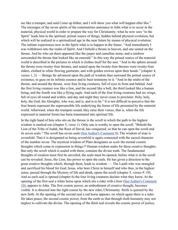me like a trumpet, and said Come up hither, and I will show you what will happen after this." The messages of the seven spirits of the communities announce to John what is to occur in the material, physical world in order to prepare the way for Christianity; what he now sees "in the Spirit" leads him to the spiritual, primal source of things, hidden behind physical evolution, but which will be realized in a spiritualized age in the near future by means of physical evolution. The initiate experiences now in the Spirit what is to happen in the future. "And immediately I was withdrawn into the realm of Spirit. And I beheld a throne in heaven, and one seated on the throne. And he who sat there appeared like the jasper and carnelian stone; and a rainbow surrounded the throne that looked like an emerald." In this way the primal source of the material world is described in the pictures in which it clothes itself for the seer. "And in the sphere around the throne were twenty-four thrones, and seated upon the twenty-four thrones were twenty-four elders, clothed in white flowing garments, and with golden crowns upon their heads." (chapter 4, verses 1, 2) — Beings far advanced upon the path of wisdom thus surround the primal source of existence, to gaze on its infinite essence and to bear testimony to it. "And in the midst of the throne, and around the throne, were four living creatures, full of eyes in front and behind. And the first living creature was like a lion, and the second like a bull, the third looked like a human being, and the fourth was like a flying eagle. And each of the four living creatures had six wings, full of eyes all round and within, and day and night they never cease to proclaim: Holy, holy, holy, the God, the Almighty, who was, and is, and is to be." It is not difficult to perceive that the four beasts represent the supersensible life underlying the forms of life presented by the material world. Afterward, when the trumpets sound, they raise their voices, that is, when the life expressed in material forms has been transmuted into spiritual life.

In the right hand of him who sits on the throne is the scroll in which the path to the highest wisdom is marked out (chapter 5, verse 1). Only one is worthy to open the scroll. "Behold the Lion of the Tribe of Judah, the Root of David, has conquered, so that he can open the scroll and its seven seals." The scroll has seven seals [\(See Author's Comment 9\)](#page-92-0). The wisdom of man is sevenfold. That it is designated as being sevenfold is again connected with the sacred character of the number seven. The mystical wisdom of Plato designates as *seals* the eternal cosmic thoughts which come to expression in things.  $69$  Human wisdom seeks for these creative thoughts. But only the scroll which is sealed with them, contains the divine truth. The fundamental thoughts of creation must first be unveiled, the seals must be opened, before what is in the scroll can be revealed. Jesus, the Lion, has power to open the seals. He has given a direction to the great creative thoughts which, through them, leads to wisdom. — The Lamb who was strangled and sacrificed his blood for God; Jesus, who bore Christ in himself and who thus, in the highest sense, passed through the Mystery of life and death, opens the scroll (chapter 5, verses 9–10). And as each seal is opened (chapter 6) the four living creatures declare what they know. At the opening of the first seal a white horse upon which sits a rider with a bow ([See Author's Comment](#page-92-1)  [10](#page-92-1)), appears to John. The first cosmic power, an embodiment of creative thought, becomes visible. It is directed into the right course by the new rider, Christianity. Strife is quieted by the new faith. At the opening of the second seal a red horse appears, on which again there is a rider. He takes peace, the second cosmic power, from the earth so that through sloth humanity may not neglect to cultivate the divine. The opening of the third seal reveals the cosmic power of justice,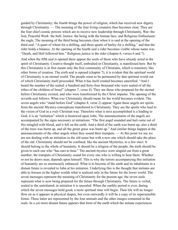guided by Christianity; the fourth brings the power of religion, which has received new dignity through Christianity. — The meaning of the four living creatures thus becomes clear. They are the four chief cosmic powers which are to receive new leadership through Christianity, War: the lion; Peaceful Work: the bull; Justice: the being with the human face; and Religious Enthusiasm: the eagle. The meaning of the third being becomes clear when it is said at the opening of the third seal: "A quart of wheat for a shilling, and three quarts of barley for a shilling," and that the rider holds a balance. At the opening of the fourth seal a rider becomes visible whose name was "Death, and Hell followed him." Religious justice is the rider (chapter 6, verses 6 and 7).

And when the fifth seal is opened there appear the souls of those who have already acted in the spirit of Christianity. Creative thought itself, embodied in Christianity, is manifested here. But by this Christianity is at first meant only the first community of Christians, which is transitory like other forms of creation. The sixth seal is opened (chapter 7), it is evident that the spiritual world of Christianity is an eternal world. The people seem to be permeated by that spiritual world out of which Christianity itself proceeded. What it has itself created becomes sanctified. "And I heard the number of the sealed: a hundred and forty-four thousand who were sealed of all the tribes of the children of Israel" (chapter 7, verse 4). They are those who prepared for the eternal before Christianity existed, and who were transformed by the Christ impulse. The opening of the seventh seal follows. What *true* Christianity should mean for the world becomes evident. The seven angels who "stand before God" (chapter 8, verse 2) appear. Again these angels are spirits from the ancient Mystery-conceptions transferred to Christianity. They are the spirits who lead to the vision of God in a *truly* Christian way. Therefore what is next accomplished is a leading to God; it is an "initiation" which is bestowed upon John. The announcements of the angels are accompanied by the signs necessary at initiations. "The first angel sounded and hail came out of fire mingled with blood, and it fell on the earth. And a third of the earth was burnt up, also a third of the trees was burnt up, and all the green grass was burnt up." And similar things happen at the announcements of the other angels when they sound their trumpets. — At this point we see we are not dealing with an initiation in the old sense but with a new one which should take the place of the old. Christianity should not be confined, like the ancient Mysteries, to a few elect. It should belong to the whole of humanity. It should be a religion of the people; the truth should be given to each one who "has ears to hear." The ancient mystics were singled out from a great number; the trumpets of Christianity sound for every one who is willing to hear them. Whether or not he draws near, depends upon himself. This is why the terrors accompanying this initiation of humanity are so enormously enhanced. What is to become of the earth and its inhabitants in a distant future is revealed to John at his initiation. Underlying this is the thought that initiates are able to foresee in the higher worlds what is realized only in the future for the lower world. The seven messages represent the meaning of Christianity for the present age; the seven seals represent what is now being prepared for the future through Christianity. The future is veiled, sealed to the uninitiated; in initiation it is unsealed. When the earthly period is over, during which the seven messages hold good, a more spiritual time will begin. Then life will no longer flow on as it appears in physical shapes, but even outwardly it will be a copy of its supersensible forms. These latter are represented by the four animals and the other images contained in the seals. In a yet more distant future appears that form of the earth which the initiate experiences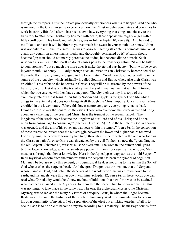through the trumpets. Thus the initiate prophetically experiences what is to happen. And one who is initiated in the Christian sense experiences how the Christ impulse penetrates and continues to work in earthly life. And after it has been shown how everything that clings too closely to the transitory to attain true Christianity has met with death, there appears the mighty angel with a little scroll open in his hand, and which he gives to John (chapter 10, verse 9): "And he said to me Take it, and eat: it will be bitter to your stomach but sweet in your mouth like honey." John was not only to *read* the little scroll; he was to absorb it, letting its contents permeate him. What avails any cognition unless man is vitally and thoroughly permeated by it? Wisdom should become *life*; man should not merely perceive the divine, but become divine himself. Such wisdom as is written in the scroll no doubt causes pain to the transitory nature: "it will be bitter to your stomach;" but so much the more does it make the eternal part happy: "but it will be sweet in your mouth like honey." — Only through such an initiation can Christianity become actual on the earth. It kills everything belonging to the lower nature. "And their dead bodies will lie in the square of the great city, which spiritually is called Sodom and Egypt, where also their Christ was crucified." This refers to the believers in Christ. They will be mistreated by the powers of the transitory world. But it is only the transitory members of human nature that will be ill treated, which the true essence will then have conquered. Thereby their destiny is a copy of the exemplary fate of Christ Jesus. "Spiritually Sodom and Egypt" is the symbol of a life which clings to the external and does not change itself through the Christ impulse. Christ is *everywhere* crucified in the lower nature. Where this lower nature conquers, everything remains dead. Human corpses cover the squares of the cities. Those who overcome the lower nature and bring about an awakening of the crucified Christ, hear the trumpet of the seventh angel: "The kingdoms of the world have become the kingdom of our Lord and of his Christ; and he shall reign from cosmic age to cosmic age" (chapter 11, verse 15). "And the temple of God in heaven was opened, and the ark of his covenant was seen within his temple" (verse 9). In the conception of these events the initiate sees the old struggle between the lower and higher nature renewed. For everything the neophyte formerly had to go through must be repeated in the one who follows the Christian path. As once Osiris was threatened by the evil Typhon, so now the "great Dragon, the old Serpent" (chapter 12, verse 9) must be overcome. The woman, the human soul, gives birth to lower knowledge, which is an adverse power if it does not raise itself to wisdom. Man must pass through that lower knowledge. Here in the Apocalypse it appears as the "old Serpent." In all mystical wisdom from the remotest times the serpent has been the symbol of cognition. Man may be led astray by this serpent, by cognition, if he does not bring to life in him the Son of God who crushes the serpents head. "And the great Dragon was thrown out, that old Serpent, whose name is Devil, and Satan, the deceiver of the whole world: he was thrown down to the earth, and his angels were thrown down with him" (chapter 12, verse 9). In these words one can read what Christianity would be. A new method of initiation. In a new form was to be attained what had been attained in the Mysteries. In them also the serpent had to be overcome. But this was no longer to take place in the same way. The one, the archetypal Mystery, the Christian Mystery, was to replace the many Mysteries of antiquity. Jesus, in whom the Logos became flesh, was to become the Initiator of the whole of humanity. And this humanity was to become his own community of mystics. Not a separation of the elect but a linking together of all is to occur. Each is to be able to become a mystic according to his maturity. The message sounds forth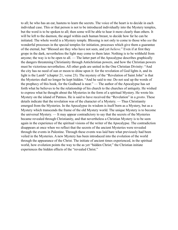to all; he who has an ear, hastens to learn the secrets. The voice of the heart is to decide in each individual case. This or that person is not to be introduced individually into the Mystery temples, but the word is to be spoken to all; then some will be able to hear it more clearly than others. It will be left to the daemon, the angel within each human breast, to decide how far he can be initiated. The whole world is a Mystery temple. Blessing is not only to come to those who *see* the wonderful processes in the special temples for initiation, processes which give them a guarantee of the eternal, but "Blessed are they who have not seen, and yet *believe*." Even if at first they grope in the dark, nevertheless the light may come to them later. Nothing is to be withheld from anyone; the way is to be open to all. — The latter part of the Apocalypse describes graphically the dangers threatening Christianity through Antichristian powers, and how the Christian powers must be victorious nevertheless. All other gods are united in the One Christian Divinity: "And the city has no need of sun or moon to shine upon it: for the revelation of God lights it, and its light is the Lamb" (chapter 21, verse 23). The mystery of the "Revelation of Saint John" is that the Mysteries shall no longer be kept hidden. "And he said to me: Do not seal up the words of the prophecy of this book, for the Godhead is near." — The author of the Apocalypse has set forth what he believes to be the relationship of his church to the churches of antiquity. He wished to express what he thought about the Mysteries in the form of a spiritual Mystery. He wrote his Mystery on the island of Patmos. He is said to have received the "Revelation" in a *grotto*. These details indicate that the revelation was of the character of a Mystery. — Thus Christianity emerged from the Mysteries. In the Apocalypse its wisdom is itself born as a Mystery, but as a Mystery which transcends the frame of the old Mystery world. The unique Mystery is to become the universal Mystery. — It may appear contradictory to say that the secrets of the Mysteries became revealed through Christianity, and that nevertheless a Christian Mystery is to be seen again in the experience of the spiritual visions of the writer of the Apocalypse. The contradiction disappears at once when we reflect that the secrets of the ancient Mysteries were revealed through the events in Palestine. Through these events was laid bare what previously had been veiled in the Mysteries. A new Mystery has been introduced into the evolution of the world through the appearance of the Christ. The initiate of ancient times experienced, in the spiritual world, how evolution points the way to the as yet "hidden Christ;" the Christian initiate experiences the hidden effects of the "revealed Christ."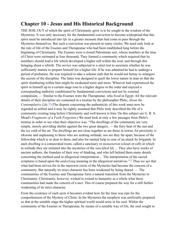# **Chapter 10 - Jesus and His Historical Background**

<span id="page-77-0"></span>THE SOIL OUT of which the spirit of Christianity grew is to be sought in the wisdom of the Mysteries. It was only necessary for the fundamental conviction to become widespread that this spirit must be introduced into *life* in a greater measure than had come to pass through the Mysteries themselves. But such a conviction was present in many circles. We need only look at the rule of life of the Essenes and Therapeutae who had been established long before the beginning of Christianity. The Essenes were a closed Palestinian sect, whose numbers at the time of Christ were estimated at four thousand. They formed a community which required that its members should lead a life which developed a higher self within the soul, and through this bringing about a rebirth. The novice was subjected to a strict test to ascertain whether he was sufficiently mature to prepare himself for a higher life. If he was admitted he had to undergo a period of probation. He was required to take a solemn oath that he would not betray to strangers the secrets of the discipline. The latter was designed to quell the lower nature in man so that the spirit slumbering within him might be awakened more and more. Whoever had experienced the spirit in himself up to a certain stage rose to a higher degree in the order and enjoyed a corresponding authority conditioned by fundamental convictions and not by external compulsion. — Similar to the Essenes were the Therapeutae, who lived in Egypt. All the relevant details of their discipline are contained in a treatise by the philosopher Philo, *About the Contemplative Life*.<sup>70</sup> (The dispute concerning the authenticity of this work must now be regarded as settled and it may be rightly assumed that Philo truly described the life of a community existing long before Christianity and well known to him. On this subject see G. R. S. Mead's *Fragments of a Faith Forgotten*.) We need look at only a few passages from Philo's treatise in order to see what their objective was. "The dwellings of the community are very simple, merely providing shelter against the two great dangers, — the fiery heat of the sun and the icy cold of the air. The dwellings are not close together as are those in towns, for proximity is irksome and unpleasing to those who are seeking solitude; nor are they far apart, because of the fellowship which is so dear to them, and also for mutual help in case of an attack by brigands. In each dwelling is a consecrated room, called a sanctuary or *monasterion* (closet or cell) in which in solitude they are initiated into the mysteries of the *sanctified life* ... They also have works of ancient authors, the founders of their way of thinking, and who left behind them many details concerning the method used in allegorical interpretation ... The interpretation of the sacred scriptures is based upon the *underlying* meaning in the allegorical narratives."<sup>71</sup> Thus we see that what had been striven for in the narrower circle of the Mysteries had become the concern of a community. But naturally its strict character has been weakened by being shared. — The communities of the Essenes and Therapeutae form a natural transition from the Mysteries to Christianity. Christianity, however, wished to extend to humanity as a whole what these communities had made the concern of a sect. This of course prepared the way for a still further weakening of its strict character.

From the existence of such sects it becomes evident how far the time was ripe for the comprehension of the Mystery of Christ. In the Mysteries the neophyte was artificially prepared so that at the suitable stage the higher spiritual world would arise in his soul. Within the community of the Essenes or Therapeutae, by means of a suitable way of life, the soul sought to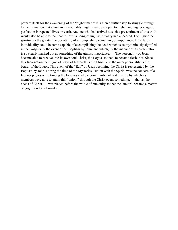prepare itself for the awakening of the "higher man." It is then a further step to struggle through to the intimation that a human individuality might have developed to higher and higher stages of perfection in repeated lives on earth. Anyone who had arrived at such a presentiment of this truth would also be able to feel that in Jesus a being of high spirituality had appeared. The higher the spirituality the greater the possibility of accomplishing something of importance. Thus Jesus' individuality could become capable of accomplishing the deed which is so mysteriously signified in the Gospels by the event of his Baptism by John, and which, by the manner of its presentation, is so clearly marked out as something of the utmost importance. — The personality of Jesus became able to receive into its own soul Christ, the Logos, so that He became flesh in it. Since this Incarnation the "Ego" of Jesus of Nazareth is the Christ, and the outer personality is the bearer of the Logos. This event of the "Ego" of Jesus becoming the Christ is represented by the Baptism by John. During the time of the Mysteries, "union with the Spirit" was the concern of a few neophytes only. Among the Essenes a whole community cultivated a life by which its members were able to attain this "union;" through the Christ event something, — that is, the deeds of Christ, — was placed before the whole of humanity so that the "union" became a matter of cognition for all mankind.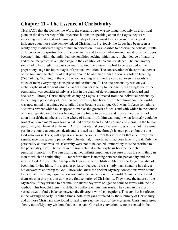# **Chapter 11 - The Essence of Christianity**

THE FACT that the Divine, the Word, the eternal Logos was no longer met only on a spiritual plane in the dark secrecy of the Mysteries but that in speaking about the Logos they were indicating the historical and human personality of Jesus, must have exercised the deepest influence upon those who acknowledged Christianity. Previously the Logos had been seen as reality only in different stages of human perfection. It was possible to observe the delicate, subtle differences in the spiritual life of the personality and to see in what manner and degree the Logos became living within the individual personalities seeking initiation. A higher degree of maturity had to be interpreted as a higher stage in the evolution of spiritual existence. The preparatory steps had to be sought in a past spiritual life. And the present life had to be regarded as the preparatory stage for future stages of spiritual evolution. The conservation of the spiritual power of the soul and the eternity of that power could be assumed from the Jewish esoteric teaching (*The Zohar*), "Nothing in the world is lost, nothing falls into the void, not even the words and voice of man; everything has its place and destination."<sup>72</sup> The one personality was only a metamorphosis of the soul which changes from personality to personality. The single life of the personality was considered only as a link in the chain of development reaching forward and backward. Through Christianity this changing Logos is directed from the individual personality to the unique personality of Jesus. What previously had been distributed throughout the world was now united in a unique personality. Jesus became the unique God-Man. In Jesus something *once* was present which must appear to man as the greatest of ideals and with which in the course of man's repeated earthly lives he ought in the future to be more and more united. Jesus took upon himself the apotheosis of the whole of humanity. In him was sought what formerly could be sought only in a man's own soul. What had always been found as divine and eternal in the human personality had been taken from it. And all this eternal could be seen in Jesus. It is not the eternal part in the soul that conquers death and is raised as divine through its own power, but the one God who was in Jesus, will appear and raise the souls. From this it follows that an entirely new significance was given to personality. The eternal, immortal part had been taken from it. Only the personality as such was left. If eternity were not to be denied, immortality must be ascribed to the personality itself. The belief in the soul's eternal metamorphosis became the belief in personal immortality. The personality gained infinite importance because it was the only thing in man to which he could cling. — Henceforth there is nothing between the personality and the infinite God. A direct relationship with Him must be established. Man was no longer capable of becoming divine himself in a greater or lesser degree; he was simply man, standing in a direct but outward relationship to God. Those who knew the ancient Mystery-conceptions were bound to feel that this brought quite a new note into the conception of the world. Many people found themselves in this position during the first centuries of Christianity. They knew the nature of the Mysteries; if they wished to become Christians they were obliged to come to terms with the old method. This brought them into difficult conflicts within their souls. They tried in the most varied ways to find a balance between the divergent world conceptions. This conflict is reflected in the writings of early Christian times, both of pagans attracted by the sublimity of Christianity and of those Christians who found it hard to give up the ways of the Mysteries. Christianity grew slowly out of Mystery wisdom. On the one hand Christian convictions were presented in the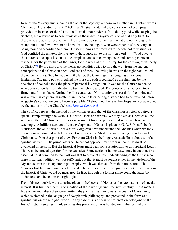form of the Mystery truths, and on the other the Mystery wisdom was clothed in Christian words. Clement of Alexandria (died 217 A.D.), a Christian writer whose education had been pagan, provides an instance of this: "Thus the Lord did not hinder us from doing good while keeping the Sabbath, but allowed us to communicate of those divine mysteries, and of that holy light, to those who are able to receive them. He did not disclose to the many what did not belong to the many; but to the few to whom he knew that they belonged, who were capable of receiving and being moulded according to them. But secret things are entrusted to speech, not to writing, as God confided the unutterable mystery to the Logos, not to the written word." — "God gave to the church some, apostles; and some, prophets; and some, evangelists; and some, pastors and teachers; for the perfecting of the saints, for the work of the ministry, for the edifying of the body of Christ."73 By the most diverse means personalities tried to find the way from the ancient conceptions to the Christian ones. And each of them, believing he was on the right path, called the others heretics. Side by side with the latter, the Church grew stronger as an external institution. The more power it gained the more the path recognized as the right one by the decisions of councils took the place of personal investigation. It was for the Church to decide who deviated too far from the divine truth which it guarded. The concept of a "heretic" took firmer and firmer shape. During the first centuries of Christianity the search for the divine path was a much more personal matter than it became later. A long distance had to be traveled before Augustine's conviction could become possible: "I should not believe the Gospel except as moved by the authority of the Church." (*[see Note in Chapter 6](#page-60-0)*)

The conflict between the method of the Mysteries and that of the Christian religion acquired a special stamp through the various "Gnostic" sects and writers. We may class as Gnostics all the writers of the first Christian centuries who sought for a deeper spiritual sense in Christian teachings. (A brilliant account of the development of Gnosis is given in G. R. S. Mead's book mentioned above, *Fragments of a Faith Forgotten*.) We understand the Gnostics when we look upon them as saturated with the ancient wisdom of the Mysteries and striving to understand Christianity from that point of view. For them Christ is the Logos. As such He is above all of a spiritual nature. In His primal essence He cannot approach man from without. He must be awakened in the soul. But the historical Jesus must bear some relationship to this spiritual Logos. This was the crucial question for the Gnostics. Some settled it in one way, some in another. The essential point common to them all was that to arrive at a true understanding of the Christ-idea, mere historical tradition was not sufficient, but that it must be sought either in the wisdom of the Mysteries or in the Neoplatonic philosophy which was derived from the same source. The Gnostics had faith in human wisdom, and believed it capable of bringing forth a Christ by whom the historical Christ could be measured. In fact, through the former alone could the latter be understood and beheld in the right light.

<span id="page-80-0"></span>From this point of view the doctrine given in the books of Dionysius the Areopagite is of special interest. It is true that there is no mention of these writings until the sixth century. But it matters little when and where they were written; the point is that they give an account of Christianity which is clothed in the language of Neoplatonic philosophy, and presented in the form of a spiritual vision of the higher world. In any case this is a form of presentation belonging to the first Christian centuries. In olden times this presentation was handed on in the form of oral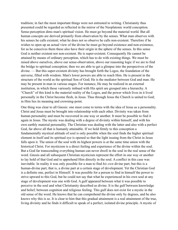tradition; in fact the most important things were not entrusted to writing. Christianity thus presented could be regarded as reflected in the mirror of the Neoplatonic world conception. Sense-perception dims man's spiritual vision. He must go beyond the material world. But all human concepts are derived primarily from observation by the senses. What man observes with his senses he calls existent; what he does not so observe he calls non-existent. Therefore if he wishes to open up an actual view of the divine he must go beyond existence and non-existence, for as he conceives them these also have their origin in the sphere of the senses. In this sense God is neither existent nor non-existent. He is super-existent. Consequently He cannot be attained by means of ordinary perception, which has to do with existing things. We must be raised above ourselves, above our sense-observation, above our reasoning logic if we are to find the bridge to spiritual conception; then we are able to get a glimpse into the perspectives of the divine. — But this super-existent divinity has brought forth the Logos, the foundation of the universe, filled with wisdom. Man's lower powers are able to reach Him. He is present in the structure of the world as the spiritual Son of God; He is the mediator between God and man. He may be present in man in various stages. For instance, He may be realized in an external institution, in which those variously imbued with His spirit are grouped into a hierarchy. A "Church" of this kind is the material reality of the Logos, and the power which lives in it lived personally in the Christ become flesh, in Jesus. Thus through Jesus the Church is united to God; in Him lies its meaning and crowning-point.

One thing was clear to all Gnosis: one must come to terms with the idea of Jesus as a personality. Christ and Jesus must be brought into relationship with each other. Divinity was taken from human personality and must be recovered in one way or another. It must be possible to find it again in Jesus. The mystic was dealing with a degree of divinity within himself, and with his own earthly material personality. The Christian was dealing with the latter and also with a perfect God, far above all that is humanly attainable. If we hold firmly to this conception a fundamentally mystical attitude of soul is only possible when the soul finds the higher spiritual element in itself and its spiritual eye is opened so that the light issuing from the Christ in Jesus falls upon it. The union of the soul with its highest powers is at the same time union with the historical Christ. For mysticism is a direct feeling and experience of the divine within the soul. But a God far transcending everything human can never dwell in the soul in the real sense of the word. Gnosis and all subsequent Christian mysticism represent the effort in one way or another to lay hold of that God and to apprehend Him directly in the soul. A conflict in this case was inevitable. In reality it was only possible for a man to find *his own* divine part; but this is a human-divine part, that is, a divine part at a certain stage of development. Yet the Christian God is a definite one, perfect in Himself. It was possible for a person to find in himself the power to strive upward to this God, but he could not say that what he experienced in his own soul at any stage of development was one with God. A gulf appeared between what it was possible to perceive in the soul and what Christianity described as divine. It is the gulf between knowledge and belief, between cognition and religious feeling. This gulf does not exist for a mystic in the old sense of the word. He knows that he can comprehend the divine only by degrees, and he also knows why this is so. It is clear to him that this gradual attainment is a real attainment of the true, living divinity and he finds it difficult to speak of a perfect, isolated divine principle. A mystic of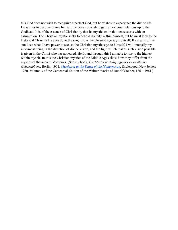this kind does not wish to recognize a perfect God, but he wishes to experience the divine life. He wishes to become divine himself; he does not wish to gain an external relationship to the Godhead. It is of the essence of Christianity that its mysticism in this sense starts with an assumption. The Christian mystic seeks to behold divinity within himself, but he must look to the historical Christ as his eyes do to the sun; just as the physical eye says to itself, By means of the sun I see what I have power to see, so the Christian mystic says to himself, I will intensify my innermost being in the direction of divine vision, and the light which makes such vision possible is given in the Christ who has appeared. He *is*, and through this I am able to rise to the highest within myself. In this the Christian mystics of the Middle Ages show how they differ from the mystics of the ancient Mysteries. (See my book, *Die Mystik im Aufgange des neuzeitlichen Geisteslebens*. Berlin, 1901, *[Mysticism at the Dawn of the Modern Age](http://www.rsarchive.org/Books/GA007/index.php)*, Englewood, New Jersey, 1960, Volume 3 of the Centennial Edition of the Written Works of Rudolf Steiner, 1861–1961.)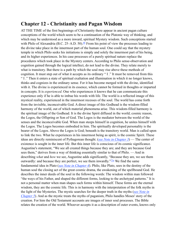## **Chapter 12 - Christianity and Pagan Wisdom**

AT THE TIME of the first beginnings of Christianity there appear in ancient pagan culture conceptions of the world which seem to be a continuation of the Platonic way of thinking, and which may be understood as a more inward, spiritual Mystery wisdom. Such conceptions started with Philo of Alexandria (B.C. 25–A.D. 50). $\frac{46}{5}$  From his point of view the processes leading to the divine take place in the innermost part of the human soul. One could say that the mystery temple in which Philo seeks his initiations is simply and solely the innermost part of his being, and its higher experiences. In his case processes of a purely spiritual nature replace the procedures which took place in the Mystery centers. According to Philo sense-observation and cognition gained through the logical intellect, do not lead to the divine. They relate merely to what is transitory. But there is a path by which the soul may rise above these methods of cognition. It must step out of what it accepts as its ordinary " I ." It must be removed from this " I ." Then it enters a state of spiritual exaltation and illumination in which it no longer knows, thinks and cognizes in the ordinary sense. For it has become merged with the divine, identified with it. The divine is experienced in its essence, which cannot be formed in thoughts or imparted in concepts. It is *experienced*. One who experiences it knows that he can communicate this experience only if he is able to imbue his words with life. The world is a reflected image of this mystical reality, experienced in the innermost recesses of the soul. The world has come forth from the invisible, inconceivable God. A direct image of this Godhead is the wisdom-filled harmony of the world, out of which material phenomena arise. This wisdom-filled harmony is the spiritual image of the Godhead. It is the divine Spirit diffused in the world; cosmic reason, the Logos, the Offspring or Son of God. The Logos is the mediator between the world of the senses and the inconceivable God. When man steeps himself in cognition, he unites himself with the Logos. The Logos becomes embodied in him. The spiritually developed personality is the bearer of the Logos. Above the Logos is God; beneath is the transitory world. Man is called upon to link the two. What he experiences in his innermost being as spirit, is the cosmic Spirit. These ideas are directly reminiscent of Pythagorean thought. (*[see Note in Chapter 3](#page-35-0)*) — The center of existence is sought in the inner life. But this inner life is conscious of its cosmic significance. Augustine's statement, "We see all created things because they are; and they are because God sees them," derives from a way of thinking essentially similar to that of Philo. — And in describing *what* and *how* we see, Augustine adds significantly, "Because they are, we see them outwardly: and because they are perfect, we see them inwardly." $\frac{73a}{3}$  We find the same fundamental idea in Plato (*[see Note in Chapter 4](#page-37-0)*). Philo, like Plato, sees in the destiny of the human soul the closing act of the great cosmic drama, the awakening of the spellbound God. He describes the inner deeds of the soul in the following words: The wisdom within man followed "the ways of his Father, and shaped the different forms, looking to the archetypal patterns." It is not a personal matter when man shapes such forms within himself. These forms are the eternal wisdom, they are the cosmic life. This is in harmony with the interpretation of the folk myths in the light of the Mysteries. The mystic searches for the deeper truth in the myths (*[see Note in](#page-46-0)  [Chapter 5](#page-46-0)*). And as the mystic treats the myths of paganism, Philo handles Moses' story of the creation. For him the Old Testament accounts are images of inner soul processes. The Bible relates the creation of the world. Whoever accepts it as a description of outer events, knows only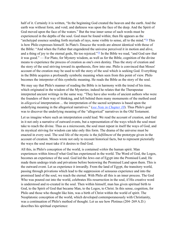half of it. Certainly it is written, "In the beginning God created the heaven and the earth. And the earth was without form, and void; and darkness was upon the face of the deep. And the Spirit of God moved upon the face of the waters." But the true inner sense of such words must be experienced in the depths of the soul. God must be found within; then He appears as the "archetypal essence sending forth myriads of rays, none visible to sense, all to the mind."<sup>74</sup> This is how Philo expresses himself. In Plato's *Timaeus* the words are almost identical with those of the Bible: "And when the Father that engendered the universe perceived it in motion and alive, and a thing of joy to the eternal gods, He too rejoiced."<sup>75</sup> In the Bible we read, "and God saw that it was good." — For Plato, for Mystery wisdom, as well as for the Bible, cognition of the divine means to experience the process of creation as one's own destiny. Thus the story of creation and the story of the soul striving toward its apotheosis, flow into one. Philo is convinced that Moses' account of the creation may be used to tell the story of the soul which is seeking God. Everything in the Bible acquires a profoundly symbolic meaning when seen from this point of view. Philo becomes the interpreter of this symbolic meaning. He reads the Bible as the story of the soul.

We may say that Philo's manner of reading the Bible is in harmony with the trend of his time, which originated in the wisdom of the Mysteries; indeed he relates that the Therapeutae interpreted ancient writings in the same way. "They have also works of ancient authors who were the founders of their way of thinking, and left behind them many monuments of the method used in *allegorical* interpretation ... the interpretation of the sacred scriptures is based upon the underlying meaning in the allegorical narratives." (*[see Note in Chapter 10](#page-77-0)*). Thus Philo's goal was to discover the underlying meaning of the "allegorical" narratives in the Old Testament.

Let us imagine where such an interpretation could lead. We read the account of creation, and find in it not only a narrative of outward events, but a representation of the ways which the soul must take to reach the divine. Thus as a microcosm, the soul must repeat in itself the ways of God, and its mystical striving for wisdom can take only this form. The drama of the universe must be enacted in every soul. The soul life of the mystic is the *fulfillment* of the prototype given in the account of creation. Moses wrote not only to recount historical facts, but to represent pictorially the ways the soul must take if it desires to find God.

All this, in Philo's conception of the world, is contained *within* the human spirit. Man experiences within *himself* what God has experienced in the world. The Word of God, the Logos, becomes an experience of the soul. God led the Jews out of Egypt into the Promised Land; He made them undergo trials and privations before bestowing the Promised Land upon them. This is the outward event. Let us experience it inwardly. From the land of Egypt, the transitory world, passing through privations which lead to the suppression of sensuous experience and into the promised land of the soul, we reach the eternal. With Philo all this is an inner process. The God Who was poured out into the world, celebrates His resurrection in the soul, if His creative word is understood and re-created in the soul. Then within himself, man has given spiritual birth to God, to the Spirit of God that became Man, to the Logos, to Christ. In this sense, cognition, for Philo and those who thought like him, was a birth of Christ within the world of spirit. The Neoplatonic conception of the world, which developed contemporaneously with Christianity, was a continuation of Philo's method of thought. Let us see how Plotinus (204–269 A.D.) describes his spiritual experience: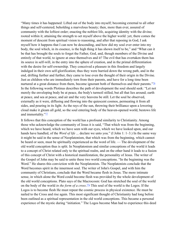"Many times it has happened: Lifted out of the body into myself; becoming external to all other things and self-centered; beholding a marvelous beauty; then, more than ever, assured of community with the loftiest order; enacting the noblest life, acquiring identity with the divine; rooted within it; attaining the strength to set myself above the higher world: yet, there comes the moment of descent from spiritual vision to reasoning, and after that reposing in God, I ask myself how it happens that I can now be descending, and how did my soul ever enter into my body, the soul which, in its essence, is the high thing it has shown itself to be," and "What can it be that has brought the souls to forget the Father, God, and, though members of the Divine and entirely of that world, to ignore at once themselves and it? The evil that has overtaken them has its source in self-will, in the entry into the sphere of creation, and in the primal differentiation with the desire for self-ownership. They conceived a pleasure in this freedom and largely indulged in their own self-glorification; thus they were hurried down the wrong path, and in the end, drifting further and further, they came to lose even the thought of their origin in the Divine. Just as children who are immediately torn from their parents, and have for a long time been nurtured at a great distance from them, become ignorant both of themselves and their parents."<sup>76</sup> In the following words Plotinus describes the path of development the soul should seek: "Let not merely the enveloping body be at peace, the body's turmoil stilled, but all that lies around; earth at peace, and sea at peace, and air and the very heavens be still. Let the soul be observed, externally as it were, diffusing and flowing into the quiescent cosmos, permeating it from all sides, and pouring in its light. As the rays of the sun, throwing their brilliance upon a lowering cloud make it gleam all gold, so the soul entering body of the heaven-opened world, bestows life and immortality."<sup>77</sup>

It follows that this conception of the world has a profound similarity to Christianity. Among those who acknowledge the community of Jesus it is said, "That which was from the beginning, which we have heard, which we have seen with our eyes, which we have looked upon, and our hands have handled, of the *Word of life* ... declare we unto you." (I John 1: 1–3.) In the same way it might be said in the sense of Neoplatonism, that which was from the beginning, which cannot be heard or seen, must be spiritually experienced as the word of life. — The development of the old world conception thus is split. In Neoplatonism and similar conceptions of the world it leads to a concept of Christ related only to the spiritual realm, and on the other hand it leads to a fusion of this concept of Christ with a historical manifestation, the personality of Jesus. The writer of the Gospel of John may be said to unite these two world conceptions. "In the beginning was the Word." He shares this conviction with the Neoplatonists. The Neoplatonists conclude that the Word becomes spirit in the innermost soul. The writer of John's Gospel, and with him the community of Christians, conclude that the Word became flesh in Jesus. The more intimate sense, in which alone the Word could become flesh was provided by the whole development of the old world conceptions. Plato says of the Macrocosm: God has stretched the soul of the world on the body of the world *in the form of a cross*. 77a This soul of the world is the Logos. If the Logos is to become flesh He must repeat the cosmic process in physical existence. He must be nailed to the Cross and rise again. This most significant thought of Christianity had long before been outlined as a spiritual representation in the old world conceptions. This became a personal experience of the mystic during "initiation." The Logos become Man had to experience this deed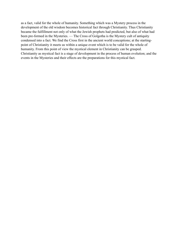as a fact, valid for the whole of humanity. Something which was a Mystery process in the development of the old wisdom becomes historical fact through Christianity. Thus Christianity became the fulfillment not only of what the Jewish prophets had predicted, but also of what had been pre-formed in the Mysteries. — The Cross of Golgotha is the Mystery cult of antiquity condensed into a fact. We find the Cross first in the ancient world conceptions; at the startingpoint of Christianity it meets us within a unique event which is to be valid for the whole of humanity. From this point of view the mystical element in Christianity can be grasped. Christianity as mystical fact is a stage of development in the process of human evolution; and the events in the Mysteries and their effects are the preparations for this mystical fact.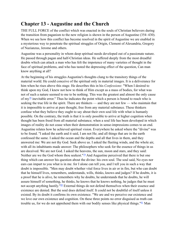# **Chapter 13 - Augustine and the Church**

THE FULL FORCE of the conflict which was enacted in the souls of Christian believers during the transition from paganism to the new religion is shown in the person of Augustine (354–430). When we see how this conflict has become resolved in the spirit of Augustine we are enabled in a mysterious way to penetrate the spiritual struggles of Origin, Clement of Alexandria, Gregory of Nazianzus, Jerome and others.

Augustine was a personality in whom deep spiritual needs developed out of a passionate nature. He passed through pagan and half-Christian ideas. He suffered deeply from the most dreadful doubts which can attack a man who has felt the impotence of many varieties of thought in the face of spiritual problems, and who has tasted the depressing effect of the question, Can man know anything at all?

At the beginning of his struggles Augustine's thoughts clung to the transitory things of the material world. He could conceive of the spiritual only in material images. It is a deliverance for him when he rises above this stage. He describes this in his *Confessions*: "When I desired to think upon my God, I knew not how to think of Him except as a mass of bodies, for what was not of such a nature seemed to me to be nothing. This was the greatest and almost the only cause of my $\frac{78}{8}$  inevitable error." Thus he indicates the point which a person is bound to reach who is seeking the true life in the spirit. There are thinkers — and they are not few — who maintain that it is impossible to arrive at pure thought, free from any material substance. These thinkers confuse what they believe they ought to say about their own soul life with what is humanly possible. On the contrary, the truth is that it is only possible to arrive at higher cognition when thought has been freed from all material substance; when a soul life has been developed in which images of reality do not cease when their demonstration in sense-impressions comes to an end. Augustine relates how he achieved spiritual vision. Everywhere he asked where the "divine" was to be found. "I asked the earth and it said, I am not He; and all things that are in the earth confessed the same. I asked the ocean and the depths and all that lives in them, and they answered me: We are not thy God. Seek above us. I asked the fleeting winds, and the whole air, with all its inhabitants made answer: The philosophers who seek for the essence of things in us are deceived. We are not God. I asked the heavens, the sun, moon and stars, and they said: Neither are we the God whom thou seekest." $\frac{79}{2}$  And Augustine perceived that there is but one thing which can answer his question about the divine: his own soul. The soul said, No eyes nor ears can impart to you what is in me. for I alone can tell you, and I tell you in such a way that doubt is impossible. "Men may doubt whether vital force lives in air or in fire, but who can doubt that he himself lives, remembers, understands, wills, thinks, knows and judges? If he doubts, it is a proof that he is alive, he remembers why he doubts, he understands that he doubts, he will assure himself of something, he thinks, he knows that he knows nothing, he judges that he must not accept anything hastily."<sup>80</sup> External things do not defend themselves when their essence and existence are denied. But the soul does defend itself. It could not be doubtful of itself unless it existed. By its doubt it confirms its own existence. "We are and we perceive our existence and we love our own existence and cognition. On these three points no error disguised as truth can trouble us, for we do not apprehend them with our bodily senses like physical things." $81$  Man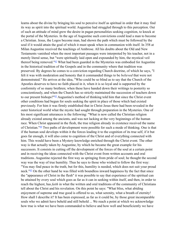learns about the divine by bringing his soul to perceive itself as spiritual in order that it may find its way as spirit into the spiritual world. Augustine had struggled through to this perception. Out of such an attitude of mind grew the desire in pagan personalities seeking cognition, to knock at the portal of the Mysteries. In the age of Augustine such convictions could lead a man to become a Christian. Jesus, the Logos become man, had shown the path which must be followed by the soul if it would attain the goal of which it must speak when in communion with itself. In 358 at Milan Augustine received the teachings of Ambrose. All his doubts about the Old and New Testaments vanished when the most important passages were interpreted by his teacher, not in a merely literal sense, but "were spiritually laid open and expounded by him, the mystical veil thereof being removed."<sup>82</sup> What had been guarded in the Mysteries was embodied for Augustine in the historical tradition of the Gospels and in the community where that tradition was preserved. By degrees he comes to a conviction regarding Church doctrine, of which he says, "I felt it was with moderation and honesty that it commanded things to be *believed* that were not demonstrated." He arrives at the idea, "Who could be so blind as to say that the Church of the Apostles deserves to have no faith placed in it, when it is so loyal and is supported by the conformity of so many brethren; when these have handed down their writings to posterity so conscientiously, and when the Church has so strictly maintained the succession of teachers down to our present bishops?"<sup>83</sup> Augustine's method of thinking told him that since the Christ event other conditions had begun for souls seeking the spirit in place of those which had existed previously. For him it was firmly established that in Christ Jesus there had been revealed in the outer historical world what the mystic had sought through preparation in the Mysteries. One of his most significant utterances is the following: "What is now called the Christian religion already existed among the ancients, and was not lacking at the very beginnings of the human race. When Christ appeared in the flesh, the true religion already in existence received the name of Christian."<sup>84</sup> Two paths of development were possible for such a mode of thinking. One is that if the human soul develops within it the forces leading it to the cognition of its true self, if it but goes far enough, it will also come to cognition of the Christ and of everything connected with him. This would have been a Mystery knowledge enriched through the Christ event. The other way is that actually taken by Augustine, by which he became the great example for his successors. It consists in cutting off the development of the forces of the soul at a certain point and in receiving the ideas connected with the Christ event from written accounts and oral traditions. Augustine rejected the first way as springing from pride of soul; he thought the second way was the way of true humility. Thus he says to those who wished to follow the first way: "You may find peace in the truth, but for this, humility is needed, which does not suit your proud neck."85 On the other hand he was filled with boundless inward happiness by the fact that since the "appearance of Christ in the flesh" it was possible to say that experience of the spiritual can be attained by every soul which goes as far as it can in seeking within itself, and then, in order to reach the highest, has *faith* in what the written and oral traditions of the community of Christians tell about the Christ and his revelation. On this point he says: "What bliss, what abiding enjoyment of supreme and true good is offered to us, what serenity, what a breath of eternity! How shall I describe it? It has been expressed, as far as it could be, by those great incomparable souls who we admit have beheld and still behold ... We reach a point at which we acknowledge how true is what we have been commanded to believe and how well and beneficiently we have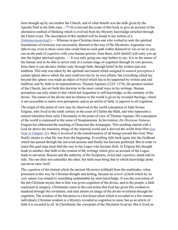been brought up by our mother the Church, and of what benefit was the milk given by the Apostle Paul to the little ones ..."<sup>86</sup> (It is beyond the scope of this book to give an account of the alternative method of thinking which is evolved from the Mystery knowledge enriched through the Christ event. The description of this method will be found in my outline of a *[Geheimwissenschaft](http://www.rsarchive.org/Books/GA013/index.php)*.) — Whereas in pre-Christian times one who wished to seek the spiritual foundations of existence was necessarily directed to the way of the Mysteries, Augustine was able to say, even to those souls who could find no such path within themselves: Go as far as you can on the path of *cognition* with your human powers; from there, *faith* (belief) will carry you up into the higher spiritual regions. — It was only going one step further to say: It is in the nature of the human soul to be able to arrive only at a certain stage of cognition through its own powers; from there it can advance further only through faith, through belief in the written and oral tradition. This step was taken by the spiritual movement which assigned to *natural perception* a certain sphere above which the soul could not rise by its own efforts, but everything which lay beyond this sphere was made an object of *belief* which has to be supported by written and oral tradition, and by faith in its representatives. Thomas Aquinas (1224–1274), the greatest teacher of the Church, has set forth this doctrine in the most varied ways in his writings. Human perception can only attain to that which led Augustine to self knowledge, to the certainty of the divine. The nature of the divine and its relation to the world is given by revealed theology, which is not accessible to man's own perception, and as an article of faith, is superior to all cognition.

The origin of this point of view may be observed in the world conception of John Scotus Erigena, who lived in the ninth century at the court of Charles the Bald, and who represents a natural transition from early Christianity to the point of view of Thomas Aquinas. His conception of the world is expressed in the sense of Neoplatonism. In his treatise, *De Divisione Naturae*, Erigena has elaborated the teaching of Dionysius the Areopagite. This teaching started with a God far above the transitory things of the material world and it derived the world from Him (*[see](#page-80-0)  [Note in Chapter 11](#page-80-0)*). Man is involved in the transformation of all beings toward this God, Who finally attains to what He was from the beginning. Everything falls back again into the Godhead which has passed through the universal process and finally has become perfected. But in order to reach this goal man must find the way to the Logos who became flesh. In Erigena this thought leads to another, that faith in the content of the writings which give an account of the Logos, leads to salvation. Reason and the authority of the Scriptures, *belief* and *cognition*, stand side by side. The one does not contradict the other, but faith must bring that to which knowledge alone can never raise itself.

The *cognition* of the eternal which the ancient Mysteries withheld from the multitudes, when presented in this way by Christian thought and feeling, became an *article of faith* which by its very nature was related to something unattainable by mere knowledge. It was the conviction of the pre-Christian mystic that to him was given cognition of the divine, and to the people, a faith expressed in imagery. Christianity came to the conviction that God has given His wisdom to mankind through His revelation, and man attains an image of the divine revelation through his cognition. The wisdom of the Mysteries is a hot-house plant which is revealed to a few mature individuals; Christian wisdom is a Mystery revealed as cognition to none, but as an article of faith it is revealed to all. In Christianity the viewpoint of the Mysteries lived on. But it lived on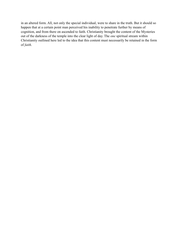in an altered form. All, not only the special individual, were to share in the truth. But it should so happen that at a certain point man perceived his inability to penetrate further by means of cognition, and from there on ascended to faith. Christianity brought the content of the Mysteries out of the darkness of the temple into the clear light of day. The *one* spiritual stream within Christianity outlined here led to the idea that this content must necessarily be retained in the form of *faith*.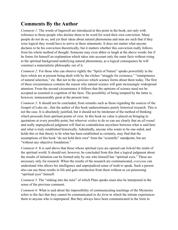# **Comments By the Author**

*Comment 1:* The words of Ingersoll are introduced at this point in the book, not only with reference to those people who declare them to be word for word their own conviction. Many people do not do so, and yet their ideas about natural phenomena and man are such that if they were logical they would have to arrive at these statements. It does not matter what anyone declares to be his conviction theoretically, but it matters whether this conviction really follows from his whole method of thought. Someone may even abhor or laugh at the above words; but if he forms for himself an explanation which takes into account only the outer facts without rising to the spiritual background underlying natural phenomena, as a logical consequence he will construct a materialistic philosophy out of it.

*Comment 2:* For those who can observe rightly the "Spirit of Nature" speaks powerfully in the facts which are at present being dealt with by the cliches "struggle for existence," "omnipotence of natural selection," etc. But not in the *opinions* which science forms about them today. The first of these circumstances contains the reason why natural science will gain increasingly widespread attention. From the second circumstance it follows that the opinions of science need not be accepted as essential to cognition of the facts. The possibility of being tempted by the latter is, however, immeasurably great at the present time.

*Comment 3:* It should not be concluded, from remarks such as those regarding the sources of the Gospel of Luke etc., that the author of this book underestimates purely historical research. This is not the case. It is absolutely justified, but it should not be intolerant of the method of thinking which proceeds from spiritual points of view. In this book no value is placed on bringing in quotations at every possible point, but whoever *wishes* to do so can see clearly that an *all-round* and really unprejudiced judgment will find no contradiction anywhere between what is said here and what is truly established historically. Admittedly, anyone who wants to be one-sided, and holds this or that theory to be what has been established as certainty, may find that the assumptions of this book "do not hold their own" from the "scientific" standpoint, but are "without any objective foundation."

*Comment 4:* It is said above that those whose spiritual eyes are opened can *behold* the realm of the spiritual world. It should not, however, be concluded from this that a logical judgment about the results of initiation can be formed only by one who himself has "spiritual eyes." These are necessary only for research. When the results of the research are communicated, *everyone* can understand who allows his intelligence and unprejudiced sense of truth to speak. Such a person also can use these results in life and gain satisfaction from them without as yet possessing "spiritual eyes" himself.

*Comment 5.* The "sinking into the mire" of which Plato speaks must also be interpreted in the sense of the previous comment.

*Comment 6:* What is said about the impossibility of communicating teachings of the Mysteries refers to the fact that they cannot be communicated *in the form* in which the initiate experiences them to anyone who is unprepared. But they always have been communicated in the form in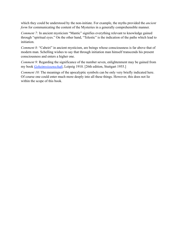which they could be understood by the non-initiate. For example, the myths provided the *ancient form* for communicating the content of the Mysteries in a generally comprehensible manner.

*Comment 7:* In ancient mysticism "Mantic" signifies everything relevant to knowledge gained through "spiritual eyes." On the other hand, "Telestic" is the indication of the paths which lead to initiation.

*Comment 8:* "Cabeiri" in ancient mysticism, are beings whose consciousness is far above that of modern man. Schelling wishes to say that through initiation man himself transcends his present consciousness and enters a higher one.

<span id="page-92-0"></span>*Comment 9:* Regarding the significance of the number seven, enlightenment may be gained from my book *[Geheimwissenschaft](http://www.rsarchive.org/Books/GA013/index.php)*, Leipzig 1910. [26th edition, Stuttgart 1955.]

<span id="page-92-1"></span>*Comment 10:* The meanings of the apocalyptic symbols can be only very briefly indicated here. Of course one could enter much more deeply into all these things. However, this does not lie within the scope of this book.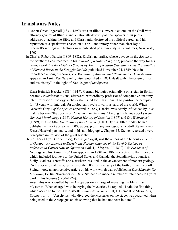## **Translators Notes**

- 1Robert Green Ingersoll (1833–1899), was an Illinois lawyer, a colonel in the Civil War, attorney general of Illinois, and a nationally-known political speaker. "His public addresses attacking the Bible and Christianity destroyed his political career, and his reputation as a speaker was based on his brilliant oratory rather than clear logic." Ingersoll's writings and lectures were published posthumously in 12 volumes, New York, 1902.
- 1a.Charles Robert Darwin (1809–1882), English naturalist, whose voyage on the *Beagle* to the Southern Seas, recorded in his *Journal of a Naturalist* (1837) prepared the way for his famous work *On the Origin of Species by Means of Natural Selection, or the Presentation of Favored Races in the Struggle for Life*, published November 24, 1859. Next in importance among his books, *The Variation of Animals and Plants under Domestication*, appeared in 1868. *The Descent of Man*, published in 1871, dealt with "the origin of man and his history" in the light of *The Origin of the Species*.

Ernst Heinrich Haeckel (1834–1919), German biologist, originally a physician in Berlin, became *Privatdozent* at Jena, afterward extraordinary professor of comparative anatomy, later professor of zoology, a chair established for him at Jena. This position he occupied for 43 years with intervals for zoological travels to various parts of the world. When Darwin's *Origin of the Species* appeared in 1859, Haeckel was deeply influenced by it, so that he became "the apostle of Darwinism in Germany." Among his famous books were *General Morphology* (1866), *Natural History of Creation* (1867) and *Die Weltraetsel* (1899), English title, *The Riddle of the Universe* (1901). By his 60th birthday he had published 42 works of some 13,000 pages, plus many monographs. Rudolf Steiner knew Ernest Haeckel personally, and in his autobiography, Chapter 15, Steiner recorded a very perceptive impression of the great scientist.

- 1b.Sir Charles Lyell (1797–1875), British geologist, was the author of the famous *Principles of Geology, An Attempt to Explain the Former Changes of the Earth's Surface by Reference to Causes Now in Operation* (Vol. 1, 1830; Vol. II, 1832). His *Elements of Geology* and his *Antiquity of Man* appeared in 1838 and 1863 respectively. His life-work, which included journeys to the United States and Canada, the Scandinavian countries, Sicily, Madiera, Teneriffe and elsewhere, resulted in the advancement of modern geology. On the occasion of the observance of the 100th anniversary of the birth of Lyell, Rudolf Steiner wrote an appreciative article on his work which was published in *Das Magazin für Litteratur*, Berlin, November 27, 1897. Steiner also made a number of references to Lyell's work in his lectures (1900–1924).
	- 2Aeschylus was acquitted by the Areopagus on a charge of revealing the Eleusinian Mysteries. When charged with betraying the Mysteries, he replied, "I said the first thing which occurred to me." Cf. Aristotle, *Ethica Nicomachea* III, 1. Clement of Alexandria, *Stromata* II, 14: "Aeschylus, who divulged the Mysteries on the stage, was acquitted when being tried in the Areopagus on his showing that he had not been initiated."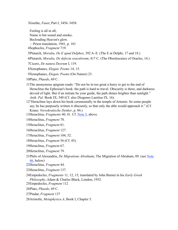3Goethe, *Faust*, Part I, 3456–3458:

Feeling is all in all; Name is but sound and smoke, Beclouding Heaven's glow. —Priest translation, 1941, p. 101 4Sophocles, *Fragment* 719.

- 5Plutarch, *Moralia, De E apud Delphos*, 392 A–E. (The E at Delphi, 17 and 18.)
- 6Plutarch, *Moralia, De defectu oraculorum*, 417 C. (The Obsolescence of Oracles, 14.)
- 7Cicero, *De natura Deorum* I, 119.

8Xenophanes, *Elegaic Poems* 14, 15.

9Xenophanes, *Elegaic Poems* (On Nature) 23.

10Plato, *Phaedo*, 69 C.

- 11The anonymous epigram reads: "Do not be in too great a hurry to get to the end of Heraclitus the Ephesian's book: the path is hard to travel. Obscurity is there, and darkness devoid of light. But if an initiate be your guide, the path shines brighter than sunlight." *Anth. Pal.* Book IX, 540 (Cf. also Diogenes Laertius IX, 16).
- 12"Heraclitus lays down his book ceremonially in the temple of Artemis. So some people say, he has purposely written it obscurely, so that only the able would approach it." (Cf. Kranz: *Vorsokratische Denker*, p. 84.)

13Heraclitus, *Fragments* 40, 41. Cf. Note 5, above.

14Heraclitus, *Fragment* 78.

15Heraclitus, *Fragment* 81.

16Heraclitus, *Fragment* 127.

17Heraclitus, *Fragment* 104, 52.

18Heraclitus, *Fragment* 56 (Cf. 45).

19Heraclitus, *Fragment* 67.

20Heraclitus, *Fragment* 79.

21Philo of Alexandria, *De Migratione Abrahami*, The Migration of Abraham, 89. (see Note 46, below)

22Heraclitus, *Fragment* 44.

23Heraclitus, *Fragment* 137.

- 24Empedocles, *Fragments* 11, 12, 15, translated by John Burnet in his *Early Greek Philosophy*, Adam & Charles Black, London, 1952.
- 25Empedocles, *Fragment* 112
- 26Plato, *Phaedo*, 69 C.
- 27Pindar, *Fragment* 137
- 28Aristotle, *Metaphysica A*, Book I, Chapter 5.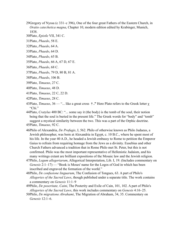- 29Gregory of Nyssa (c 331–c 396), One of the four great Fathers of the Eastern Church, in *Oratio catechetica magna*, Chapter 10, modern edition edited by Krabinger, Munich, 1838.
- 30Plato, *Epistle* VII, 341 C.
- 31Plato, *Phaedo*, 58 E.
- 32Plato, *Phaedo*, 64 A.
- 33Plato, *Phaedo*, 64 D.
- 34Plato, *Phaedo*, 65 B.
- 35Plato, *Phaedo*, 66 A, 67 D, 67 E.
- 36Plato, *Phaedo*, 68 C.
- 37Plato, *Phaedo*, 79 D, 80 B, 81 A.
- 38Plato, *Phaedo*, 106 B.
- 39Plato, *Timaeus*, 27 C.
- 40Plato, *Timaeus*, 48 D.
- 41Plato, *Timaeus*, 22 C, 22 D.
- 42Plato, *Timaeus*, 28 C.
- 43Plato, *Timaeus*, 36 "... like a great cross  $\dagger$ ." Here Plato refers to the Greek letter  $\chi$ "Chi"
- 44Plato, *Cratylus* 400 BC: "... some say it (the body) is the tomb of the soul, their notion being that the soul is buried in the present life." The Greek words for "body" and "tomb" suggest a mystical similarity between the two. This was a part of the Orphic doctrine. 45Plato, *Timaeus*, 92 C.
- 
- 46Philo of Alexandria, *De Profugis*, I, 562. Philo of otherwise known as Philo Judaeus, a Jewish philosopher, was born at Alexandria in Egypt, c. 10 B.C., where he spent most of his life. In the year 40 A.D., he headed a Jewish embassy to Rome to petition the Emperor Gaius to refrain from requiring homage from the Jews as a divinity. Eusebius and other Church Fathers advanced a tradition that in Rome Philo met St. Peter, but this is not confirmed. Philo was the most important representative of Hellenistic Judaism, and his many writings extant are brilliant expositions of the Mosaic law and the Jewish religion.
- 47Philo, *Legum allegoriarum*, Allegorical Interpretation, Lib. I, 19. (Includes commentary on *Genesis* 2:1–17) — "Book is Moses' name for the Logos of God in which has been inscribed and engraved the formation of the world."
- 48Philo, *De confusione linguarum*, The Confusion of Tongues, 63. A part of Philo's *Allegories of the Sacred Laws*, though published under a separate title. The work contains a commentary on *Genesis* 11:1–9
- 49Philo, *De poseritate, Caini*, The Posterity and Exile of Cain, 101, 102. A part of Philo's *Allegories of the Sacred Laws*, this work includes commentary on *Genesis* 4:16–25.
- 50Philo, *De migratione Abrahami*, The Migration of Abraham, 34, 35. Commentary on *Genesis* 12:1–6.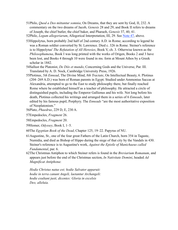- 51Philo, *Quod a Deo mittantur somnia*, On Dreams, that they are sent by God, II, 232. A commentary on the two dreams of Jacob, *Genesis* 28 and 29, and Book II refers to dreams of Joseph, the chief butler, the chief baker, and Pharaoh, *Genesis* 37, 40, 41.
- 52Philo, *Legum allegoriarum*, Allegorical Interpretation, III, 29. See Note 47, above.
- 53Hippolytus, born probably 2nd half of 2nd century A.D. in Rome; according to legend he was a Roman soldier converted by St. Lawrence. Died c. 326 in Rome. Steiner's reference is to Hippolytus' *The Refutation of All Heresies*, Book V, ch. 3. Otherwise known as the *Philosophumena*, Book I was long printed with the works of Origen, Books 2 and 3 have been lost, and Books 4 through 10 were found in ms. form at Mount Athos by a Greek scholar in 1842.
- 54Sallust the Platonist, *De Diis et mundo*, Concerning Gods and the Universe, Par. III. Translated by A. D. Nock, Cambridge University Press, 1926.
- 55Plotinus, *5th Ennead*, The Divine Mind, *8th Tractate*, On Intellectual Beauty, 6. Plotinus (204–269 A.D.) was born of Roman parents in Egypt. Studied under Ammonius Saccas at Alexandria, attempted to go to the East to study philosophy there, but finally reached Rome where he established himself as a teacher of philosophy. He attracted a circle of distinguished pupils, including the Emperor Gallienus and his wife. Not long before his death, Plotinus collected his writings and arranged them in a series of 6 *Enneads*, later edited by his famous pupil, Porphyry. The *Enneads* "are the most authoritative exposition of Neoplatonism."
- 56Plato, *Phaedrus*, 229 D, E, 230 A.
- 57Empedocles, *Fragment* 26.
- 58Empedocles, *Fragment* 20.
- 59Homer, *Odyssey*, Book I, 1–5.
- 60The *Egyptian Book of the Dead*, Chapter 125, 19–22. Papyrus of NU.
- 61Augustine, St., one of the four great Fathers of the Latin Church, born 354 in Tagaste, Numidia, and died as Bishop of Hippo during the siege of that city by the Vandals in 430. Steiner's reference is to Augustine's work, *Against the Epistle of Manichaeus called Fundamental*, par. 6.
- 62The Christmas Antiphon to which Steiner refers is found in the *Breviarium Romanum*, and appears just before the end of the Christmas section, *In Nativitate Domini*, headed *Ad Magnificat Antiphona*:

*Hodie Christus natus est; hodie Salvator apparuit: hodie in terra canunt Angeli, laetantur Archangeli: hodie exultant justi, dicentes: Gloria in excelsis Deo, alleluia.*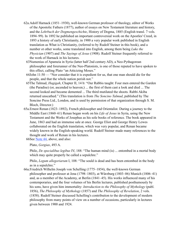- 62a.Adolf Harnack (1851–1930), well-known German professor of theology, editor of Works of the Apostolic Fathers (1877), author of essays on New Testament literature and history, and the *Lehrbuch der Dogmengeschichte*, History of Dogma, 1885 (English transl. 7 vols. 1894–99). In 1892 he published an important controversial work on the Apostles' Creed, in 1893 a history of early Christianity, in 1900 a very popular work published in English translation as What is Christianity, (referred to by Rudolf Steiner in this book), and a number ot other works, some translated into English, among them being *Luke the Physician* (1907) and *The Sayings of Jesus* (1908). Rudolf Steiner frequently referred to the work of Harnack in his lectures.
	- 63Numenius of Apameia in Syria (latter half 2nd century AD), a Neo-Pythagorean philosopher and forerunner of the Neo-Platonists, is one of those reputed to have spoken to this effect, calling Plato "an Atticizing Moses."
	- 64John 11:50 "Nor consider that it is expedient for us, that one man should die for the people, and that the whole nation perish not."
	- 65The Talmud, *Hagigah*, Chapter II, 14 b: "Our Rabbis taught: Four men entered the Garden (the Paradise) (or, ascended to heaven;) ... the first of them cast a look and died ... The second looked and became demented ... The third mutilated the shoots. Rabbi Akiba returned unscathed." (This translation is from *The Soncino Talmud*, published by The Soncino Press Ltd., London, and is used by permission of that organization through S. M. Bloch, Director.)
- 65a.Ernest Renan (1823–1892), French philosopher and Orientalist. During a journey to the Middle East (1860–61) Renan began work on his *Life of Jesus* in Syria, using the New Testament and the Works of Josephus as his sole books of reference. The book appeared in June, 1863 and had an immense sale at once. George Eliot and George Henry Lewes collaborated on the English translation, which was very popular, and Renan became widely known in the English-speaking world. Rudolf Steiner made many references to the thought and work of Renan in his lectures.

66See Note 44, above, and also:

Plato, *Gorgias*, 493 A.

Philo, *De specialibus legibus* IV, 188: "The human mind (is) ... entombed in a mortal body which may quite properly be called a sepulchre."

Philo, *Legum allegoriarum* I, 108: "The sould is dead and has been entombed in the body as in a sepulchre."

66a.Friedrich Wilhelm Joseph von Schelling (1775–1854), the well-known German philosopher and professor at Jena (1798–1803), at Würzburg (1803–06) Munich (1806–41) and, as a member of the Academy, at Berlin (1841–45). His works influenced many of his contemporaries, and the four volumes of his Berlin lectures, published posthumously by his sons, have given him immortality: *Introduction to the Philosophy of Mythology* (publ. 1856), *The Philosophy of Mythology* (1857) and *The Philosophy of Revelation*, 2 vols. (1858). Rudolf Steiner discussed Schelling's contribution to the development of modern philosophy from many points of view on a number of occasions, particularly in lectures given between 1900 and 1924.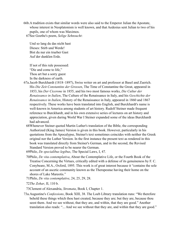- 66b.A tradition exists that similar words were also said to the Emperor Julian the Apostate, whose interest in Neoplatonism is well known, and that Aedesius sent Julian to two of his pupils, one of whom was Maximos.
	- 67See Goethe's poem, *Selige Sehnsucht*:

Und so lang du das nicht hast Dieses: Stirb und Werde! Bist du nur ein trueber Gast Auf der dunklen Erde.

If not of this rule possessed: "Die and come to life," Thou art but a sorry guest In the darkness of earth.

- 67a.Jacob Burckhardt (1818–1897), Swiss writer on art and professor at Basel and Zuerich. His *Die Zeit Constantins der Grossen*, The Time of Constantine the Great, appeared in 1853, his *Der Cicerone* in 1855, and his two most famous works, *Die Cultur der Renaissance in Italien*, The Culture of the Renaissance in Italy, and his *Geschichte der Renaissance in Italien*, History of the Renaissance in Italy, appeared in 1860 and 1867 respectively. These works have been translated into English, and Burckhardt's name is well-known in America among students of art history. Rudolf Steiner made frequent reference to Burckhardt, and in his own extensive series of lectures on art history and appreciation, given during World War I Steiner expanded some of the ideas Burckhardt had advanced.
	- 68Whenever Steiner quoted Martin Luther's translation of the Bible, the corresponding Authorized (King James) Version is given in this book. However, particularly in his quotations from the Apocalypse, Steiner's text sometimes coincides with neither the Greek original nor the Luther Version. In the first instance the present text as rendered in this book was translated directly from Steiner's German, and in the second, the Revised Standard Version proved to be nearer the German.
	- 69Philo, *De specialibus legibus*, The Special Laws, I, 47.
	- 70Philo, *De vita contemplativa*, About the Contemplative Life, or the Fourth Book of the Treatise Concerning the Virtues, critically edited with a defense of its genuineness by F. C. Conybeare, M.A., Oxford, 1895. This work is of great interest because it "contains the sole account of an ascetic community known as the Therapeutae having their home on the shores of Lake Mareotis."
	- 71Philo, *De vita contemplative*, 24, 25, 29, 28.

72*The Zohar*, II, 110 b.

73Clement of Alexandria, *Stromata*, Book I, Chapter 1.

73a.Augustine's *Confessions*, Book XIII, 38. The Loeb Library translation runs: "We therefore behold these things which thou hast created, because they are; but they are, because thou seest them. And we see without, that they are, and within, that they are good." Another translation also reads: "... And we see without that they are, and within that they are good."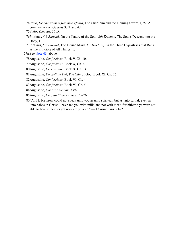- 74Philo, *De cherubim et flammeo gladio*, The Cherubim and the Flaming Sword, I, 97. A commentary on *Genesis* 3:24 and 4:1. 75Plato, *Timaeus*, 37 D.
- 76Plotinus, *4th Ennead*, On the Nature of the Soul, *8th Tractate*, The Soul's Descent into the Body, 1.
- 77Plotinus, *5th Ennead*, The Divine Mind, *1st Tractate*, On the Three Hypostases that Rank as the Principle of All Things, 1.

77a.See Note 43, above.

- 78Augustine, *Confessions*, Book V, Ch. 10.
- 79Augustine, *Confessions*, Book X, Ch. 6.
- 80Augustine, *De Trinitate*, Book X, Ch. 14.
- 81Augustine, *De civitate Dei*, The City of God, Book XI, Ch. 26.
- 82Augustine, *Confessions*, Book VI, Ch. 4.
- 83Augustine, *Confessions*, Book VI, Ch. 5.
- 84Augustine, *Contra Faustum*, 33:6.
- 85Augustine, *De quantitate Animae*, 70–76.
- 86"And I, brethren, could not speak unto you as unto spiritual, but as unto carnal, even as unto babes in Christ. I have fed you with milk, and not with meat: for hitherto ye were not able to bear it, neither yet now are ye able." — I Corinthians 3:1–2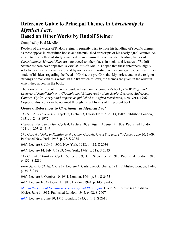# **Reference Guide to Principal Themes in** *Christianity As Mystical Fact***, Based on Other Works by Rudolf Steiner**

Compiled by Paul M. Allen

Readers of the works of Rudolf Steiner frequently wish to trace his handling of specific themes as these appear in his written books and the published transcripts of his nearly 6,000 lectures. As an aid to this method of study, a method Steiner himself recommended, leading themes of *Christianity as Mystical Fact* are here traced to other places in books and lectures of Rudolf Steiner as these have appeared *in English translation*. It is hoped that these references, highly selective as they necessarily are, and by no means exhaustive, will encourage readers in a further study of his ideas regarding the Deed of Christ, the pre-Christian Mysteries, and on the religious strivings of mankind as a whole. In the list which follows, the themes are given in the order in which they appear in the book.

The form of the present reference guide is based on the compiler's book, *The Writings and Lectures of Rudolf Steiner, a Chronological Bibliography of his Books, Lectures, Addresses, Courses, Cycles, Essays and Reports as published in English translation*, New York, 1956. Copies of this work can be obtained through the publishers of the present book.

### **General References to** *Christianity as Mystical Fact*

*The Spiritual Hierarchies*, Cycle 7, Lecture 3, Duesseldorf, April 13, 1909. Published London, 1931, p. 24. S-1975

*Universe, Earth and Man*, Cycle 4, Lecture 10, Stuttgart, August 14, 1908. Published London, 1941, p. 203. S-1846

*The Gospel of John in Relation to the Other Gospels*, Cycle 8, Lecture 7, Cassel, June 30, 1909. Published New York, 1948, p. 97. S-2035

*Ibid.*, Lecture 8, July 1, 1909, New York, 1948, p. 112. S-2036

*Ibid.*, Lecture 14, July 7, 1909, New York, 1948, p. 218. S-2043

*The Gospel of Matthew*, Cycle 15, Lecture 9, Bern, September 9, 1910. Published London, 1946, p. 135. S-2280

*From Jesus to Christ*, Cycle 19, Lecture 4, Carlsruhe, October 8, 1911. Published London, 1944, p. 55. S-2451

*Ibid.*, Lecture 6, October 10, 1911, London, 1944, p. 84. S-2453

*Ibid.*, Lecture 10, October 14, 1911, London, 1944, p. 143. S-2457

*[Man in the Light of Occultism, Theosophy and Philosophy](http://wn.rsarchive.org/Lectures/ManOccult/19120606p01.html)*, Cycle 22, Lecture 4, Christiania (Oslo), June 6, 1912. Published London, 1945, p. 62. S-2607

*[Ibid.](http://wn.rsarchive.org/Lectures/ManOccult/19120610p01.html)*, Lecture 8, June 10, 1912, London, 1945, p. 142. S-2611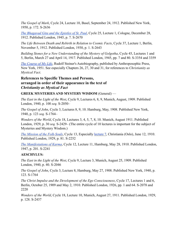*The Gospel of Mark*, Cycle 24, Lecture 10, Basel, September 24, 1912. Published New York, 1950, p. 172. S-2636

*[The Bhagavad Gita and the Epistles of St. Paul](http://wn.rsarchive.org/Lectures/BhagPaul/19121228p01.html)*, Cycle 25, Lecture 1, Cologne, December 28, 1912. Published London, 1945, p. 7. S-2670

*The Life Between Death and Rebirth in Relation to Cosmic Facts*, Cycle 37, Lecture 1, Berlin, November 5, 1912. Published London, 1930, p. 1. S-2643

*Building Stones for a New Understanding of the Mystery of Golgotha*, Cycle 45, Lectures 1 and 5, Berlin, March 27 and April 14, 1917. Published London, 1945, pp. 7 and 80. S-3354 and 3359

*[The Course of My Life](http://wn.rsarchive.org/Books/GA028/TSoML/GA028_index.html)*, Rudolf Steiner's Autobiography, published by Anthroposophic Press, New York, 1951. See especially Chapters 26, 27, 30 and 31, for references to *Christianity as Mystical Fact*.

#### **References to Specific Themes and Persons, arranged in order of their appearance in the text of** *Christianity as Mystical Fact*

#### **GREEK MYSTERIES AND MYSTERY WISDOM** (General) —

*The East in the Light of the West*, Cycle 9, Lectures 6, 8, 9, Munich, August, 1909. Published London, 1940, p. 100 *seq.* S-2050–

*The Gospel of John*, Cycle 3, Lectures 8, 9, 10. Hamburg, May, 1908. Published New York, 1940, p. 123 *seq.* S-1764–

*Wonders of the World*, Cycle 18, Lectures 3, 4, 5, 7, 8, 10. Munich, August 1911. Published London, 1929, p. 30 *seq.* S-2429– (The entire cycle of 10 lectures is important for the subject of Mysteries and Mystery Wisdom.)

*[The Mission of the Folk-Souls](http://www.rsarchive.org/Lectures/GA121/index.php)*, Cycle 13, Especially [lecture 7,](http://wn.rsarchive.org/Lectures/GA121/English/APC1929/19100612p01.html) Christiania (Oslo), June 12, 1910. Published London, 1929, p. 81. S-2252

*[The Manifestations of Karma](http://wn.rsarchive.org/Lectures/ManfKarma/19100528p01.html)*, Cycle 12, Lecture 11, Hamburg, May 28, 1910. Published London, 1947, p. 201. S-2241

#### **AESCHYLUS:**

*The East in the Light of the West*, Cycle 9, Lecture 3, Munich, August 25, 1909. Published London, 1940, p. 40. S-2046

*The Gospel of John*, Cycle 3, Lecture 8, Hamburg, May 27, 1908. Published New York, 1940, p. 123. S-1764

*The Christ Impulse and the Development of the Ego Consciousness*, Cycle 17, Lectures 1 and 6, Berlin, October 25, 1909 and May 2, 1910. Published London, 1926, pp. 1 and 64. S-2078 and 2220

*Wonders of the World*, Cycle 18, Lecture 10, Munich, August 27, 1911. Published London, 1929, p. 128. S-2437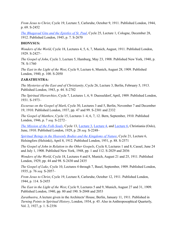*From Jesus to Christ*, Cycle 19, Lecture 5, Carlsruhe, October 9, 1911. Published London, 1944, p. 69. S-2452

*[The Bhagavad Gita and the Epistles of St. Paul](http://wn.rsarchive.org/Lectures/BhagPaul/19121228p01.html)*, Cycle 25, Lecture 1, Cologne, December 28, 1912. Published London, 1945, p. 7. S-2670

#### **DIONYSUS:**

*Wonders of the World*, Cycle 18, Lectures 4, 5, 6, 7, Munich, August, 1911. Published London, 1929. S-2427–

*The Gospel of John*, Cycle 3, Lecture 5, Hamburg, May 23, 1908. Published New York, 1940, p. 78. S-1760

*The East in the Light of the West*, Cycle 9, Lecture 6, Munich, August 28, 1909. Published London, 1940, p. 100. S-2050

#### **ZARATHUSTRA:**

*The Mysteries of the East and of Christianity*, Cycle 26, Lecture 3, Berlin, February 5, 1913. Published London, 1943, p. 44. S-2702

*The Spiritual Hierarchies*, Cycle 7, Lectures 1, 6, 9. Duesseldorf, April, 1909. Published London, 1931. S-1973–

*Excursus on the Gospel of Mark*, Cycle 30, Lectures 3 and 5, Berlin, November 7 and December 19, 1910. Published London, 1937, pp. 47 and 99. S-2301 and 2332

*The Gospel of Matthew*, Cycle 15, Lectures 1–4, 6, 7, 12. Bern, September, 1910. Published London, 1946, p. 7 *seq.* S-2272–

*[The Mission of the Folk-Souls](http://www.rsarchive.org/Lectures/GA121/index.php)*, Cycle 13, [Lecture 3,](http://wn.rsarchive.org/Lectures/GA121/English/APC1929/19100609p01.html) [Lecture 4](http://wn.rsarchive.org/Lectures/GA121/English/APC1929/19100610p01.html), and [Lecture 6](http://wn.rsarchive.org/Lectures/GA121/English/APC1929/19100612a01.html), Christiania (Oslo), June, 1910. Published London, 1929, p. 28 *seq.* S-2248–

*[Spiritual Beings in the Heavenly Bodies and the Kingdoms of Nature](http://wn.rsarchive.org/Lectures/SpirBeings/19120408p01.html)*, Cycle 21, Lecture 6, Helsingfors (Helsinki), April 8, 1912. Published London, 1951, p. 88. S-2571

*The Gospel of John in Relation to the Other Gospels*, Cycle 8, Lectures 1 and 8, Cassel, June 24 and July 1, 1908. Published New York, 1948, pp. 1 and 112. S-2029 and 2036

*Wonders of the World*, Cycle 18, Lectures 4 and 8, Munich, August 21 and 25, 1911. Published London, 1929, pp. 44 and 98. S-2430 and 2435

*The Gospel of Luke*, Cycle 10, Lectures 4 through 7, Basel, September, 1909. Published London, 1935, p. 76 *seq.* S-2057–

*From Jesus to Christ*, Cycle 19, Lecture 8, Carlsruhe, October 12, 1911. Published London, 1944, p. 114. S-2455

*The East in the Light of the West*, Cycle 9, Lectures 5 and 9, Munich, August 27 and 31, 1909. Published London, 1940, pp. 80 and 190. S-2048 and 2053

*Zarathustra*, A lecture given in the Architects' House, Berlin, January 11, 1911. Published in *Turning Points in Spiritual History*, London, 1934, p. 45. Also in Anthroposophical Quarterly, Vol. 2, 1927, p. 1. S-2356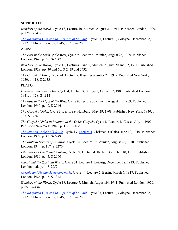#### **SOPHOCLES:**

*Wonders of the World*, Cycle 18, Lecture 10, Munich, August 27, 1911. Published London, 1929, p. 128. S-2437

*[The Bhagavad Gita and the Epistles of St. Paul](http://wn.rsarchive.org/Lectures/BhagPaul/19121228p01.html)*, Cycle 25, Lecture 1, Cologne, December 28, 1912. Published London, 1945, p. 7. S-2670

#### **ZEUS:**

*The East in the Light of the West*, Cycle 9, Lecture 4, Munich, August 26, 1909. Published London, 1940, p. 60. S-2047

*Wonders of the World*, Cycle 18, Lectures 3 and 5, Munich, August 20 and 22, 1911. Published London, 1929, pp. 30 and 60. S-2429 and 2432

*The Gospel of Mark*, Cycle 24, Lecture 7, Basel, September 21, 1912. Published New York, 1950, p. 118. S-2633

#### **PLATO:**

*Universe, Earth and Man*. Cycle 4, Lecture 8, Stuttgart, August 12, 1908. Published London, 1941, p. 158. S-1814

*The East in the Light of the West*, Cycle 9, Lecture 3, Munich, August 25, 1909. Published London, 1940, p. 40. S-2046

*The Gospel of John*, Cycle 3, Lecture 9, Hamburg, May 29, 1908. Published New York, 1940, p. 137. S-1766

*The Gospel of John in Relation to the Other Gospels*, Cycle 8, Lecture 8, Cassel, July 1, 1909. Published New York, 1948, p. 112. S-2036

*[The Mission of the Folk-Souls](http://www.rsarchive.org/Lectures/GA121/index.php)*, Cycle 13, [Lecture 4,](http://wn.rsarchive.org/Lectures/GA121/English/APC1929/19100610p01.html) Christiania (Oslo), June 10, 1910. Published London, 1929, p. 42. S-2249

*The Biblical Secrets of Creation*, Cycle 14, Lecture 10, Munich, August 26, 1910. Published London, 1944, p. 117. S-2270

*Life Between Death and Rebirth*, Cycle 37, Lecture 4, Berlin, December 10, 1912. Published London, 1930, p. 45. S-2660

*Christ and the Spiritual World*, Cycle 31, Lecture 1, Leipzig, December 28, 1913. Published London, n.d., p. 1. S-2857

*[Cosmic and Human Metamorphosis](http://wn.rsarchive.org/Lectures/CosHuMet/19170306p01.html)*, Cycle 44, Lecture 5, Berlin, March 6, 1917. Published London, 1926, p. 46. S-3348

*Wonders of the World*, Cycle 18, Lecture 7, Munich, August 24, 1911. Published London, 1929, p. 85. S-2434

*[The Bhagavad Gita and the Epistles of St. Paul](http://wn.rsarchive.org/Lectures/BhagPaul/19121228p01.html)*, Cycle 25, Lecture 1, Cologne, December 28, 1912. Published London, 1945, p. 7. S-2670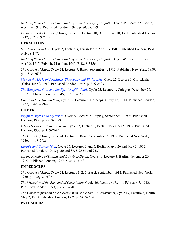*Building Stones for an Understanding of the Mystery of Golgotha*, Cycle 45, Lecture 5, Berlin, April 14, 1917. Published London, 1945, p. 80. S-3359

*Excursus on the Gospel of Mark*, Cycle 30, Lecture 10, Berlin, June 10, 1911. Published London. 1937, p. 217. S-2425

#### **HERACLITUS:**

*Spiritual Hierarchies*, Cycle 7, Lecture 3, Duesseldorf, April 13, 1909. Published London, 1931, p. 24. S-1975

*Building Stones for an Understanding of the Mystery of Golgotha*, Cycle 45, Lecture 2, Berlin, April 3, 1917. Published London, 1945. P-22. S-3356

*The Gospel of Mark*, Cycle 24, Lecture 7, Basel, September 1, 1912. Published New York, 1950, p. 118. S-2633

*[Man in the Light of Occultism, Theosophy and Philosophy](http://wn.rsarchive.org/Lectures/ManOccult/19120602p01.html)*, Cycle 22, Lecture 1, Christiania (Oslo), June 2, 1912. Published London, 1945. p. 7. S-2603

*[The Bhagavad Gita and the Epistles of St. Paul](http://wn.rsarchive.org/Lectures/BhagPaul/19121228p01.html)*, Cycle 25, Lecture 1, Cologne, December 28, 1912. Published London, 1945, p. 7. S-2670

*Christ and the Human Soul*, Cycle 34, Lecture 3, Norrköping, July 15, 1914. Published London, 1927, p. 49. S-2942

#### **HOMER:**

*[Egyptian Myths and Mysteries](http://wn.rsarchive.org/Lectures/EgyptMyth/19080909p01.html)*, Cycle 5, Lecture 7, Leipzig, September 9, 1908. Published London, 1933, p. 99. S-1829

*Life Between Death and Rebirth*, Cycle 37, Lecture 1, Berlin, November 5, 1912. Published London, 1930, p. 1. S-2643

*The Gospel of Mark*, Cycle 24, Lecture 1, Basel, September 15, 1912. Published New York, 1950, p. 1. S-2626

*[Earthly and Cosmic Man](http://wn.rsarchive.org/Lectures/EarthMan/EarMan_index.html)*, Cycle 36, Lectures 3 and 5, Berlin. March 26 and May 2, 1912. Published London, 1948, p. 50 and 87. S-2564 and 2587

*On the Forming of Destiny and Life After Death*, Cycle 40, Lecture 3, Berlin, November 20, 1915. Published London, 1927, p. 26. S-3148

### **EMPEDOCLES:**

*The Gospel of Mark*, Cycle 24, Lectures 1, 2, 7, Basel, September, 1912. Published New York, 1950, p. 1 *seq.* S-2626–

*The Mysteries of the East and of Christianity*, Cycle 26, Lecture 4, Berlin, February 7, 1913. Published London, 1943, p. 63. S-2707

*The Christ Impulse and the Development of the Ego-Consciousness*, Cycle 17, Lecture 6, Berlin, May 2, 1910. Published London, 1926, p. 64. S-2220

### **PYTHAGORAS:**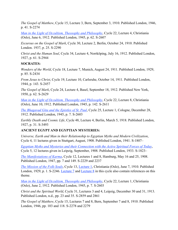*The Gospel of Matthew*, Cycle 15, Lecture 3, Bern, September 3, 1910. Published London, 1946, p. 41. S-2274

*[Man in the Light of Occultism, Theosophy and Philosophy](http://wn.rsarchive.org/Lectures/ManOccult/19120606p01.html)*, Cycle 22, Lecture 4, Christiania (Oslo), June 6, 1912. Published London, 1945, p. 62. S-2607

*Excursus on the Gospel of Mark*, Cycle 30, Lecture 2, Berlin, October 24, 1910. Published London. 1937, p. 25. S-2290

*Christ and the Human Soul*, Cycle 34, Lecture 4, Norrköping, July 16, 1912. Published London, 1927, p. 61. S-2944

#### **SOCRATES:**

*Wonders of the World*, Cycle 18, Lecture 7, Munich, August 24, 1911. Published London, 1929, p. 85. S-2434

*From Jesus to Christ*, Cycle 19, Lecture 10, Carlsruhe, October 14, 1911. Published London, 1944, p. 143. S-2457

*The Gospel of Mark*, Cycle 24, Lecture 4, Basel, September 18, 1912. Published New York, 1950, p. 62. S-2629

*[Man in the Light of Occultism, Theosophy and Philosophy](http://wn.rsarchive.org/Lectures/ManOccult/19120610p01.html)*, Cycle 22, Lecture 8, Christiania (Oslo), June 10, 1912. Published London, 1945, p. 142. S-2611

*[The Bhagavad Gita and the Epistles of St. Paul](http://wn.rsarchive.org/Lectures/BhagPaul/19121228p01.html)*, Cycle 25, Lecture 1, Cologne, December 28, 1912. Published London, 1945, p. 7. S-2603

*Earthly Death and Cosmic Life*, Cycle 48, Lecture 4, Berlin, March 5, 1918. Published London, 1927, p. 31. S-3493

#### **ANCIENT EGYPT AND EGYPTIAN MYSTERIES:**

*Universe, Earth and Man in their Relationship to Egyptian Myths and Modern Civilization*, Cycle 4, 11 lectures given in Stuttgart, August, 1908. Published London, 1941. S-1807–

*[Egyptian Myths and Mysteries and their Connection with the Active Spiritual Forces of Today](http://wn.rsarchive.org/Lectures/EgyptMyth/EgyMyt_index.html)*, Cycle 5, 12 lectures given in Leipzig, September, 1908. Published London, 1933. S-1823–

*[The Manifestations of Karma](http://wn.rsarchive.org/Lectures/ManfKarma/ManKar_index.html)*, Cycle 12, Lectures 1 and 8, Hamburg, May 16 and 25, 1908. Published London, 1947, pp. 7 and 149. S-2229 and 2237

*[The Mission of the Folk-Souls](http://www.rsarchive.org/Lectures/GA121/index.php)*, Cycle 13, [Lecture 1,](http://wn.rsarchive.org/Lectures/GA121/English/APC1929/19100607p01.html) Christiania (Oslo), June 7, 1910. Published London, 1929, p. 1. S-2246. [Lecture 7](http://wn.rsarchive.org/Lectures/GA121/English/APC1929/19100612p01.html) and [Lecture 8](http://wn.rsarchive.org/Lectures/GA121/English/APC1929/19100614p01.html) in this cycle also contain references on this theme.

*[Man in the Light of Occultism, Theosophy and Philosophy](http://wn.rsarchive.org/Lectures/ManOccult/19120602p01.html)*, Cycle 22, Lecture 1, Christiania (Oslo), June 2, 1912. Published London, 1945, p. 7. S-2603

*Christ and the Spiritual World*, Cycle 31, Lectures 3 and 4, Leipzig, December 30 and 31, 1913. Published London, n.d., pp. 23 and 35. S-2859 and 2861

*The Gospel of Matthew*, Cycle 15, Lectures 7 and 8, Bern, September 7 and 8, 1910. Published London, 1946, pp. 103 and 118. S-2278 and 2279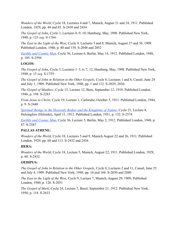*Wonders of the World*, Cycle 18, Lectures 4 and 7, Munich, August 21 and 24, 1911. Published London, 1929, pp. 44 and 85. S-2430 and 2434

*The Gospel of John*, Cycle 3, Lectures 8, 9, 10, Hamburg, May, 1908. Published New York, 1940, p. 123 *seq.* S-1764–

*The East in the Light of the West*, Cycle 9, Lectures 5 and 8, Munich, August 27 and 30, 1909. Published London, 1940, p. 80 and 154. S-2048 and 2052

*[Earthly and Cosmic Man](http://wn.rsarchive.org/Lectures/EarthMan/19120514p01.html)*, Cycle 36, Lecture 6, Berlin, May 14, 1912. Published London, 1948, p. 105. S-2594

#### **LOGOS:**

*The Gospel of John*, Cycle 3, Lectures 1–3, 6, 7, 12, Hamburg, May, 1908. Published New York, 1940, p. 15 *seq*. S-1755–

*The Gospel of John in Relation to the Other Gospels*, Cycle 8, Lectures 1 and 8, Cassel, June 24 and July 1, 1909. Published New York, 1948, pp. 1 and 112. S-2029, 2036.

*The Gospel of Matthew*, Cycle 15, Lecture 12, Bern, September 12, 1910. Published London, 1946, p. 194. S-2283

*From Jesus to Christ*, Cycle 19, Lecture 1, Carlsruhe, October 5, 1911. Published London, 1944, p. 9. S-2448

*[Spiritual Beings in the Heavenly Bodies and the Kingdoms of Nature](http://wn.rsarchive.org/Lectures/SpirBeings/19120411a01.html)*, Cycle 21, Lecture 8, Helsingfors (Helsinki), April 11, 1912. Published London, 1951, p. 132. S-2574

*[Earthly and Cosmic Man](http://wn.rsarchive.org/Lectures/EarthMan/19120502p01.html)*, Cycle 36, Lecture 5, Berlin, May 2, 1912. Published London, 1948, p. 87. S-2587

#### **PALLAS ATHENE:**

*Wonders of the World*, Cycle 18, Lectures 5 and 9, Munich August 22 and 26, 1911. Published London, 1929, pp. 60 and 113. S-2432 and 2436

### **HERA:**

*Wonders of the World*, Cycle 18, Lecture 5, Munich, August 22, 1911. Published London, 1929, p. 60. S-2432

### **OEDIPUS:**

*The Gospel of John in Relation to the Other Gospels*, Cycle 8, Lectures 2 and 11, Cassel, June 25 and July 4, 1909. Published New York, 1948, pp. 16 and 166. S-2030 and 2040

*The East in the Light of the West*, Cycle 9, Lecture 7, Munich, August 29, 1909, Published London, 1940, p. 126. S-2051

*The Gospel of Mark*, Cycle 24, Lecture 7, Basel, September 21, 1912. Published New York, 1950, p. 118. S-2633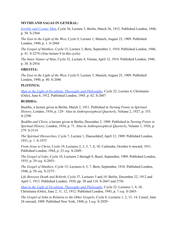#### **MYTHS AND SAGAS IN GENERAL:**

*[Earthly and Cosmic Man](http://wn.rsarchive.org/Lectures/EarthMan/19120326p01.html)*, Cycle 36, Lecture 3, Berlin, March 26, 1912. Published London, 1948, p. 50. S-2564

*The East in the Light of the West*, Cycle 9, Lecture 1, Munich, August 23, 1909. Published London, 1940, p. 1. S-2044

*The Gospel of Matthew*, Cycle 15, Lecture 3, Bern, September 3, 1910. Published London, 1946, p. 41. S-2274 (Also lecture 9 in this cycle)

*The Inner Nature of Man*, Cycle 32, Lecture 4, Vienna, April 12, 1914. Published London, 1948, p. 38. S-2916

#### **ORESTIA:**

*The East in the Light of the West*, Cycle 9, Lecture 3, Munich, August 25, 1909. Published London, 1940, p. 40. S-2046

#### **PLOTINUS:**

*[Man in the Light of Occultism, Theosophy and Philosophy](http://wn.rsarchive.org/Lectures/ManOccult/19120606p01.html)*, Cycle 22, Lecture 4, Christiania (Oslo), June 6, 1912. Published London, 1945, p. 62. S-2607

#### **BUDDHA:**

*Buddha*, a lecture given in Berlin, March 2, 1911. Published in *Turning Points in Spiritual History*, London, 1934, p. 129– Also in *Anthroposophical Quarterly*, Volume 2, 1927, p. 353. S-2390

*Buddha and Christ*, a lecture given in Berlin, December 2, 1909. Published in *Turning Points in Spiritual History*, London, 1934, p. 71. Also in *Anthroposophical Quarterly*, Volume 1, 1926, p. 279. S-2114

*The Spiritual Hierarchies*, Cycle 7, Lecture 1, Duesseldorf, April 12, 1909. Published London, 1931, p. 1. S-1973

*From Jesus to Christ*, Cycle 19, Lectures 2, 3, 5, 7, 8, 10. Carlsruhe, October 6 onward, 1911. Published London, 1944, p. 23 *seq.* S-2449–

*The Gospel of Luke*, Cycle 10, Lectures 2 through 9, Basel, September, 1909. Published London, 1935, p. 29 *seq.* S-2055–

*The Gospel of Matthew*, Cycle 15, Lectures 4, 5, 7. Bern, September, 1910. Published London, 1946, p. 58 *seq.* S-2275–

*Life Between Death and Rebirth*, Cycle 37, Lectures 5 and 10. Berlin, December 22, 1912 and April 1, 1913. Published London, 1930, pp. 58 and 118. S-2667 and 2756

*[Man in the Light of Occultism, Theosophy and Philosophy](http://wn.rsarchive.org/Lectures/ManOccult/ManOcc_index.html)*, Cycle 22, Lectures 1, 9, 10, Christiania (Oslo), June 2, 11, 12, 1912. Published London, 1945, p. 7 *seq.* S-2603–

*The Gospel of John in Relation to the Other Gospels*, Cycle 8, Lectures 1, 2, 13, 14, Cassel, June 24 onward, 1909. Published New York, 1948, p. I *seq.* S-2029–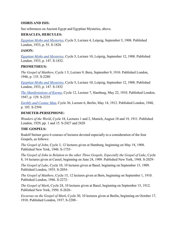#### **OSIRIS AND ISIS:**

See references on Ancient Egypt and Egyptian Mysteries, above.

#### **HERACLES, HERCULES:**

*[Egyptian Myths and Mysteries](http://wn.rsarchive.org/Lectures/EgyptMyth/19080905p01.html)*, Cycle 5, Lecture 4, Leipzig, September 5, 1908. Published London, 1933, p. 55. S-1826

#### **JASON:**

*[Egyptian Myths and Mysteries](http://wn.rsarchive.org/Lectures/EgyptMyth/19080912p01.html)*, Cycle 5, Lecture 10, Leipzig, September 12, 1908. Published London, 1933, p. 147. S-1832.

#### **PROMETHEUS:**

*The Gospel of Matthew*, Cycle 1 5, Lecture 9, Bern, September 9, 1910. Published London, 1946, p. 135. S-2280

*[Egyptian Myths and Mysteries](http://wn.rsarchive.org/Lectures/EgyptMyth/19080912p01.html)*, Cycle 5, Lecture 10, Leipzig, September 12, 1908. Published London, 1933, p. 147. S-1832

*[The Manifestations of Karma](http://wn.rsarchive.org/Lectures/ManfKarma/19100522p01.html)*, Cycle 12, Lecture 7, Hamburg, May 22, 1910. Published London, 1947, p. 129. S-2235

*[Earthly and Cosmic Man](http://wn.rsarchive.org/Lectures/EarthMan/19120514p01.html)*, Cycle 36, Lecture 6, Berlin, May 14, 1912. Published London, 1948, p. 105. S-2594

#### **DEMETER-PERSEPHONE:**

*Wonders of the World*, Cycle 18, Lectures 1 and 2, Munich, August 18 and 19, 1911. Published London, 1929, pp. 1 and 15. S-2427 and 2428

#### **THE GOSPELS:**

Rudolf Steiner gave 6 courses of lectures devoted especially to a consideration of the four Gospels, as follows:

*The Gospel of John*, Cycle 3, 12 lectures given at Hamburg, beginning on May 18, 1908. Published New York, 1940. S-1755–

*The Gospel of John in Relation to the other Three Gospels, Especially the Gospel of Luke*, Cycle 8, 14 lectures given at Cassel, beginning on June 24, 1909. Published New York, 1948. S-2029–

*The Gospel of Luke*, Cycle 10, 10 lectures given at Basel, beginning on September 15, 1909. Published London, 1935. S-2054–

*The Gospel of Matthew*, Cycle 15, 12 lectures given at Bern, beginning on September 1, 1910. Published London, 1946. S-2272–

*The Gospel of Mark*, Cycle 24, 10 lectures given at Basel, beginning on September 15, 1912. Published New York, 1950. S-2626–

*Excursus on the Gospel of Mark*, Cycle 30, 10 lectures given at Berlin, beginning on October 17, 1910. Published London, 1937. S-2288–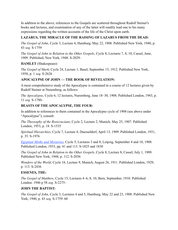In addition to the above, references to the Gospels are scattered throughout Rudolf Steiner's books and lectures, and examination of any of the latter will readily lead one to his many expressions regarding the written accounts of the life of the Christ upon earth.

## **LAZARUS, THE MIRACLE OF THE RAISING OF LAZARUS FROM THE DEAD:**

*The Gospel of John*, Cycle 3, Lecture 4, Hamburg, May 22, 1908. Published New York, 1940, p. 43 *seq.* S-1759

*The Gospel of John in Relation to the Other Gospels*, Cycle 8, Lectures 7, 8, 10, Cassel, June, 1909. Published, New York, 1948. S-2029–

#### **HAMLET** (Shakespeare):

*The Gospel of Mark*, Cycle 24, Lecture 1, Basel, September 15, 1912. Published New York, 1950, p. 1 *seq.* S-2626

#### **APOCALYPSE OF JOHN — THE BOOK OF REVELATION:**

A most comprehensive study of the Apocalypse is contained in a course of 12 lectures given by Rudolf Steiner at Nuremberg, as follows:

*The Apocalypse*, Cycle 6, 12 lectures, Nuremberg, June 18–30, 1908. Published London, 1943, p. 11 *seq.* S-1780–

#### **BEASTS OF THE APOCALYPSE, THE FOUR:**

In addition to references to them contained in the Apocalypse cycle of 1908 (see above under "Apocalypse"), consult:

*The Theosophy of the Rosicrucians*, Cycle 2, Lecture 2, Munich, May 25, 1907. Published London, 1953, p. 18. S-1535

*Spiritual Hierarchies*, Cycle 7, Lecture 4, Duesseldorf, April 13, 1909. Published London, 1931, p. 35. S-1976

*[Egyptian Myths and Mysteries](http://wn.rsarchive.org/Lectures/EgyptMyth/EgyMyt_index.html)*, Cycle 5, Lectures 3 and 8, Leipzig, September 4 and 10, 1908. Published London, 1933, pp. 41 and 113. S-1825 and 1830

*The Gospel of John in Relation to the Other Gospels*, Cycle 8, Lecture 8, Cassel, July 1, 1909. Published New York, 1948, p. 112. S-2036

*Wonders of the World*, Cycle 18, Lecture 9, Munich, August 26, 1911. Published London, 1929, p. 113. S-2436

#### **ESSENES, THE:**

*The Gospel of Matthew*, Cycle 15, Lectures 4–6, 8, 10, Bern, September, 1910. Published London. 1946 p 58 *seq.* S-2275–

#### **JOHN THE BAPTIST:**

*The Gospel of John*, Cycle 3, Lectures 4 and 5, Hamburg, May 22 and 23, 1908. Published New York, 1940, p. 43 *seq.* S-1759–60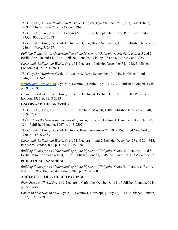*The Gospel of John in Relation to the Other Gospels*, Cycle 8, Lectures 1, 6, 7, Cassel, June, 1909. Published New York, 1948. S-2029–

*The Gospel of Luke*, Cycle 10, Lectures 5–8, 10, Basel, September, 1909. Published London, 1935, p. 96 *seq.* S-2058

*The Gospel of Mark*, Cycle 24, Lectures 2, 3, 5, 6, Basel, September, 1912. Published New York, 1950, p. 19 *seq.* S-2627–

*Building Stones for an Understanding of the Mystery of Golgotha*, Cycle 45, Lectures 3 and 5, Berlin, April 10 and 14, 1917. Published London, 1945, pp. 38 and 80. S-3357 and 3359

*Christ and the Spiritual World*, Cycle 31, Lecture 4, Leipzig, December 31, 1913. Published London, n.d., p. 35. S-2861

*The Gospel of Matthew*, Cycle 15, Lecture 8, Bern, September 10, 1910. Published London, 1946, p. 154. S-2281

*[Earthly and Cosmic Man](http://wn.rsarchive.org/Lectures/EarthMan/19120423p01.html)*, Cycle 36, Lecture 4, Berlin, April 23, 1912. Published London, 1948, p. 69. S-2583

*Excursus on the Gospel of Mark*, Cycle 30, Lecture 4, Berlin, December 6, 1910. Published London, 1937, p. 71. S-2323

#### **GNOSIS AND THE GNOSTICS:**

*The Gospel of John*, Cycle 3, Lecture 3, Hamburg, May 20, 1908. Published New York, 1940, p. 43. S-1757

*The World of the Senses and the World of Spirit*, Cycle 20, Lecture 1, Hannover, December 27, 1911. Published London, 1947, p. 5. S-2507

*The Gospel of Mark*, Cycle 24, Lecture 7, Basel, September 21, 1912. Published New York, 1950, p. 118. S-2633

*Christ and the Spiritual World*, Cycle 31, Lectures 1 and 2, Leipzig, December 28 and 29, 1913. Published London, n.d., p. 1 *seq.* S-2857–58

*Building Stones for an Understanding of the Mystery of Golgotha*, Cycle 45, Lectures 1 and 8, Berlin, March 27 and April 24, 1917. Published London, 1945, pp. 7 and 121. S-3354 and 3362

## **PHILO OF ALEXANDRIA:**

*Building Stones for an Understanding of the Mystery of Golgotha*, Cycle 45, Lecture 6, Berlin, April 17, 1917. Published London, 1945, p. 92. S-3360

## **AUGUSTINE, THE CHURCH FATHER:**

*From Jesus to Christ*, Cycle 19, Lecture 4, Carlsruhe, October 8, 1911. Published London, 1944, p. 55. S-2451

*Christ and the Human Soul*, Cycle 34, Lecture 1, Norrköping, July 12, 1914. Published London, 1927, p. 29. S-2939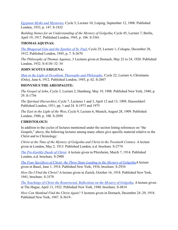*[Egyptian Myths and Mysteries](http://wn.rsarchive.org/Lectures/EgyptMyth/19080912p01.html)*, Cycle 5, Lecture 10, Leipzig, September 12, 1908. Published London, 1933, p. 147. S-1832

*Building Stones for an Understanding of the Mystery of Golgotha*, Cycle 45, Lecture 7, Berlin, April 19, 1917. Published London, 1945, p. 106. S-3361

## **THOMAS AQUINAS:**

*[The Bhagavad Gita and the Epistles of St. Paul](http://wn.rsarchive.org/Lectures/BhagPaul/19121228p01.html)*, Cycle 25, Lecture 1, Cologne, December 28, 1912. Published London, 1945, p. 7. S-2670

*The Philosophy of Thomas Aquinas*, 3 Lectures given at Dornach, May 22 to 24, 1920. Published London, 1932. S-4130–32–34

## **JOHN SCOTUS ERIGENA:**

*[Man in the Light of Occultism, Theosophy and Philosophy](http://wn.rsarchive.org/Lectures/ManOccult/19120606p01.html)*, Cycle 22, Lecture 4, Christiania (Oslo), June 6, 1912. Published London, 1945, p. 62. S-2607

## **DIONYSIUS THE AREOPAGITE:**

*The Gospel of John*, Cycle 3, Lecture 2, Hamburg, May 19, 1908. Published New York, 1940, p. 29. S-1756

*The Spiritual Hierarchies*, Cycle 7, Lectures 1 and 3, April 12 and 13, 1909, Duesseldorf. Published London, 1931, pp. 1 and 24. S-1973 and 1975

*The East in the Light of the West*, Cycle 9, Lecture 6, Munich, August 28, 1909. Published London, 1940, p. 100. S-2050

## **CHRISTOLOGY:**

In addition to the cycles of lectures mentioned under the section listing references on "the Gospels," above, the following lectures among many others give specific material relative to the Christ and to Christology:

*Christ at the Time of the Mystery of Golgotha and Christ in the Twentieth Century*. A lecture given in London, May 2, 1913. Published London, n.d. brochure. S-2774

*[The Pre-Earthly Deeds of Christ](http://wn.rsarchive.org/Lectures/PreEar_index.html)*. A lecture given in Pforzheim, March 7, 1914. Published London, n.d. brochure. S-2900

*[The Four Sacrifices of Christ: the Three Steps Leading to the Mystery of Golgotha](http://wn.rsarchive.org/Lectures/ForSac_index.html)*A lecture given in Basel, June 1, 1914. Published New York, 1934, brochure. S-2934

*How Do I Find the Christ?* A lecture given in Zurich, October 16, 1918. Published New York, 1941, brochure. S-3578

*[The Teachings of Christ the Resurrected, Reflections on the Mystery of Golgotha](http://wn.rsarchive.org/Lectures/Easter/19220413p01.html)*. A lecture given at The Hague, April 13, 1922. Published New York, 1940, brochure. S-4814

*How Can Mankind Find the Christ Again?* 5 lectures given in Dornach, December 24–29, 1918. Published New York, 1947. S-3619–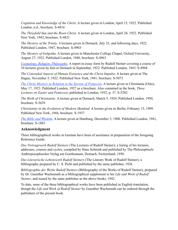*Cognition and Knowledge of the Christ*. A lecture given in London, April 15, 1922. Published London, n.d., brochure. S-4816

*The Threefold Sun and the Risen Christ*. A lecture given in London, April 24, 1922. Published New York, 1942, brochure. S-4821

*The Mystery of the Trinity*. 4 lectures given in Dornach, July 23, and following days, 1922. Published London, 1947, brochure. S-4903–

*The Mystery of Golgotha*. A lecture given in Manchester College Chapel, Oxford University, August 27, 1922. Published London, 1940, brochure. S-4963

*[Cosmology, Religion, Philosophy](http://wn.rsarchive.org/Books/GA025/English/RPC1943/GA025_index.html)*. A report in essay form by Rudolf Steiner covering a course of 10 lectures given by him at Dornach in September, 1922. Published London, 1943. S-4968

*The Concealed Aspects of Human Existence and the Christ Impulse*. A lecture given at The Hague, November 5, 1922. Published New York, 1941. brochure. S-5073

*[The Christ Mystery in Relation to the Secrets of Pentecost](http://wn.rsarchive.org/Lectures/AscenPent/19230517p01.html)*. A lecture given in Christiania (Oslo), May 17, 1923. Published London, 1927 as a brochure. Also contained in the book, *Three Lectures on Easter and Pentecost*, published in London, 1932, p. 37. S-5282

*The Birth of Christianity*. A lecture given at Dornach, March 5, 1924. Published London, 1950, brochure. S-5629

*Christianity in the Evolution of Modern Mankind*. A lecture given in Berlin, February 15, 1909. Published New York, 1944, brochure. S-1937

*[The Bible and Wisdom](http://wn.rsarchive.org/Lectures/BibWis_index.html)*. A lecture given at Hamburg, December 5, 1908. Published London, 1941, brochure. S-1883

## **Acknowledgment**

Three bibliographical works in German have been of assistance in preparation of the foregoing Reference Guide:

*Das Vortragswerk Rudolf Steiners* (The Lectures of Rudolf Steiner), a listing of his lectures, addresses, courses and cycles, compiled by Hans Schmidt and published by The Philosophisch-Anthroposophischer Verlag am Goetheanum, Dornach, Switzerland, 1950.

*Das Literarische Lebenswerk Rudolf Steiners* (The Literary Work of Rudolf Steiner), a bibliography prepared by C. S. Picht and published by the same publisher, 1926.

*Bibliographie der Werke Rudolf Steiners* (Bibliography of the Works of Rudolf Steiner), prepared by Dr. Guenther Wachsmuth as a bibliographical supplement to his *Life and Work of Rudolf Steiner*, and issued by the same publisher as the above books, 1942.

To date, none of the three bibliographical works have been published in English translation, though the *Life and Work of Rudolf Steiner* by Guenther Wachsmuth can be ordered through the publishers of the present book.